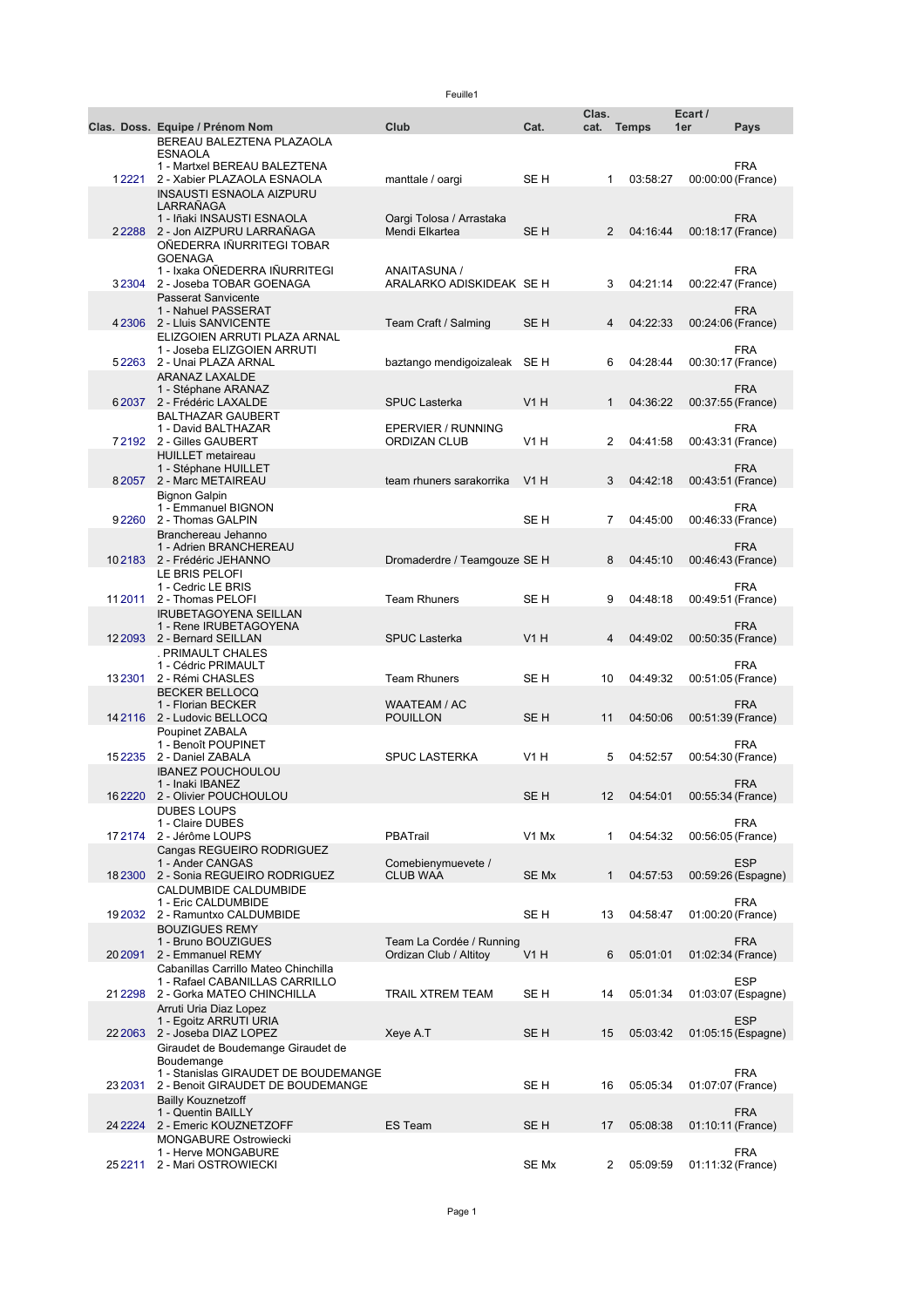|            |                                                             |                              |                               | Clas.             |              | Ecart /           |                    |
|------------|-------------------------------------------------------------|------------------------------|-------------------------------|-------------------|--------------|-------------------|--------------------|
|            | Clas. Doss. Equipe / Prénom Nom                             | Club                         | Cat.                          | cat.              | <b>Temps</b> | 1er               | Pays               |
|            | BEREAU BALEZTENA PLAZAOLA                                   |                              |                               |                   |              |                   |                    |
|            | <b>ESNAOLA</b><br>1 - Martxel BEREAU BALEZTENA              |                              |                               |                   |              |                   | <b>FRA</b>         |
| 12221      | 2 - Xabier PLAZAOLA ESNAOLA                                 | manttale / oargi             | SE H                          | 1                 | 03:58:27     | 00:00:00 (France) |                    |
|            | <b>INSAUSTI ESNAOLA AIZPURU</b>                             |                              |                               |                   |              |                   |                    |
|            | LARRAÑAGA                                                   |                              |                               |                   |              |                   |                    |
|            | 1 - Iñaki INSAUSTI ESNAOLA                                  | Oargi Tolosa / Arrastaka     |                               |                   |              |                   | <b>FRA</b>         |
|            | 22288 2 - Jon AIZPURU LARRAÑAGA                             | Mendi Elkartea               | SE H                          | $\overline{2}$    | 04:16:44     | 00:18:17 (France) |                    |
|            | OÑEDERRA IÑURRITEGI TOBAR<br><b>GOENAGA</b>                 |                              |                               |                   |              |                   |                    |
|            | 1 - Ixaka OÑEDERRA IÑURRITEGI                               | ANAITASUNA /                 |                               |                   |              |                   | FRA                |
|            | 32304 2 - Joseba TOBAR GOENAGA                              | ARALARKO ADISKIDEAK SE H     |                               | 3                 | 04:21:14     | 00:22:47 (France) |                    |
|            | <b>Passerat Sanvicente</b>                                  |                              |                               |                   |              |                   |                    |
|            | 1 - Nahuel PASSERAT                                         |                              |                               |                   |              |                   | FRA                |
|            | 4 2306 2 - Lluis SANVICENTE<br>ELIZGOIEN ARRUTI PLAZA ARNAL | Team Craft / Salming         | SE <sub>H</sub>               | 4                 | 04:22:33     | 00:24:06 (France) |                    |
|            | 1 - Joseba ELIZGOIEN ARRUTI                                 |                              |                               |                   |              |                   | <b>FRA</b>         |
|            | 52263 2 - Unai PLAZA ARNAL                                  | baztango mendigoizaleak SE H |                               | 6                 | 04:28:44     | 00:30:17 (France) |                    |
|            | <b>ARANAZ LAXALDE</b>                                       |                              |                               |                   |              |                   |                    |
|            | 1 - Stéphane ARANAZ                                         |                              |                               |                   |              |                   | FRA                |
|            | 62037 2 - Frédéric LAXALDE                                  | <b>SPUC Lasterka</b>         | V1H                           | $\mathbf{1}$      | 04:36:22     | 00:37:55 (France) |                    |
|            | <b>BALTHAZAR GAUBERT</b><br>1 - David BALTHAZAR             | EPERVIER / RUNNING           |                               |                   |              |                   | <b>FRA</b>         |
|            | 72192 2 - Gilles GAUBERT                                    | <b>ORDIZAN CLUB</b>          | V1H                           | 2                 | 04:41:58     | 00:43:31 (France) |                    |
|            | <b>HUILLET</b> metaireau                                    |                              |                               |                   |              |                   |                    |
|            | 1 - Stéphane HUILLET                                        |                              |                               |                   |              |                   | <b>FRA</b>         |
|            | 82057 2 - Marc METAIREAU                                    | team rhuners sarakorrika     | V1H                           | 3                 | 04:42:18     | 00:43:51 (France) |                    |
|            | <b>Bignon Galpin</b>                                        |                              |                               |                   |              |                   |                    |
|            | 1 - Emmanuel BIGNON<br>92260 2 - Thomas GALPIN              |                              | SE H                          | $\overline{7}$    | 04:45:00     | 00:46:33 (France) | <b>FRA</b>         |
|            | Branchereau Jehanno                                         |                              |                               |                   |              |                   |                    |
|            | 1 - Adrien BRANCHEREAU                                      |                              |                               |                   |              |                   | <b>FRA</b>         |
|            | 102183 2 - Frédéric JEHANNO                                 | Dromaderdre / Teamgouze SE H |                               | 8                 | 04:45:10     | 00:46:43 (France) |                    |
|            | LE BRIS PELOFI                                              |                              |                               |                   |              |                   |                    |
|            | 1 - Cedric LE BRIS<br>112011 2 - Thomas PELOFI              | <b>Team Rhuners</b>          | SE H                          | 9                 | 04:48:18     | 00:49:51 (France) | <b>FRA</b>         |
|            | <b>IRUBETAGOYENA SEILLAN</b>                                |                              |                               |                   |              |                   |                    |
|            | 1 - Rene IRUBETAGOYENA                                      |                              |                               |                   |              |                   | <b>FRA</b>         |
|            | 12 2093 2 - Bernard SEILLAN                                 | <b>SPUC Lasterka</b>         | V1H                           | 4                 | 04:49:02     | 00:50:35 (France) |                    |
|            | . PRIMAULT CHALES                                           |                              |                               |                   |              |                   |                    |
|            | 1 - Cédric PRIMAULT                                         |                              |                               |                   |              |                   | <b>FRA</b>         |
| 132301     | 2 - Rémi CHASLES<br><b>BECKER BELLOCQ</b>                   | <b>Team Rhuners</b>          | SE H                          | 10                | 04:49:32     | 00:51:05 (France) |                    |
|            | 1 - Florian BECKER                                          | WAATEAM / AC                 |                               |                   |              |                   | <b>FRA</b>         |
|            | 142116 2 - Ludovic BELLOCQ                                  | <b>POUILLON</b>              | SE <sub>H</sub>               | 11                | 04:50:06     | 00:51:39 (France) |                    |
|            | Poupinet ZABALA                                             |                              |                               |                   |              |                   |                    |
|            | 1 - Benoît POUPINET                                         |                              |                               |                   |              |                   | FRA                |
| 152235     | 2 - Daniel ZABALA                                           | <b>SPUC LASTERKA</b>         | V1H                           | 5                 | 04:52:57     | 00:54:30 (France) |                    |
|            | <b>IBANEZ POUCHOULOU</b><br>1 - Inaki IBANEZ                |                              |                               |                   |              |                   | FRA                |
|            | 162220 2 - Olivier POUCHOULOU                               |                              | SE <sub>H</sub>               | $12 \overline{ }$ | 04:54:01     | 00:55:34 (France) |                    |
|            | DUBES LOUPS                                                 |                              |                               |                   |              |                   |                    |
|            | 1 - Claire DUBES                                            |                              |                               |                   |              |                   | <b>FRA</b>         |
|            | 172174 2 - Jérôme LOUPS                                     | PBATrail                     | V <sub>1</sub> M <sub>x</sub> | $\mathbf 1$       | 04:54:32     | 00:56:05 (France) |                    |
|            | Cangas REGUEIRO RODRIGUEZ<br>1 - Ander CANGAS               | Comebienymuevete /           |                               |                   |              |                   | <b>ESP</b>         |
|            | 18 2300 2 - Sonia REGUEIRO RODRIGUEZ                        | <b>CLUB WAA</b>              | SE Mx                         | 1                 | 04:57:53     |                   | 00:59:26 (Espagne) |
|            | CALDUMBIDE CALDUMBIDE                                       |                              |                               |                   |              |                   |                    |
|            | 1 - Eric CALDUMBIDE                                         |                              |                               |                   |              |                   | <b>FRA</b>         |
|            | 192032 2 - Ramuntxo CALDUMBIDE                              |                              | SE H                          | 13                | 04:58:47     | 01:00:20 (France) |                    |
|            | <b>BOUZIGUES REMY</b><br>1 - Bruno BOUZIGUES                | Team La Cordée / Running     |                               |                   |              |                   | <b>FRA</b>         |
|            | 20 2091 2 - Emmanuel REMY                                   | Ordizan Club / Altitoy       | V1H                           | 6                 | 05:01:01     | 01:02:34 (France) |                    |
|            | Cabanillas Carrillo Mateo Chinchilla                        |                              |                               |                   |              |                   |                    |
|            | 1 - Rafael CABANILLAS CARRILLO                              |                              |                               |                   |              |                   | <b>ESP</b>         |
|            | 21 2298 2 - Gorka MATEO CHINCHILLA                          | <b>TRAIL XTREM TEAM</b>      | SE H                          | 14                | 05:01:34     |                   | 01:03:07 (Espagne) |
|            | Arruti Uria Diaz Lopez<br>1 - Egoitz ARRUTI URIA            |                              |                               |                   |              |                   | ESP                |
|            | 22 2063 2 - Joseba DIAZ LOPEZ                               | Xeye A.T                     | SE <sub>H</sub>               | 15                | 05:03:42     |                   | 01:05:15 (Espagne) |
|            | Giraudet de Boudemange Giraudet de                          |                              |                               |                   |              |                   |                    |
|            | Boudemange                                                  |                              |                               |                   |              |                   |                    |
|            | 1 - Stanislas GIRAUDET DE BOUDEMANGE                        |                              |                               |                   |              |                   | <b>FRA</b>         |
| 23 20 31   | 2 - Benoit GIRAUDET DE BOUDEMANGE                           |                              | SE H                          | 16                | 05:05:34     | 01:07:07 (France) |                    |
|            | <b>Bailly Kouznetzoff</b><br>1 - Quentin BAILLY             |                              |                               |                   |              |                   | <b>FRA</b>         |
|            | 24 2224 2 - Emeric KOUZNETZOFF                              | ES Team                      | SE <sub>H</sub>               | 17                | 05:08:38     | 01:10:11 (France) |                    |
|            | <b>MONGABURE Ostrowiecki</b>                                |                              |                               |                   |              |                   |                    |
|            | 1 - Herve MONGABURE                                         |                              |                               |                   |              |                   | <b>FRA</b>         |
| 25 2 2 1 1 | 2 - Mari OSTROWIECKI                                        |                              | SE Mx                         | 2                 | 05:09:59     | 01:11:32 (France) |                    |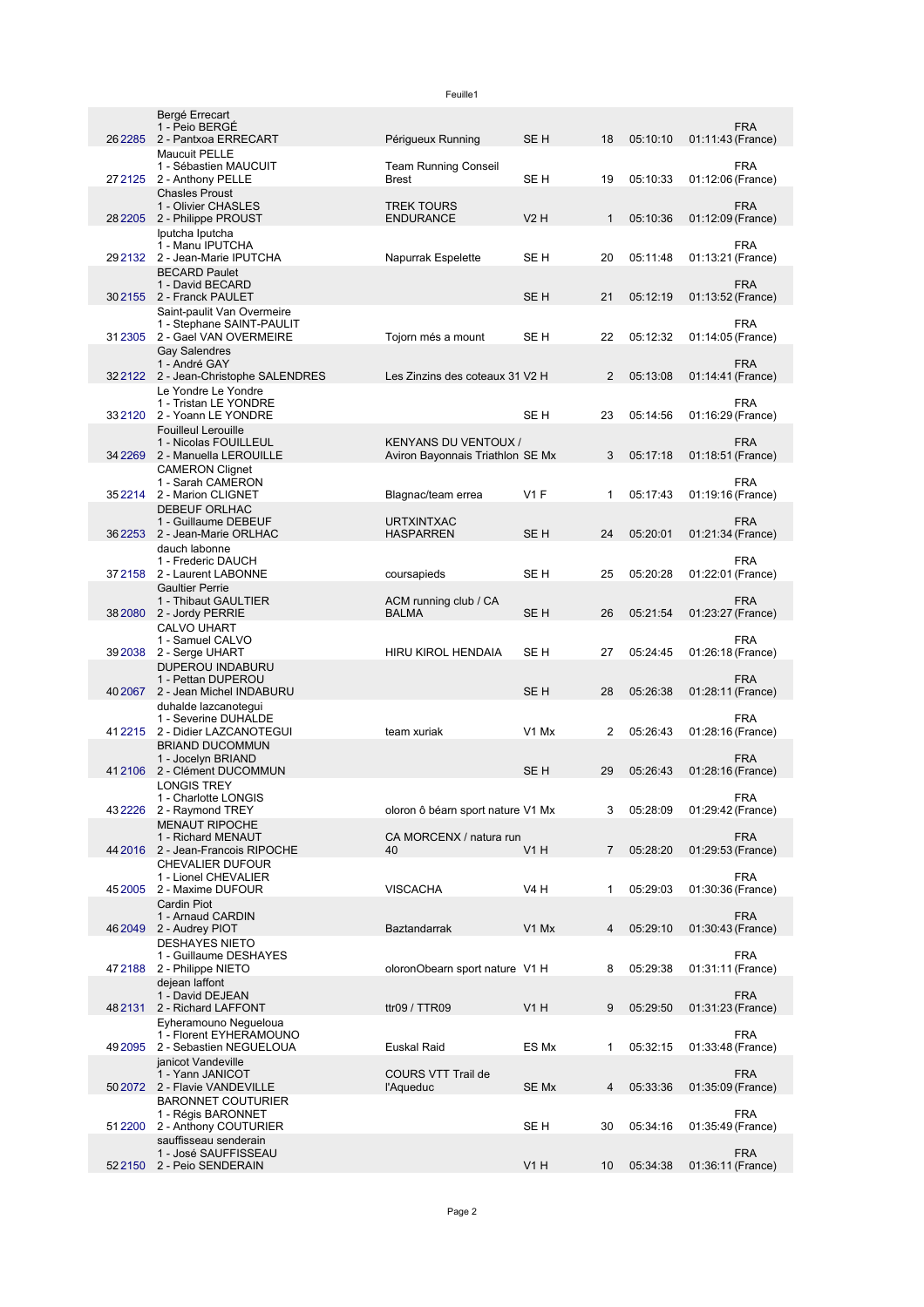26 SE H 18 05:10:10 01:11:43 2 - Pantxoa ERRECART Périgueux Running 27 SE H 19 05:10:33 01:12:06 2 - Anthony PELLE 28 V2 H 1 05:10:36 01:12:09 [2205](http://livetrail.net/live/euskal/coureur.php?rech=2205) 2 - Philippe PROUST 29 SE H 20 05:11:48 01:13:21 2 - Jean-Marie IPUTCHA Napurrak Espelette 30 SE H 21 05:12:19 01:13:52 [2155](http://livetrail.net/live/euskal/coureur.php?rech=2155) 2 - Franck PAULET 31 2305 2 - Gael VAN OVERMEIRE Tojorn més a mount SE H 22 05:12:32 01:14:05 32[2122](http://livetrail.net/live/euskal/coureur.php?rech=2122) 2 - Jean-Christophe SALENDRES Les Zinzins des coteaux 31 V2 H 2 05:13:08 01:14:41 33 SE H 23 05:14:56 01:16:29 34 SE Mx 3 05:17:18 01:18:51 [2269](http://livetrail.net/live/euskal/coureur.php?rech=2269) 2 - Manuella LEROUILLE 35 V1 F 1 05:17:43 01:19:16 2 - Marion CLIGNET Blagnac/team errea 36 SE H 24 05:20:01 01:21:34 [2253](http://livetrail.net/live/euskal/coureur.php?rech=2253) 2 - Jean-Marie ORLHAC 37 SE H 25 05:20:28 01:22:01 2 - Laurent LABONNE coursapieds 38 SE H 26 05:21:54 01:23:27 2 - Jordy PERRIE HIRU KIROL HENDAIA SE H 27 05:24:45 40 SE H 28 05:26:38 01:28:11 2 - Jean Michel INDABURU 41 V1 Mx 2 05:26:43 01:28:16 2 - Didier LAZCANOTEGUI team xuriak 41 SE H 29 05:26:43 01:28:16 [2106](http://livetrail.net/live/euskal/coureur.php?rech=2106) 2 - Clément DUCOMMUN 43 V1 Mx 3 05:28:09 01:29:42 2 - Raymond TREY oloron ô béarn sport nature 44 V1 H 7 05:28:20 01:29:53 2 - Jean-Francois RIPOCHE 45 VISCACHA V4 H 1 05:29:03 01:30:36 2 - Maxime DUFOUR 46 Baztandarrak V1 Mx 4 05:29:10 01:30:43 2 - Audrey PIOT 47 2188 2 - Philippe NIETO **block and Science Contained Struck** 1 attace V1 H and Struck 31:11 48 ttr09 / TTR09 V1 H 9 05:29:50 01:31:23 2 - Richard LAFFONT 49 ES Mx 1 05:32:15 01:33:48 50 SE Mx 4 05:33:36 01:35:09 [2072](http://livetrail.net/live/euskal/coureur.php?rech=2072) 51 [2200](http://livetrail.net/live/euskal/coureur.php?rech=2200) 2 - Anthony COUTURIER SE H 30 05:34:16 01:35:49 52 V1 H 10 05:34:38 01:36:11 [2150](http://livetrail.net/live/euskal/coureur.php?rech=2150) 2 - Peio SENDERAIN 26[2285](http://livetrail.net/live/euskal/coureur.php?rech=2285) Bergé Errecart 1 - Peio BERGÉ FRA 01:11:43 (France) 27 21 25 Maucuit PELLE 1 - Sébastien MAUCUIT Team Running Conseil Brest FRA 01:12:06 (France) Chasles Proust 1 - Olivier CHASLES TREK TOURS ENDURANCE FRA 01:12:09 (France) 29[2132](http://livetrail.net/live/euskal/coureur.php?rech=2132) Iputcha Iputcha 1 - Manu IPUTCHA FRA 01:13:21 (France) BECARD Paulet 1 - David BECARD FRA 01:13:52 (France) 31[2305](http://livetrail.net/live/euskal/coureur.php?rech=2305) Saint-paulit Van Overmeire 1 - Stephane SAINT-PAULIT FRA 01:14:05 (France) Gay Salendres 1 - André GAY FRA 01:14:41 (France) 33[2120](http://livetrail.net/live/euskal/coureur.php?rech=2120) Le Yondre Le Yondre 1 - Tristan LE YONDRE 2 - Yoann LE YONDRE FRA 01:16:29 (France) Fouilleul Lerouille 1 - Nicolas FOUILLEUL KENYANS DU VENTOUX / Aviron Bayonnais Triathlon SE Mx FRA 01:18:51 (France) 35[2214](http://livetrail.net/live/euskal/coureur.php?rech=2214) CAMERON Clignet 1 - Sarah CAMERON FRA 01:19:16 (France) DEBEUF ORLHAC 1 - Guillaume DEBEUF URTXINTXAC HASPARREN FRA 01:21:34 (France) 37[2158](http://livetrail.net/live/euskal/coureur.php?rech=2158) dauch labonne 1 - Frederic DAUCH FRA 01:22:01 (France) 38[2080](http://livetrail.net/live/euskal/coureur.php?rech=2080) Gaultier Perrie 1 - Thibaut GAULTIER ACM running club / CA BALMA FRA 01:23:27 (France) 39[2038](http://livetrail.net/live/euskal/coureur.php?rech=2038) CALVO UHART 1 - Samuel CALVO 2 - Serge UHART FRA 01:26:18 (France) 40[2067](http://livetrail.net/live/euskal/coureur.php?rech=2067) DUPEROU INDABURU 1 - Pettan DUPEROU FRA 01:28:11 (France) 41[2215](http://livetrail.net/live/euskal/coureur.php?rech=2215) duhalde lazcanotegui 1 - Severine DUHALDE FRA 01:28:16 (France) BRIAND DUCOMMUN 1 - Jocelyn BRIAND FRA 01:28:16 (France) 43[2226](http://livetrail.net/live/euskal/coureur.php?rech=2226) LONGIS TREY 1 - Charlotte LONGIS<br>2 - Raymond TREY FRA 01:29:42 (France) 44 [2016](http://livetrail.net/live/euskal/coureur.php?rech=2016) MENAUT RIPOCHE 1 - Richard MENAUT CA MORCENX / natura run 40 FRA 01:29:53 (France) 45[2005](http://livetrail.net/live/euskal/coureur.php?rech=2005) CHEVALIER DUFOUR 1 - Lionel CHEVALIER FRA 01:30:36 (France) 46[2049](http://livetrail.net/live/euskal/coureur.php?rech=2049) Cardin Piot 1 - Arnaud CARDIN FRA 01:30:43 (France) 47[2188](http://livetrail.net/live/euskal/coureur.php?rech=2188) DESHAYES NIETO 1 - Guillaume DESHAYES<br>2 - Philippe NIETO FRA 01:31:11 (France) 48[2131](http://livetrail.net/live/euskal/coureur.php?rech=2131) dejean laffont 1 - David DEJEAN FRA 01:31:23 (France) 49[2095](http://livetrail.net/live/euskal/coureur.php?rech=2095) Eyheramouno Negueloua 1 - Florent EYHERAMOUNO 2 - Sebastien NEGUELOUA Euskal Raid FRA 01:33:48 (France) janicot Vandeville 1 - Yann JANICOT 2 - Flavie VANDEVILLE COURS VTT Trail de l'Aqueduc FRA 01:35:09 (France) BARONNET COUTURIER 1 - Régis BARONNET 2 - Anthony COUTURIER FRA 01:35:49 (France) sauffisseau senderain 1 - José SAUFFISSEAU FRA 01:36:11 (France)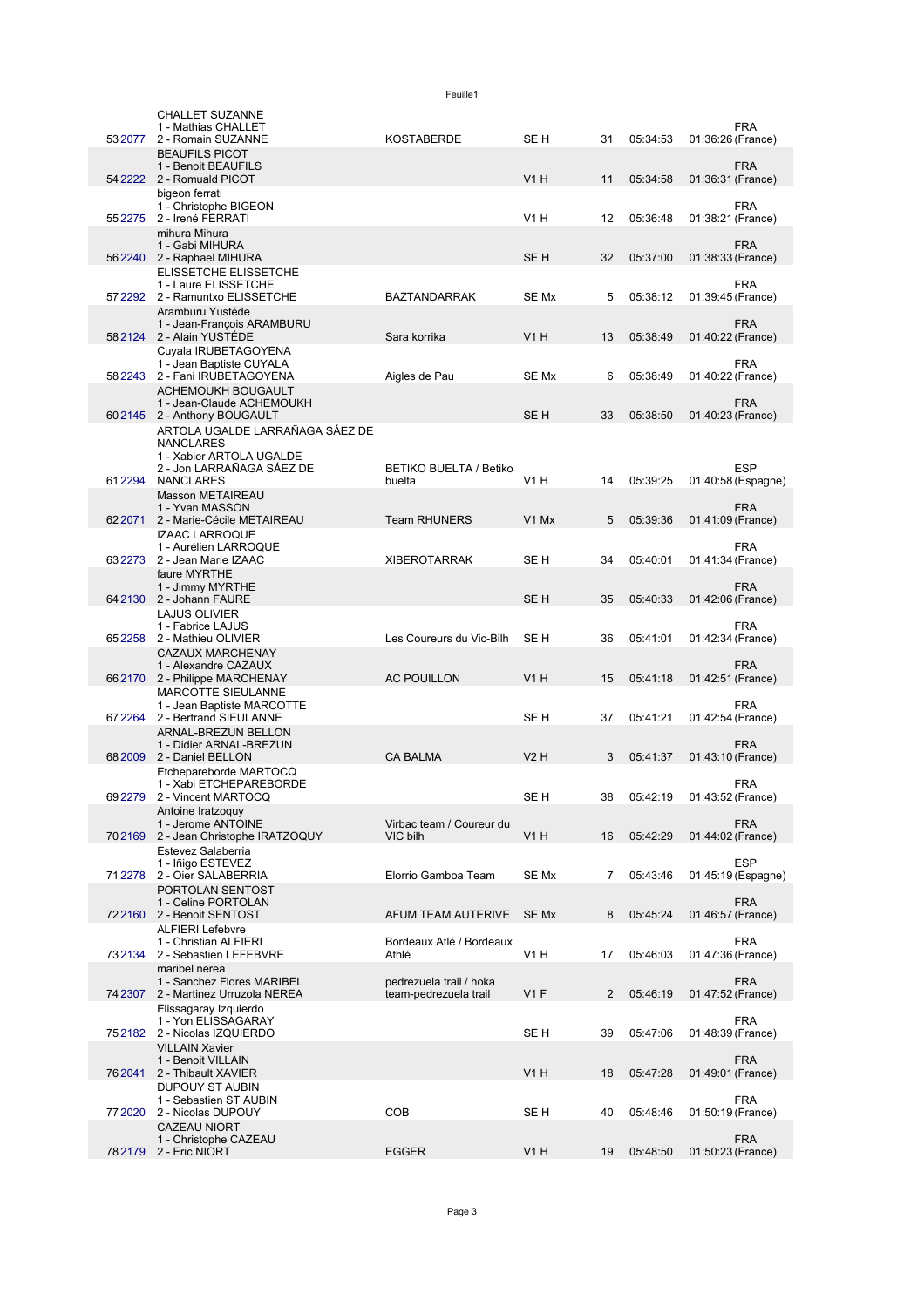|          | <b>CHALLET SUZANNE</b><br>1 - Mathias CHALLET                                  |                                                  |                  |                |          |                   | FRA                |
|----------|--------------------------------------------------------------------------------|--------------------------------------------------|------------------|----------------|----------|-------------------|--------------------|
| 53 2077  | 2 - Romain SUZANNE                                                             | KOSTABERDE                                       | SE <sub>H</sub>  | 31             | 05:34:53 | 01:36:26 (France) |                    |
|          | <b>BEAUFILS PICOT</b><br>1 - Benoit BEAUFILS                                   |                                                  |                  |                |          |                   | <b>FRA</b>         |
|          | 54 2222 2 - Romuald PICOT                                                      |                                                  | V1H              | 11             | 05:34:58 | 01:36:31 (France) |                    |
|          | bigeon ferrati<br>1 - Christophe BIGEON<br>55 2275 2 - Irené FERRATI           |                                                  | V1H              | 12             | 05:36:48 | 01:38:21 (France) | <b>FRA</b>         |
|          | mihura Mihura<br>1 - Gabi MIHURA<br>56 2240 2 - Raphael MIHURA                 |                                                  | SE <sub>H</sub>  | 32             | 05:37:00 | 01:38:33 (France) | <b>FRA</b>         |
|          | ELISSETCHE ELISSETCHE                                                          |                                                  |                  |                |          |                   |                    |
|          | 1 - Laure ELISSETCHE<br>57 2292 2 - Ramuntxo ELISSETCHE                        | <b>BAZTANDARRAK</b>                              | SE Mx            | 5              | 05:38:12 | 01:39:45 (France) | <b>FRA</b>         |
|          | Aramburu Yustéde<br>1 - Jean-François ARAMBURU<br>58 2124 2 - Alain YUSTÉDE    | Sara korrika                                     | V1H              | 13             | 05:38:49 | 01:40:22 (France) | <b>FRA</b>         |
|          | Cuyala IRUBETAGOYENA<br>1 - Jean Baptiste CUYALA                               |                                                  |                  |                |          |                   | FRA                |
|          | 58 2243 2 - Fani IRUBETAGOYENA                                                 | Aigles de Pau                                    | SE Mx            | 6              | 05:38:49 | 01:40:22 (France) |                    |
|          | ACHEMOUKH BOUGAULT<br>1 - Jean-Claude ACHEMOUKH<br>602145 2 - Anthony BOUGAULT |                                                  | SE <sub>H</sub>  | 33             | 05:38:50 | 01:40:23 (France) | <b>FRA</b>         |
|          | ARTOLA UGALDE LARRAÑAGA SÁEZ DE<br><b>NANCLARES</b>                            |                                                  |                  |                |          |                   |                    |
|          | 1 - Xabier ARTOLA UGALDE<br>2 - Jon LARRAÑAGA SÁEZ DE                          | <b>BETIKO BUELTA / Betiko</b>                    |                  |                |          |                   | ESP                |
|          | 612294 NANCLARES<br><b>Masson METAIREAU</b>                                    | buelta                                           | V1H              | 14             | 05:39:25 |                   | 01:40:58 (Espagne) |
|          | 1 - Yvan MASSON<br>62 2071 2 - Marie-Cécile METAIREAU                          | <b>Team RHUNERS</b>                              | V1 Mx            | 5              | 05:39:36 | 01:41:09 (France) | <b>FRA</b>         |
|          | <b>IZAAC LARROQUE</b>                                                          |                                                  |                  |                |          |                   |                    |
| 632273   | 1 - Aurélien LARROQUE<br>2 - Jean Marie IZAAC<br>faure MYRTHE                  | <b>XIBEROTARRAK</b>                              | SE H             | 34             | 05:40:01 | 01:41:34 (France) | <b>FRA</b>         |
|          | 1 - Jimmy MYRTHE                                                               |                                                  |                  |                |          |                   | <b>FRA</b>         |
|          | 64 2130 2 - Johann FAURE<br><b>LAJUS OLIVIER</b>                               |                                                  | SE <sub>H</sub>  | 35             | 05:40:33 | 01:42:06 (France) |                    |
| 652258   | 1 - Fabrice LAJUS<br>2 - Mathieu OLIVIER                                       | Les Coureurs du Vic-Bilh                         | SE H             | 36             | 05:41:01 | 01:42:34 (France) | <b>FRA</b>         |
|          | <b>CAZAUX MARCHENAY</b>                                                        |                                                  |                  |                |          |                   |                    |
|          | 1 - Alexandre CAZAUX<br>66 2170 2 - Philippe MARCHENAY                         | <b>AC POUILLON</b>                               | V1H              | 15             | 05:41:18 | 01:42:51 (France) | <b>FRA</b>         |
| 672264   | MARCOTTE SIEULANNE<br>1 - Jean Baptiste MARCOTTE<br>2 - Bertrand SIEULANNE     |                                                  | SE H             | 37             | 05:41:21 | 01:42:54 (France) | FRA                |
|          | ARNAL-BREZUN BELLON<br>1 - Didier ARNAL-BREZUN                                 |                                                  |                  |                |          |                   | <b>FRA</b>         |
|          | 68 2009 2 - Daniel BELLON                                                      | <b>CA BALMA</b>                                  | <b>V2 H</b>      | 3              | 05:41:37 | 01:43:10 (France) |                    |
| 69 22 79 | Etchepareborde MARTOCQ<br>1 - Xabi ETCHEPAREBORDE<br>2 - Vincent MARTOCQ       |                                                  | SE H             | 38             | 05:42:19 | 01:43:52 (France) | <b>FRA</b>         |
|          | Antoine Iratzoguy                                                              |                                                  |                  |                |          |                   |                    |
|          | 1 - Jerome ANTOINE<br>702169 2 - Jean Christophe IRATZOQUY                     | Virbac team / Coureur du<br>VIC bilh             | V1H              | 16             | 05:42:29 | 01:44:02 (France) | <b>FRA</b>         |
|          | Estevez Salaberria<br>1 - Iñigo ESTEVEZ                                        |                                                  |                  |                |          |                   | <b>ESP</b>         |
| 712278   | 2 - Oier SALABERRIA<br>PORTOLAN SENTOST                                        | Elorrio Gamboa Team                              | SE Mx            | 7              | 05:43:46 |                   | 01:45:19 (Espagne) |
|          | 1 - Celine PORTOLAN<br>722160 2 - Benoit SENTOST                               | AFUM TEAM AUTERIVE                               | SE Mx            | 8              | 05:45:24 | 01:46:57 (France) | <b>FRA</b>         |
|          | <b>ALFIERI Lefebvre</b><br>1 - Christian ALFIERI                               | Bordeaux Atlé / Bordeaux                         |                  |                |          |                   | <b>FRA</b>         |
|          | 732134 2 - Sebastien LEFEBVRE<br>maribel nerea                                 | Athlé                                            | <b>V1 H</b>      | 17             | 05:46:03 | 01:47:36 (France) |                    |
|          | 1 - Sanchez Flores MARIBEL<br>74 2307 2 - Martinez Urruzola NEREA              | pedrezuela trail / hoka<br>team-pedrezuela trail | V1F              | $\overline{2}$ | 05:46:19 | 01:47:52 (France) | <b>FRA</b>         |
|          | Elissagaray Izquierdo<br>1 - Yon ELISSAGARAY                                   |                                                  |                  |                |          |                   | <b>FRA</b>         |
|          | 752182 2 - Nicolas IZQUIERDO<br><b>VILLAIN Xavier</b>                          |                                                  | SE H             | 39             | 05:47:06 | 01:48:39 (France) |                    |
| 762041   | 1 - Benoit VILLAIN<br>2 - Thibault XAVIER                                      |                                                  | V <sub>1</sub> H | 18             | 05:47:28 | 01:49:01 (France) | <b>FRA</b>         |
| 77 2020  | <b>DUPOUY ST AUBIN</b><br>1 - Sebastien ST AUBIN<br>2 - Nicolas DUPOUY         | <b>COB</b>                                       | SE H             | 40             | 05:48:46 | 01:50:19 (France) | <b>FRA</b>         |
|          | <b>CAZEAU NIORT</b><br>1 - Christophe CAZEAU                                   |                                                  |                  |                |          |                   | <b>FRA</b>         |
|          | 78 2179 2 - Eric NIORT                                                         | <b>EGGER</b>                                     | V <sub>1</sub> H | 19             | 05:48:50 | 01:50:23 (France) |                    |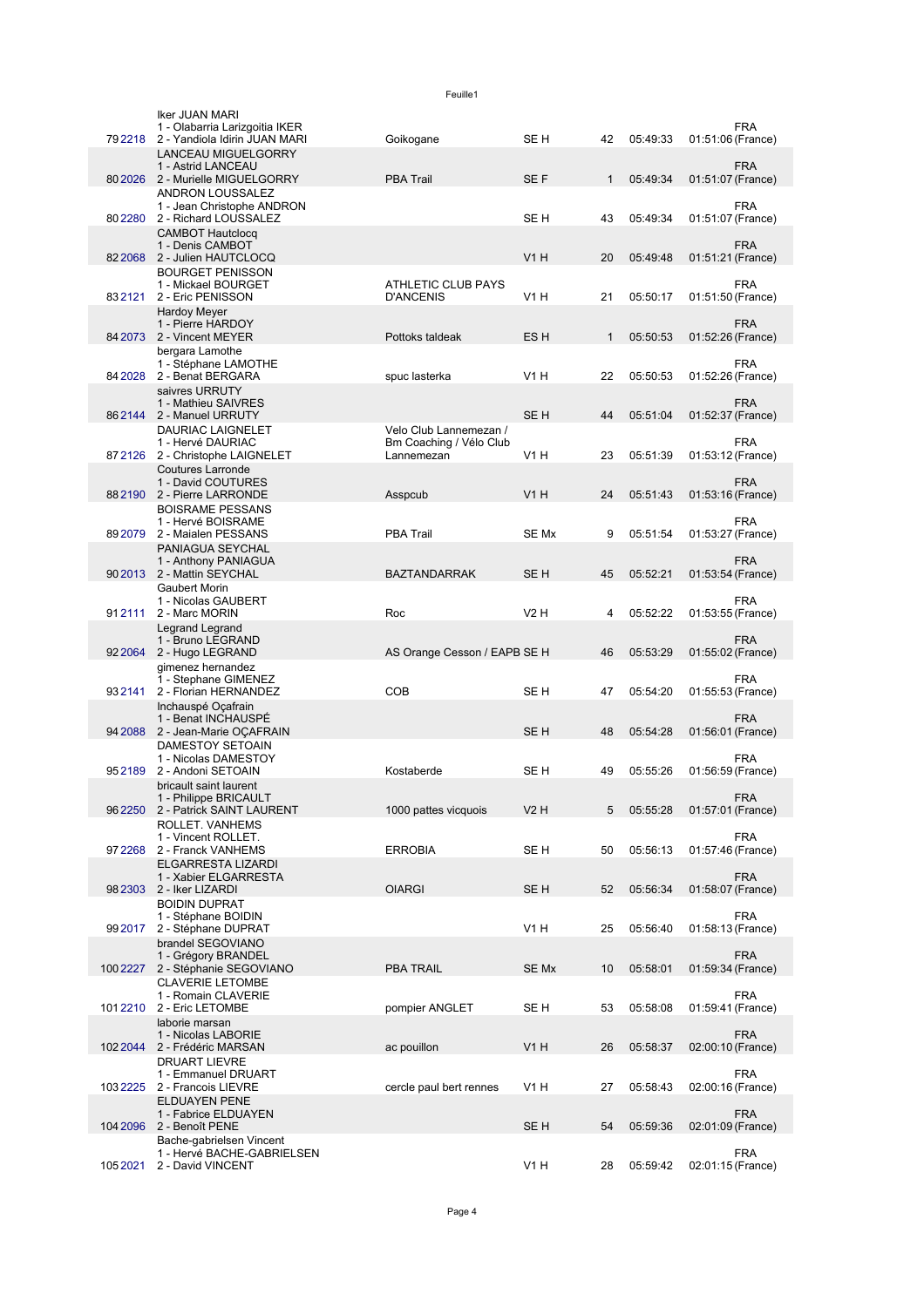|            | Iker JUAN MARI<br>1 - Olabarria Larizgoitia IKER       |                                                   |                  |              |          | <b>FRA</b>                      |
|------------|--------------------------------------------------------|---------------------------------------------------|------------------|--------------|----------|---------------------------------|
| 792218     | 2 - Yandiola Idirin JUAN MARI                          | Goikogane                                         | SE H             | 42           | 05:49:33 | 01:51:06 (France)               |
|            | <b>LANCEAU MIGUELGORRY</b><br>1 - Astrid LANCEAU       |                                                   |                  |              |          | <b>FRA</b>                      |
|            | 80 2026 2 - Murielle MIGUELGORRY                       | <b>PBA Trail</b>                                  | SE F             | 1            | 05:49:34 | 01:51:07 (France)               |
|            | ANDRON LOUSSALEZ                                       |                                                   |                  |              |          |                                 |
| 80 22 80   | 1 - Jean Christophe ANDRON<br>2 - Richard LOUSSALEZ    |                                                   | SE H             | 43           | 05:49:34 | <b>FRA</b><br>01:51:07 (France) |
|            | <b>CAMBOT Hautclocq</b>                                |                                                   |                  |              |          |                                 |
|            | 1 - Denis CAMBOT                                       |                                                   |                  |              |          | <b>FRA</b>                      |
|            | 82 2068 2 - Julien HAUTCLOCQ                           |                                                   | <b>V1 H</b>      | 20           | 05:49:48 | 01:51:21 (France)               |
|            | <b>BOURGET PENISSON</b><br>1 - Mickael BOURGET         | <b>ATHLETIC CLUB PAYS</b>                         |                  |              |          | <b>FRA</b>                      |
| 832121     | 2 - Eric PENISSON                                      | <b>D'ANCENIS</b>                                  | V1 H             | 21           | 05:50:17 | 01:51:50 (France)               |
|            | <b>Hardoy Meyer</b>                                    |                                                   |                  |              |          |                                 |
|            | 1 - Pierre HARDOY<br>84 2073 2 - Vincent MEYER         | Pottoks taldeak                                   | ES <sub>H</sub>  | $\mathbf{1}$ | 05:50:53 | <b>FRA</b><br>01:52:26 (France) |
|            | bergara Lamothe                                        |                                                   |                  |              |          |                                 |
|            | 1 - Stéphane LAMOTHE                                   |                                                   |                  |              |          | <b>FRA</b>                      |
| 84 20 28   | 2 - Benat BERGARA<br>saivres URRUTY                    | spuc lasterka                                     | V1 H             | 22           | 05:50:53 | 01:52:26 (France)               |
|            | 1 - Mathieu SAIVRES                                    |                                                   |                  |              |          | <b>FRA</b>                      |
|            | 862144 2 - Manuel URRUTY                               |                                                   | SE <sub>H</sub>  | 44           | 05:51:04 | 01:52:37 (France)               |
|            | <b>DAURIAC LAIGNELET</b><br>1 - Hervé DAURIAC          | Velo Club Lannemezan /<br>Bm Coaching / Vélo Club |                  |              |          | FRA                             |
| 872126     | 2 - Christophe LAIGNELET                               | Lannemezan                                        | V1 H             | 23           | 05:51:39 | 01:53:12 (France)               |
|            | <b>Coutures Larronde</b>                               |                                                   |                  |              |          |                                 |
|            | 1 - David COUTURES<br>88 2190 2 - Pierre LARRONDE      | Asspcub                                           | V1H              | 24           | 05:51:43 | <b>FRA</b><br>01:53:16 (France) |
|            | <b>BOISRAME PESSANS</b>                                |                                                   |                  |              |          |                                 |
|            | 1 - Hervé BOISRAME                                     |                                                   |                  |              |          | <b>FRA</b>                      |
|            | 89 2079 2 - Maialen PESSANS                            | <b>PBA Trail</b>                                  | SE Mx            | 9            | 05:51:54 | 01:53:27 (France)               |
|            | PANIAGUA SEYCHAL<br>1 - Anthony PANIAGUA               |                                                   |                  |              |          | <b>FRA</b>                      |
|            | 90 2013 2 - Mattin SEYCHAL                             | <b>BAZTANDARRAK</b>                               | SE <sub>H</sub>  | 45           | 05:52:21 | 01:53:54 (France)               |
|            | Gaubert Morin                                          |                                                   |                  |              |          |                                 |
| 912111     | 1 - Nicolas GAUBERT<br>2 - Marc MORIN                  | Roc                                               | V2 H             | 4            | 05:52:22 | <b>FRA</b><br>01:53:55 (France) |
|            | Legrand Legrand                                        |                                                   |                  |              |          |                                 |
|            | 1 - Bruno LEGRAND                                      |                                                   |                  |              |          | <b>FRA</b>                      |
| 92 20 64   | 2 - Hugo LEGRAND<br>gimenez hernandez                  | AS Orange Cesson / EAPB SE H                      |                  | 46           | 05:53:29 | 01:55:02 (France)               |
|            | 1 - Stephane GIMENEZ                                   |                                                   |                  |              |          | <b>FRA</b>                      |
| 932141     | 2 - Florian HERNANDEZ                                  | <b>COB</b>                                        | SE H             | 47           | 05:54:20 | 01:55:53 (France)               |
|            | Inchauspé Oçafrain<br>1 - Benat INCHAUSPÉ              |                                                   |                  |              |          | <b>FRA</b>                      |
| 94 2088    | 2 - Jean-Marie OÇAFRAIN                                |                                                   | SE <sub>H</sub>  | 48           | 05:54:28 | 01:56:01 (France)               |
|            | DAMESTOY SETOAIN                                       |                                                   |                  |              |          |                                 |
| 952189     | 1 - Nicolas DAMESTOY<br>2 - Andoni SETOAIN             | Kostaberde                                        | SE H             | 49           | 05:55:26 | <b>FRA</b><br>01:56:59 (France) |
|            | bricault saint laurent                                 |                                                   |                  |              |          |                                 |
|            | 1 - Philippe BRICAULT                                  |                                                   |                  |              |          | <b>FRA</b>                      |
|            | 96 2250 2 - Patrick SAINT LAURENT                      | 1000 pattes vicquois                              | <b>V2 H</b>      | 5            | 05:55:28 | 01:57:01 (France)               |
|            | ROLLET. VANHEMS<br>1 - Vincent ROLLET.                 |                                                   |                  |              |          | <b>FRA</b>                      |
| 97 2 2 6 8 | 2 - Franck VANHEMS                                     | <b>ERROBIA</b>                                    | SE H             | 50           | 05:56:13 | 01:57:46 (France)               |
|            | ELGARRESTA LIZARDI<br>1 - Xabier ELGARRESTA            |                                                   |                  |              |          | <b>FRA</b>                      |
| 982303     | 2 - Iker LIZARDI                                       | <b>OIARGI</b>                                     | SE <sub>H</sub>  | 52           | 05:56:34 | 01:58:07 (France)               |
|            | <b>BOIDIN DUPRAT</b>                                   |                                                   |                  |              |          |                                 |
| 99 2017    | 1 - Stéphane BOIDIN<br>2 - Stéphane DUPRAT             |                                                   | V1 H             | 25           | 05:56:40 | <b>FRA</b><br>01:58:13 (France) |
|            | brandel SEGOVIANO                                      |                                                   |                  |              |          |                                 |
|            | 1 - Grégory BRANDEL                                    |                                                   |                  |              |          | <b>FRA</b>                      |
| 100 2227   | 2 - Stéphanie SEGOVIANO<br><b>CLAVERIE LETOMBE</b>     | <b>PBA TRAIL</b>                                  | SE Mx            | 10           | 05:58:01 | 01:59:34 (France)               |
|            | 1 - Romain CLAVERIE                                    |                                                   |                  |              |          | <b>FRA</b>                      |
| 1012210    | 2 - Eric LETOMBE                                       | pompier ANGLET                                    | SE H             | 53           | 05:58:08 | 01:59:41 (France)               |
|            | laborie marsan<br>1 - Nicolas LABORIE                  |                                                   |                  |              |          | <b>FRA</b>                      |
| 102 2044   | 2 - Frédéric MARSAN                                    | ac pouillon                                       | V <sub>1</sub> H | 26           | 05:58:37 | 02:00:10 (France)               |
|            | DRUART LIEVRE                                          |                                                   |                  |              |          |                                 |
| 1032225    | 1 - Emmanuel DRUART<br>2 - Francois LIEVRE             | cercle paul bert rennes                           | V1 H             | 27           | 05:58:43 | <b>FRA</b><br>02:00:16 (France) |
|            | <b>ELDUAYEN PENE</b>                                   |                                                   |                  |              |          |                                 |
|            | 1 - Fabrice ELDUAYEN                                   |                                                   |                  |              |          | <b>FRA</b>                      |
| 104 2096   | 2 - Benoît PENE                                        |                                                   | SE <sub>H</sub>  | 54           | 05:59:36 | 02:01:09 (France)               |
|            | Bache-gabrielsen Vincent<br>1 - Hervé BACHE-GABRIELSEN |                                                   |                  |              |          | <b>FRA</b>                      |
| 1052021    | 2 - David VINCENT                                      |                                                   | V1 H             | 28           | 05:59:42 | 02:01:15 (France)               |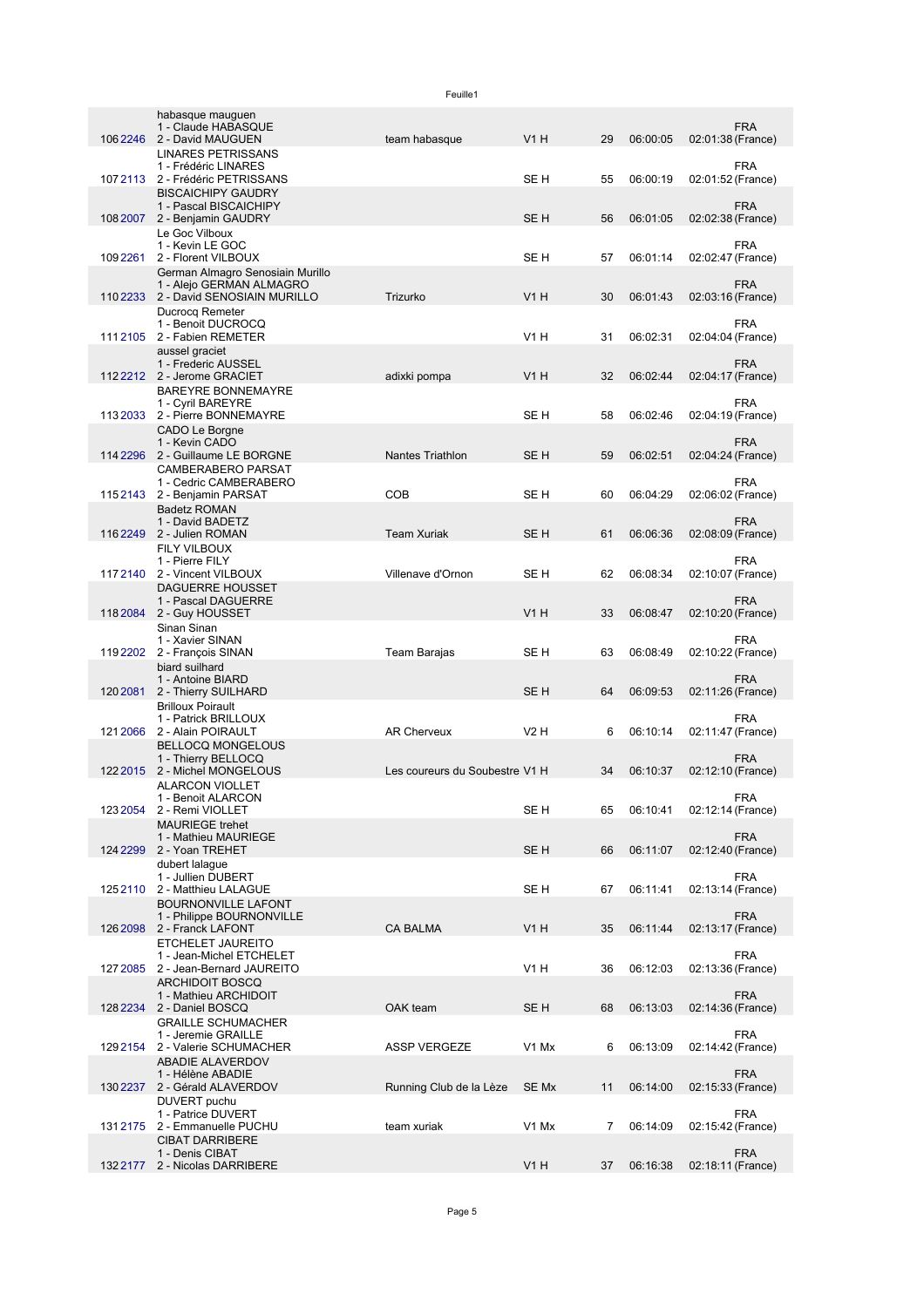|           | habasque mauguen<br>1 - Claude HABASQUE               |                                |                  |    |          | <b>FRA</b>                      |
|-----------|-------------------------------------------------------|--------------------------------|------------------|----|----------|---------------------------------|
| 1062246   | 2 - David MAUGUEN                                     | team habasque                  | <b>V1 H</b>      | 29 | 06:00:05 | 02:01:38 (France)               |
|           | LINARES PETRISSANS<br>1 - Frédéric LINARES            |                                |                  |    |          | <b>FRA</b>                      |
| 1072113   | 2 - Frédéric PETRISSANS                               |                                | SE H             | 55 | 06:00:19 | 02:01:52 (France)               |
|           | <b>BISCAICHIPY GAUDRY</b>                             |                                |                  |    |          |                                 |
|           | 1 - Pascal BISCAICHIPY                                |                                |                  |    |          | <b>FRA</b>                      |
| 108 2007  | 2 - Benjamin GAUDRY                                   |                                | SE <sub>H</sub>  | 56 | 06:01:05 | 02:02:38 (France)               |
|           | Le Goc Vilboux<br>1 - Kevin LE GOC                    |                                |                  |    |          | <b>FRA</b>                      |
| 1092261   | 2 - Florent VILBOUX                                   |                                | SE <sub>H</sub>  | 57 | 06:01:14 | 02:02:47 (France)               |
|           | German Almagro Senosiain Murillo                      |                                |                  |    |          |                                 |
|           | 1 - Alejo GERMAN ALMAGRO                              |                                |                  |    |          | <b>FRA</b>                      |
|           | 110 2233 2 - David SENOSIAIN MURILLO                  | Trizurko                       | V1H              | 30 | 06:01:43 | 02:03:16 (France)               |
|           | Ducrocq Remeter                                       |                                |                  |    |          |                                 |
| 111 2105  | 1 - Benoit DUCROCQ<br>2 - Fabien REMETER              |                                | V1 H             | 31 | 06:02:31 | <b>FRA</b><br>02:04:04 (France) |
|           | aussel graciet                                        |                                |                  |    |          |                                 |
|           | 1 - Frederic AUSSEL                                   |                                |                  |    |          | <b>FRA</b>                      |
|           | 1122212 2 - Jerome GRACIET                            | adixki pompa                   | V1H              | 32 | 06:02:44 | 02:04:17 (France)               |
|           | <b>BAREYRE BONNEMAYRE</b>                             |                                |                  |    |          |                                 |
|           | 1 - Cyril BAREYRE<br>2 - Pierre BONNEMAYRE            |                                |                  |    |          | <b>FRA</b><br>02:04:19 (France) |
| 113 2033  | CADO Le Borgne                                        |                                | SE H             | 58 | 06:02:46 |                                 |
|           | 1 - Kevin CADO                                        |                                |                  |    |          | <b>FRA</b>                      |
| 114 2 296 | 2 - Guillaume LE BORGNE                               | <b>Nantes Triathlon</b>        | SE H             | 59 | 06:02:51 | 02:04:24 (France)               |
|           | <b>CAMBERABERO PARSAT</b>                             |                                |                  |    |          |                                 |
|           | 1 - Cedric CAMBERABERO                                |                                |                  |    |          | <b>FRA</b>                      |
|           | 1152143 2 - Benjamin PARSAT                           | COB                            | SE <sub>H</sub>  | 60 | 06:04:29 | 02:06:02 (France)               |
|           | <b>Badetz ROMAN</b><br>1 - David BADETZ               |                                |                  |    |          | <b>FRA</b>                      |
|           | 116 2249 2 - Julien ROMAN                             | <b>Team Xuriak</b>             | SE <sub>H</sub>  | 61 | 06:06:36 | 02:08:09 (France)               |
|           | <b>FILY VILBOUX</b>                                   |                                |                  |    |          |                                 |
|           | 1 - Pierre FILY                                       |                                |                  |    |          | <b>FRA</b>                      |
|           | 1172140 2 - Vincent VILBOUX                           | Villenave d'Ornon              | SE H             | 62 | 06:08:34 | 02:10:07 (France)               |
|           | <b>DAGUERRE HOUSSET</b>                               |                                |                  |    |          |                                 |
|           | 1 - Pascal DAGUERRE<br>118 2084 2 - Guy HOUSSET       |                                | V1H              | 33 | 06:08:47 | <b>FRA</b><br>02:10:20 (France) |
|           | Sinan Sinan                                           |                                |                  |    |          |                                 |
|           | 1 - Xavier SINAN                                      |                                |                  |    |          | FRA                             |
| 1192202   | 2 - François SINAN                                    | Team Barajas                   | SE <sub>H</sub>  | 63 | 06:08:49 | 02:10:22 (France)               |
|           | biard suilhard                                        |                                |                  |    |          |                                 |
|           | 1 - Antoine BIARD                                     |                                | SE <sub>H</sub>  |    |          | <b>FRA</b>                      |
| 1202081   | 2 - Thierry SUILHARD<br><b>Brilloux Poirault</b>      |                                |                  | 64 | 06:09:53 | 02:11:26 (France)               |
|           | 1 - Patrick BRILLOUX                                  |                                |                  |    |          | <b>FRA</b>                      |
| 121 2066  | 2 - Alain POIRAULT                                    | <b>AR Cherveux</b>             | V2H              | 6  | 06:10:14 | 02:11:47 (France)               |
|           | <b>BELLOCQ MONGELOUS</b>                              |                                |                  |    |          |                                 |
|           | 1 - Thierry BELLOCQ                                   |                                |                  |    |          | <b>FRA</b>                      |
| 122 2015  | 2 - Michel MONGELOUS                                  | Les coureurs du Soubestre V1 H |                  | 34 | 06:10:37 | 02:12:10 (France)               |
|           | <b>ALARCON VIOLLET</b><br>1 - Benoit ALARCON          |                                |                  |    |          | <b>FRA</b>                      |
| 123 2054  | 2 - Remi VIOLLET                                      |                                | SE H             | 65 | 06:10:41 | 02:12:14 (France)               |
|           | <b>MAURIEGE</b> trehet                                |                                |                  |    |          |                                 |
|           | 1 - Mathieu MAURIEGE                                  |                                |                  |    |          | <b>FRA</b>                      |
| 124 2299  | 2 - Yoan TREHET                                       |                                | SE <sub>H</sub>  | 66 | 06:11:07 | 02:12:40 (France)               |
|           | dubert lalague<br>1 - Jullien DUBERT                  |                                |                  |    |          | <b>FRA</b>                      |
| 1252110   | 2 - Matthieu LALAGUE                                  |                                | SE H             | 67 | 06:11:41 | 02:13:14 (France)               |
|           | <b>BOURNONVILLE LAFONT</b>                            |                                |                  |    |          |                                 |
|           | 1 - Philippe BOURNONVILLE                             |                                |                  |    |          | <b>FRA</b>                      |
| 126 2098  | 2 - Franck LAFONT                                     | <b>CA BALMA</b>                | <b>V1 H</b>      | 35 | 06:11:44 | 02:13:17 (France)               |
|           | ETCHELET JAUREITO                                     |                                |                  |    |          |                                 |
| 127 2085  | 1 - Jean-Michel ETCHELET<br>2 - Jean-Bernard JAUREITO |                                | V <sub>1</sub> H | 36 | 06:12:03 | <b>FRA</b><br>02:13:36 (France) |
|           | <b>ARCHIDOIT BOSCQ</b>                                |                                |                  |    |          |                                 |
|           | 1 - Mathieu ARCHIDOIT                                 |                                |                  |    |          | <b>FRA</b>                      |
| 128 2 234 | 2 - Daniel BOSCQ                                      | OAK team                       | SE <sub>H</sub>  | 68 | 06:13:03 | 02:14:36 (France)               |
|           | <b>GRAILLE SCHUMACHER</b>                             |                                |                  |    |          |                                 |
|           | 1 - Jeremie GRAILLE                                   |                                |                  |    |          | <b>FRA</b>                      |
| 1292154   | 2 - Valerie SCHUMACHER                                | <b>ASSP VERGEZE</b>            | V1 Mx            | 6  | 06:13:09 | 02:14:42 (France)               |
|           | <b>ABADIE ALAVERDOV</b><br>1 - Hélène ABADIE          |                                |                  |    |          | <b>FRA</b>                      |
| 130 2237  | 2 - Gérald ALAVERDOV                                  | Running Club de la Lèze        | SE Mx            | 11 | 06:14:00 | 02:15:33 (France)               |
|           | DUVERT puchu                                          |                                |                  |    |          |                                 |
|           | 1 - Patrice DUVERT                                    |                                |                  |    |          | <b>FRA</b>                      |
|           | 1312175 2 - Emmanuelle PUCHU                          | team xuriak                    | V1 Mx            | 7  | 06:14:09 | 02:15:42 (France)               |
|           | <b>CIBAT DARRIBERE</b><br>1 - Denis CIBAT             |                                |                  |    |          | <b>FRA</b>                      |
|           | 132 2177 2 - Nicolas DARRIBERE                        |                                | V1H              | 37 | 06:16:38 | 02:18:11 (France)               |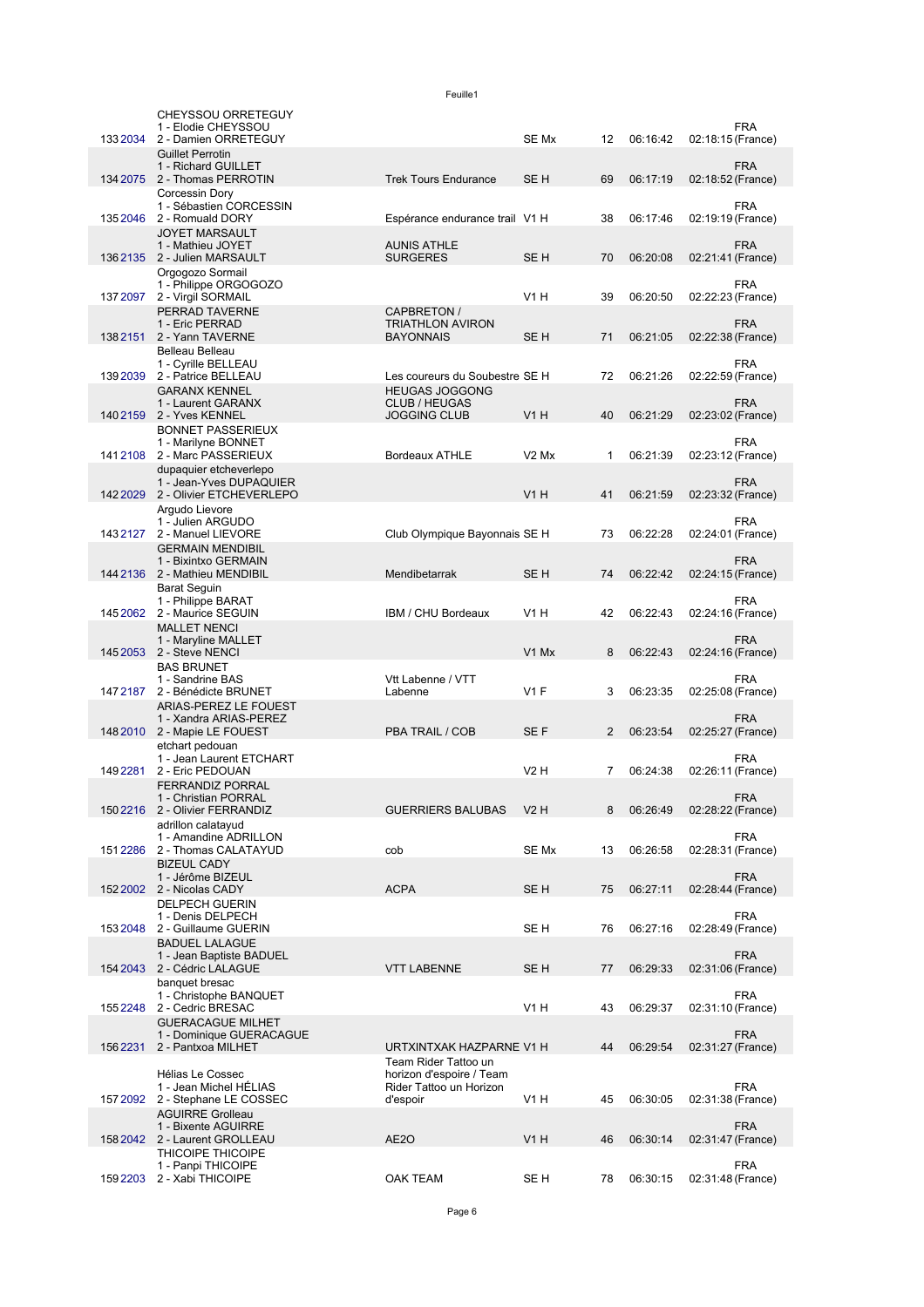|          | CHEYSSOU ORRETEGUY<br>1 - Elodie CHEYSSOU                 |                                                  |                               |                |          | FRA                             |  |
|----------|-----------------------------------------------------------|--------------------------------------------------|-------------------------------|----------------|----------|---------------------------------|--|
| 133 2034 | 2 - Damien ORRETEGUY                                      |                                                  | SE Mx                         | 12             | 06:16:42 | 02:18:15 (France)               |  |
|          | <b>Guillet Perrotin</b><br>1 - Richard GUILLET            |                                                  |                               |                |          | <b>FRA</b>                      |  |
|          | 134 2075 2 - Thomas PERROTIN                              | <b>Trek Tours Endurance</b>                      | SE <sub>H</sub>               | 69             | 06:17:19 | 02:18:52 (France)               |  |
|          | Corcessin Dory<br>1 - Sébastien CORCESSIN                 |                                                  |                               |                |          | <b>FRA</b>                      |  |
| 135 2046 | 2 - Romuald DORY                                          | Espérance endurance trail V1 H                   |                               | 38             | 06:17:46 | 02:19:19 (France)               |  |
|          | <b>JOYET MARSAULT</b><br>1 - Mathieu JOYET                | <b>AUNIS ATHLE</b>                               |                               |                |          | <b>FRA</b>                      |  |
|          | 136 2135 2 - Julien MARSAULT                              | <b>SURGERES</b>                                  | SE <sub>H</sub>               | 70             | 06:20:08 | 02:21:41 (France)               |  |
|          | Orgogozo Sormail<br>1 - Philippe ORGOGOZO                 |                                                  |                               |                |          | <b>FRA</b>                      |  |
|          | 137 2097 2 - Virgil SORMAIL                               |                                                  | V <sub>1</sub> H              | 39             | 06:20:50 | 02:22:23 (France)               |  |
|          | PERRAD TAVERNE<br>1 - Eric PERRAD                         | CAPBRETON /<br><b>TRIATHLON AVIRON</b>           |                               |                |          | <b>FRA</b>                      |  |
| 1382151  | 2 - Yann TAVERNE                                          | <b>BAYONNAIS</b>                                 | SE H                          | 71             | 06:21:05 | 02:22:38 (France)               |  |
|          | Belleau Belleau<br>1 - Cyrille BELLEAU                    |                                                  |                               |                |          | <b>FRA</b>                      |  |
|          | 139 2039 2 - Patrice BELLEAU                              | Les coureurs du Soubestre SE H                   |                               | 72             | 06:21:26 | 02:22:59 (France)               |  |
|          | <b>GARANX KENNEL</b><br>1 - Laurent GARANX                | <b>HEUGAS JOGGONG</b><br>CLUB / HEUGAS           |                               |                |          | <b>FRA</b>                      |  |
|          | 140 2159 2 - Yves KENNEL                                  | <b>JOGGING CLUB</b>                              | V1H                           | 40             | 06:21:29 | 02:23:02 (France)               |  |
|          | <b>BONNET PASSERIEUX</b><br>1 - Marilyne BONNET           |                                                  |                               |                |          | <b>FRA</b>                      |  |
| 1412108  | 2 - Marc PASSERIEUX                                       | <b>Bordeaux ATHLE</b>                            | V <sub>2</sub> M <sub>x</sub> | 1              | 06:21:39 | 02:23:12 (France)               |  |
|          | dupaquier etcheverlepo<br>1 - Jean-Yves DUPAQUIER         |                                                  |                               |                |          | <b>FRA</b>                      |  |
|          | 142 2029 2 - Olivier ETCHEVERLEPO                         |                                                  | V1H                           | 41             | 06:21:59 | 02:23:32 (France)               |  |
|          | Argudo Lievore<br>1 - Julien ARGUDO                       |                                                  |                               |                |          | <b>FRA</b>                      |  |
|          | 1432127 2 - Manuel LIEVORE                                | Club Olympique Bayonnais SE H                    |                               | 73             | 06:22:28 | 02:24:01 (France)               |  |
|          | <b>GERMAIN MENDIBIL</b><br>1 - Bixintxo GERMAIN           |                                                  |                               |                |          | <b>FRA</b>                      |  |
|          | 144 2136 2 - Mathieu MENDIBIL                             | Mendibetarrak                                    | SE <sub>H</sub>               | 74             | 06:22:42 | 02:24:15 (France)               |  |
|          | <b>Barat Seguin</b><br>1 - Philippe BARAT                 |                                                  |                               |                |          | <b>FRA</b>                      |  |
| 145 2062 | 2 - Maurice SEGUIN                                        | IBM / CHU Bordeaux                               | V <sub>1</sub> H              | 42             | 06:22:43 | 02:24:16 (France)               |  |
|          | <b>MALLET NENCI</b><br>1 - Maryline MALLET                |                                                  |                               |                |          | <b>FRA</b>                      |  |
|          | 145 2053 2 - Steve NENCI                                  |                                                  | V1 Mx                         | 8              | 06:22:43 | 02:24:16 (France)               |  |
|          | <b>BAS BRUNET</b><br>1 - Sandrine BAS                     | Vtt Labenne / VTT                                |                               |                |          | <b>FRA</b>                      |  |
|          | 147 2187 2 - Bénédicte BRUNET                             | Labenne                                          | $V1$ F                        | 3              | 06:23:35 | 02:25:08 (France)               |  |
|          | ARIAS-PEREZ LE FOUEST<br>1 - Xandra ARIAS-PEREZ           |                                                  |                               |                |          | <b>FRA</b>                      |  |
|          | 148 2010 2 - Mapie LE FOUEST                              | PBA TRAIL / COB                                  | SE F                          | $\overline{2}$ | 06:23:54 | 02:25:27 (France)               |  |
|          | etchart pedouan<br>1 - Jean Laurent ETCHART               |                                                  |                               |                |          | <b>FRA</b>                      |  |
| 1492281  | 2 - Eric PEDOUAN                                          |                                                  | V2H                           | 7              | 06:24:38 | 02:26:11 (France)               |  |
|          | <b>FERRANDIZ PORRAL</b><br>1 - Christian PORRAL           |                                                  |                               |                |          | <b>FRA</b>                      |  |
|          | 150 2216 2 - Olivier FERRANDIZ                            | <b>GUERRIERS BALUBAS</b>                         | V2 H                          | 8              | 06:26:49 | 02:28:22 (France)               |  |
|          | adrillon calatayud<br>1 - Amandine ADRILLON               |                                                  |                               |                |          | <b>FRA</b>                      |  |
| 1512286  | 2 - Thomas CALATAYUD                                      | cob                                              | SE Mx                         | 13             | 06:26:58 | 02:28:31 (France)               |  |
|          | <b>BIZEUL CADY</b><br>1 - Jérôme BIZEUL                   |                                                  |                               |                |          | <b>FRA</b>                      |  |
| 152 2002 | 2 - Nicolas CADY                                          | <b>ACPA</b>                                      | SE H                          | 75             | 06:27:11 | 02:28:44 (France)               |  |
|          | <b>DELPECH GUERIN</b><br>1 - Denis DELPECH                |                                                  |                               |                |          | <b>FRA</b>                      |  |
| 1532048  | 2 - Guillaume GUERIN                                      |                                                  | SE H                          | 76             | 06:27:16 | 02:28:49 (France)               |  |
|          | <b>BADUEL LALAGUE</b><br>1 - Jean Baptiste BADUEL         |                                                  |                               |                |          | <b>FRA</b>                      |  |
| 154 2043 | 2 - Cédric LALAGUE                                        | <b>VTT LABENNE</b>                               | SE H                          | 77             | 06:29:33 | 02:31:06 (France)               |  |
|          | banquet bresac<br>1 - Christophe BANQUET                  |                                                  |                               |                |          | <b>FRA</b>                      |  |
| 1552248  | 2 - Cedric BRESAC                                         |                                                  | V <sub>1</sub> H              | 43             | 06:29:37 | 02:31:10 (France)               |  |
|          | <b>GUERACAGUE MILHET</b><br>1 - Dominique GUERACAGUE      |                                                  |                               |                |          | <b>FRA</b>                      |  |
| 1562231  | 2 - Pantxoa MILHET                                        | URTXINTXAK HAZPARNE V1 H                         |                               | 44             | 06:29:54 | 02:31:27 (France)               |  |
|          | Hélias Le Cossec                                          | Team Rider Tattoo un<br>horizon d'espoire / Team |                               |                |          |                                 |  |
|          | 1 - Jean Michel HELIAS<br>157 2092 2 - Stephane LE COSSEC | Rider Tattoo un Horizon<br>d'espoir              | V1 H                          | 45             | 06:30:05 | <b>FRA</b><br>02:31:38 (France) |  |
|          | <b>AGUIRRE Grolleau</b>                                   |                                                  |                               |                |          |                                 |  |
|          | 1 - Bixente AGUIRRE<br>158 2042 2 - Laurent GROLLEAU      | AE2O                                             | V <sub>1</sub> H              | 46             | 06:30:14 | <b>FRA</b><br>02:31:47 (France) |  |
|          | THICOIPE THICOIPE                                         |                                                  |                               |                |          |                                 |  |
| 1592203  | 1 - Panpi THICOIPE<br>2 - Xabi THICOIPE                   | <b>OAK TEAM</b>                                  | SE H                          | 78             | 06:30:15 | <b>FRA</b><br>02:31:48 (France) |  |
|          |                                                           |                                                  |                               |                |          |                                 |  |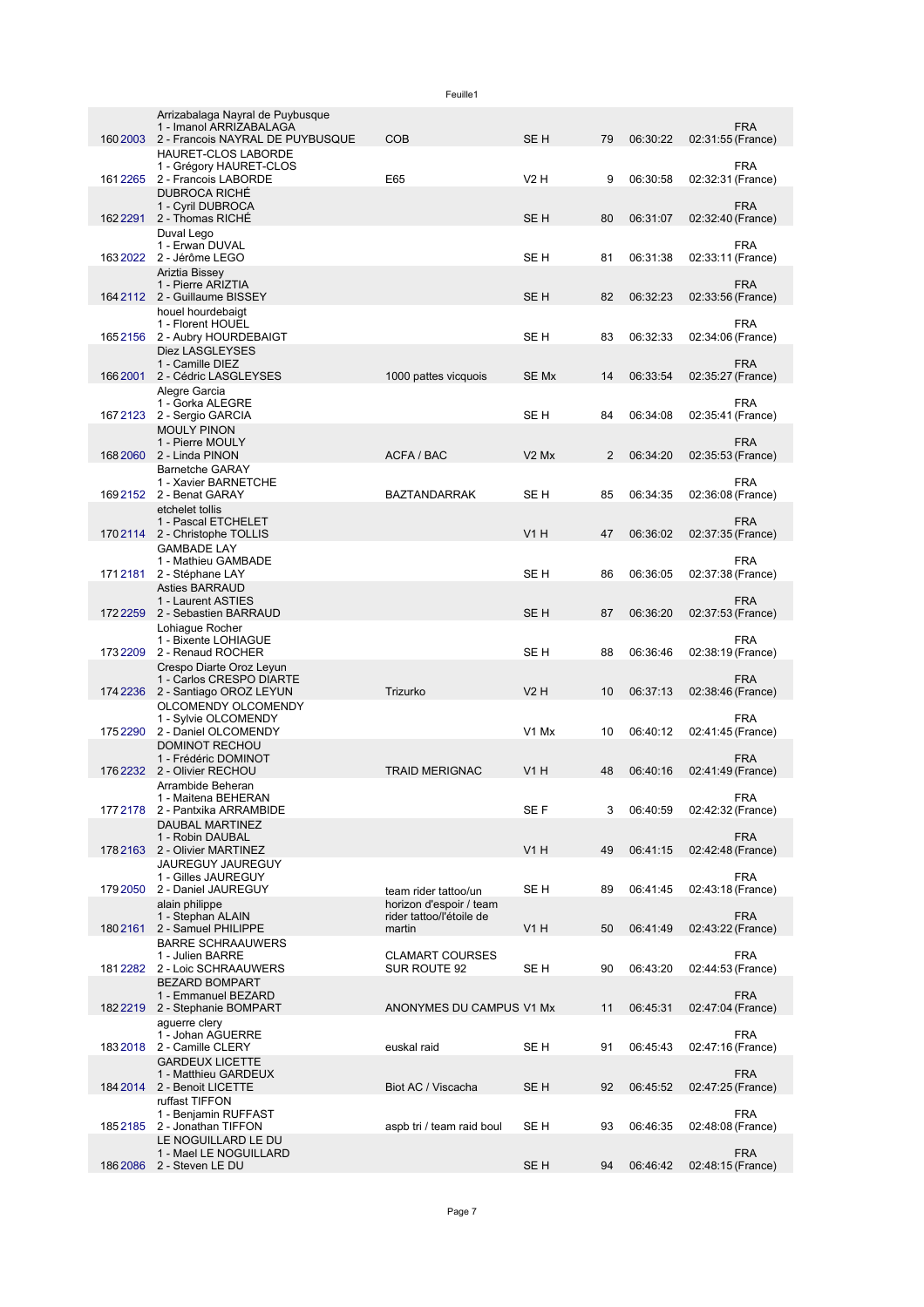|          |                                                             | Feuille1                                        |                 |    |          |                   |            |
|----------|-------------------------------------------------------------|-------------------------------------------------|-----------------|----|----------|-------------------|------------|
|          | Arrizabalaga Nayral de Puybusque<br>1 - Imanol ARRIZABALAGA |                                                 |                 |    |          |                   | <b>FRA</b> |
|          | 160 2003 2 - Francois NAYRAL DE PUYBUSQUE                   | <b>COB</b>                                      | SE <sub>H</sub> | 79 | 06:30:22 | 02:31:55 (France) |            |
|          | HAURET-CLOS LABORDE<br>1 - Grégory HAURET-CLOS              |                                                 |                 |    |          |                   | <b>FRA</b> |
|          | 161 2265 2 - Francois LABORDE<br><b>DUBROCA RICHÉ</b>       | E65                                             | V2H             | 9  | 06:30:58 | 02:32:31 (France) |            |
|          | 1 - Cyril DUBROCA<br>162 2291 2 - Thomas RICHE              |                                                 | SE <sub>H</sub> | 80 | 06:31:07 | 02:32:40 (France) | <b>FRA</b> |
|          | Duval Lego<br>1 - Erwan DUVAL                               |                                                 |                 |    |          |                   | FRA        |
|          | 163 2022 2 - Jérôme LEGO                                    |                                                 | SE <sub>H</sub> | 81 | 06:31:38 | 02:33:11 (France) |            |
|          | Ariztia Bissey<br>1 - Pierre ARIZTIA                        |                                                 |                 |    |          |                   | <b>FRA</b> |
|          | 164 2112 2 - Guillaume BISSEY<br>houel hourdebaigt          |                                                 | SE <sub>H</sub> | 82 | 06:32:23 | 02:33:56 (France) |            |
|          | 1 - Florent HOUEL<br>1652156 2 - Aubry HOURDEBAIGT          |                                                 | SE H            | 83 | 06:32:33 | 02:34:06 (France) | <b>FRA</b> |
|          | Diez LASGLEYSES                                             |                                                 |                 |    |          |                   |            |
| 166 2001 | 1 - Camille DIEZ<br>2 - Cédric LASGLEYSES                   | 1000 pattes vicquois                            | SE Mx           | 14 | 06:33:54 | 02:35:27 (France) | <b>FRA</b> |
|          | Alegre Garcia<br>1 - Gorka ALEGRE                           |                                                 |                 |    |          |                   | <b>FRA</b> |
| 1672123  | 2 - Sergio GARCIA                                           |                                                 | SE H            | 84 | 06:34:08 | 02:35:41 (France) |            |
|          | <b>MOULY PINON</b><br>1 - Pierre MOULY                      |                                                 |                 |    |          |                   | <b>FRA</b> |
|          | 168 2060 2 - Linda PINON<br><b>Barnetche GARAY</b>          | ACFA / BAC                                      | $V2$ Mx         | 2  | 06:34:20 | 02:35:53 (France) |            |
|          | 1 - Xavier BARNETCHE<br>169 2152 2 - Benat GARAY            | <b>BAZTANDARRAK</b>                             | SE <sub>H</sub> | 85 | 06:34:35 | 02:36:08 (France) | <b>FRA</b> |
|          | etchelet tollis                                             |                                                 |                 |    |          |                   |            |
|          | 1 - Pascal ETCHELET<br>1702114 2 - Christophe TOLLIS        |                                                 | V1H             | 47 | 06:36:02 | 02:37:35 (France) | <b>FRA</b> |
|          | <b>GAMBADE LAY</b><br>1 - Mathieu GAMBADE                   |                                                 |                 |    |          |                   | <b>FRA</b> |
|          | 1712181 2 - Stéphane LAY<br><b>Asties BARRAUD</b>           |                                                 | SE <sub>H</sub> | 86 | 06:36:05 | 02:37:38 (France) |            |
|          | 1 - Laurent ASTIES                                          |                                                 |                 |    |          |                   | <b>FRA</b> |
| 1722259  | 2 - Sebastien BARRAUD<br>Lohiague Rocher                    |                                                 | SE <sub>H</sub> | 87 | 06:36:20 | 02:37:53 (France) |            |
|          | 1 - Bixente LOHIAGUE<br>173 2209 2 - Renaud ROCHER          |                                                 | SE H            | 88 | 06:36:46 | 02:38:19 (France) | <b>FRA</b> |
|          | Crespo Diarte Oroz Leyun<br>1 - Carlos CRESPO DIARTE        |                                                 |                 |    |          |                   | <b>FRA</b> |
|          | 174 2236 2 - Santiago OROZ LEYUN                            | Trizurko                                        | $V2$ H          | 10 | 06:37:13 | 02:38:46 (France) |            |
|          | OLCOMENDY OLCOMENDY<br>1 - Sylvie OLCOMENDY                 |                                                 |                 |    |          |                   | <b>FRA</b> |
| 1752290  | 2 - Daniel OLCOMENDY<br><b>DOMINOT RECHOU</b>               |                                                 | V1 Mx           | 10 | 06:40:12 | 02:41:45 (France) |            |
|          | 1 - Frédéric DOMINOT<br>176 2232 2 - Olivier RECHOU         | <b>TRAID MERIGNAC</b>                           | V1 H            | 48 | 06:40:16 | 02:41:49 (France) | FRA        |
|          | Arrambide Beheran                                           |                                                 |                 |    |          |                   |            |
|          | 1 - Maitena BEHERAN<br>177 2178 2 - Pantxika ARRAMBIDE      |                                                 | SE F            | 3  | 06:40:59 | 02:42:32 (France) | <b>FRA</b> |
|          | DAUBAL MARTINEZ<br>1 - Robin DAUBAL                         |                                                 |                 |    |          |                   | <b>FRA</b> |
|          | 178 2163 2 - Olivier MARTINEZ<br>JAUREGUY JAUREGUY          |                                                 | V1H             | 49 | 06:41:15 | 02:42:48 (France) |            |
|          | 1 - Gilles JAUREGUY<br>179 2050 2 - Daniel JAUREGUY         |                                                 |                 |    |          |                   | <b>FRA</b> |
|          | alain philippe                                              | team rider tattoo/un<br>horizon d'espoir / team | SE H            | 89 | 06:41:45 | 02:43:18 (France) |            |
| 1802161  | 1 - Stephan ALAIN<br>2 - Samuel PHILIPPE                    | rider tattoo/l'étoile de<br>martin              | <b>V1 H</b>     | 50 | 06:41:49 | 02:43:22 (France) | <b>FRA</b> |
|          | <b>BARRE SCHRAAUWERS</b><br>1 - Julien BARRE                | <b>CLAMART COURSES</b>                          |                 |    |          |                   | <b>FRA</b> |
|          | 181 2282 2 - Loic SCHRAAUWERS                               | SUR ROUTE 92                                    | SE H            | 90 | 06:43:20 | 02:44:53 (France) |            |
|          | <b>BEZARD BOMPART</b><br>1 - Emmanuel BEZARD                |                                                 |                 |    |          |                   | <b>FRA</b> |
|          | 182 2219 2 - Stephanie BOMPART<br>aquerre clery             | ANONYMES DU CAMPUS V1 Mx                        |                 | 11 | 06:45:31 | 02:47:04 (France) |            |
|          | 1 - Johan AGUERRE<br>183 2018 2 - Camille CLERY             | euskal raid                                     | SE H            | 91 | 06:45:43 | 02:47:16 (France) | <b>FRA</b> |
|          | <b>GARDEUX LICETTE</b>                                      |                                                 |                 |    |          |                   |            |
|          | 1 - Matthieu GARDEUX<br>184 2014 2 - Benoit LICETTE         | Biot AC / Viscacha                              | SE <sub>H</sub> | 92 | 06:45:52 | 02:47:25 (France) | <b>FRA</b> |
|          | ruffast TIFFON<br>1 - Benjamin RUFFAST                      |                                                 |                 |    |          |                   | <b>FRA</b> |
|          | 1852185 2 - Jonathan TIFFON<br>LE NOGUILLARD LE DU          | aspb tri / team raid boul                       | SE H            | 93 | 06:46:35 | 02:48:08 (France) |            |
|          | 1 - Mael LE NOGUILLARD                                      |                                                 |                 |    |          |                   | <b>FRA</b> |
|          | 186 2086 2 - Steven LE DU                                   |                                                 | SE <sub>H</sub> | 94 | 06:46:42 | 02:48:15 (France) |            |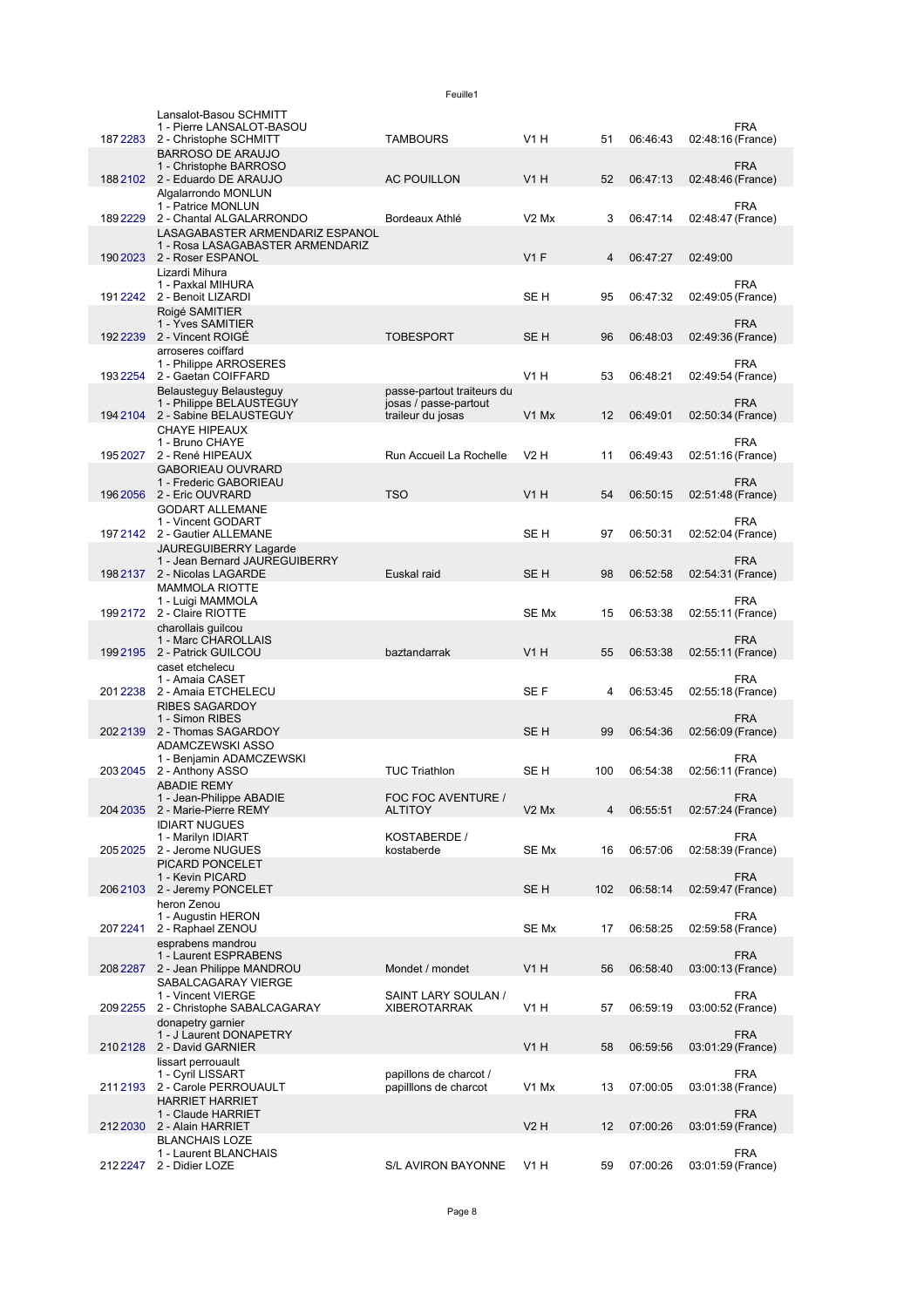|          | Lansalot-Basou SCHMITT<br>1 - Pierre LANSALOT-BASOU            |                                                |                               |     |          | FRA                             |
|----------|----------------------------------------------------------------|------------------------------------------------|-------------------------------|-----|----------|---------------------------------|
| 1872283  | 2 - Christophe SCHMITT                                         | <b>TAMBOURS</b>                                | V1H                           | 51  | 06:46:43 | 02:48:16 (France)               |
|          | <b>BARROSO DE ARAUJO</b><br>1 - Christophe BARROSO             |                                                |                               |     |          | <b>FRA</b>                      |
|          | 188 2102 2 - Eduardo DE ARAUJO                                 | <b>AC POUILLON</b>                             | V1H                           | 52  | 06:47:13 | 02:48:46 (France)               |
|          | Algalarrondo MONLUN                                            |                                                |                               |     |          |                                 |
| 1892229  | 1 - Patrice MONLUN<br>2 - Chantal ALGALARRONDO                 | Bordeaux Athlé                                 | V <sub>2</sub> M <sub>x</sub> | 3   | 06:47:14 | FRA<br>02:48:47 (France)        |
|          | LASAGABASTER ARMENDARIZ ESPANOL                                |                                                |                               |     |          |                                 |
|          | 1 - Rosa LASAGABASTER ARMENDARIZ<br>190 2023 2 - Roser ESPANOL |                                                | V1F                           | 4   | 06:47:27 | 02:49:00                        |
|          | Lizardi Mihura                                                 |                                                |                               |     |          |                                 |
|          | 1 - Paxkal MIHURA<br>191 2242 2 - Benoit LIZARDI               |                                                | SE H                          | 95  | 06:47:32 | <b>FRA</b><br>02:49:05 (France) |
|          | Roigé SAMITIER                                                 |                                                |                               |     |          |                                 |
|          | 1 - Yves SAMITIER                                              |                                                |                               |     |          | <b>FRA</b>                      |
|          | 192 2239 2 - Vincent ROIGÉ<br>arroseres coiffard               | <b>TOBESPORT</b>                               | SE <sub>H</sub>               | 96  | 06:48:03 | 02:49:36 (France)               |
|          | 1 - Philippe ARROSERES                                         |                                                |                               |     |          | FRA                             |
| 193 2254 | 2 - Gaetan COIFFARD<br>Belausteguy Belausteguy                 | passe-partout traiteurs du                     | V1H                           | 53  | 06:48:21 | 02:49:54 (France)               |
|          | 1 - Philippe BELAUSTEGUY                                       | josas / passe-partout                          |                               |     |          | FRA                             |
|          | 194 2104 2 - Sabine BELAUSTEGUY<br><b>CHAYE HIPEAUX</b>        | traileur du josas                              | V1 Mx                         | 12  | 06:49:01 | 02:50:34 (France)               |
|          | 1 - Bruno CHAYE                                                |                                                |                               |     |          | FRA                             |
| 195 2027 | 2 - René HIPEAUX                                               | Run Accueil La Rochelle                        | V2H                           | 11  | 06:49:43 | 02:51:16 (France)               |
|          | <b>GABORIEAU OUVRARD</b><br>1 - Frederic GABORIEAU             |                                                |                               |     |          | <b>FRA</b>                      |
|          | 196 2056 2 - Eric OUVRARD                                      | <b>TSO</b>                                     | <b>V1 H</b>                   | 54  | 06:50:15 | 02:51:48 (France)               |
|          | <b>GODART ALLEMANE</b><br>1 - Vincent GODART                   |                                                |                               |     |          | FRA                             |
|          | 197 2142 2 - Gautier ALLEMANE                                  |                                                | SE H                          | 97  | 06:50:31 | 02:52:04 (France)               |
|          | <b>JAUREGUIBERRY Lagarde</b><br>1 - Jean Bernard JAUREGUIBERRY |                                                |                               |     |          | <b>FRA</b>                      |
|          | 198 2137 2 - Nicolas LAGARDE                                   | Euskal raid                                    | SE <sub>H</sub>               | 98  | 06:52:58 | 02:54:31 (France)               |
|          | <b>MAMMOLA RIOTTE</b>                                          |                                                |                               |     |          |                                 |
| 199 2172 | 1 - Luigi MAMMOLA<br>2 - Claire RIOTTE                         |                                                | SE Mx                         | 15  | 06:53:38 | FRA<br>02:55:11 (France)        |
|          | charollais guilcou                                             |                                                |                               |     |          |                                 |
|          | 1 - Marc CHAROLLAIS<br>1992195 2 - Patrick GUILCOU             | baztandarrak                                   | V1H                           | 55  | 06:53:38 | FRA<br>02:55:11 (France)        |
|          | caset etchelecu                                                |                                                |                               |     |          |                                 |
| 2012238  | 1 - Amaia CASET<br>2 - Amaia ETCHELECU                         |                                                | SE F                          | 4   | 06:53:45 | <b>FRA</b><br>02:55:18 (France) |
|          | <b>RIBES SAGARDOY</b>                                          |                                                |                               |     |          |                                 |
|          | 1 - Simon RIBES<br>2022139 2 - Thomas SAGARDOY                 |                                                | SE <sub>H</sub>               | 99  |          | <b>FRA</b>                      |
|          | ADAMCZEWSKI ASSO                                               |                                                |                               |     | 06:54:36 | 02:56:09 (France)               |
|          | 1 - Benjamin ADAMCZEWSKI                                       |                                                |                               |     |          | FRA                             |
| 2032045  | 2 - Anthony ASSO<br><b>ABADIE REMY</b>                         | <b>TUC Triathlon</b>                           | SE H                          | 100 | 06:54:38 | 02:56:11 (France)               |
|          | 1 - Jean-Philippe ABADIE                                       | FOC FOC AVENTURE /                             |                               |     |          | <b>FRA</b>                      |
|          | 204 2035 2 - Marie-Pierre REMY<br><b>IDIART NUGUES</b>         | <b>ALTITOY</b>                                 | V <sub>2</sub> M <sub>x</sub> | 4   | 06:55:51 | 02:57:24 (France)               |
|          | 1 - Marilyn IDIART                                             | KOSTABERDE /                                   |                               |     |          | <b>FRA</b>                      |
| 205 2025 | 2 - Jerome NUGUES                                              | kostaberde                                     | SE Mx                         | 16  | 06:57:06 | 02:58:39 (France)               |
|          | PICARD PONCELET<br>1 - Kevin PICARD                            |                                                |                               |     |          | <b>FRA</b>                      |
|          | 206 2103 2 - Jeremy PONCELET                                   |                                                | SE H                          | 102 | 06:58:14 | 02:59:47 (France)               |
|          | heron Zenou<br>1 - Augustin HERON                              |                                                |                               |     |          | <b>FRA</b>                      |
| 2072241  | 2 - Raphael ZENOU                                              |                                                | SE Mx                         | 17  | 06:58:25 | 02:59:58 (France)               |
|          | esprabens mandrou<br>1 - Laurent ESPRABENS                     |                                                |                               |     |          | <b>FRA</b>                      |
| 2082287  | 2 - Jean Philippe MANDROU                                      | Mondet / mondet                                | <b>V1 H</b>                   | 56  | 06:58:40 | 03:00:13 (France)               |
|          | SABALCAGARAY VIERGE<br>1 - Vincent VIERGE                      | SAINT LARY SOULAN /                            |                               |     |          | <b>FRA</b>                      |
| 209 2255 | 2 - Christophe SABALCAGARAY                                    | <b>XIBEROTARRAK</b>                            | V <sub>1</sub> H              | 57  | 06:59:19 | 03:00:52 (France)               |
|          | donapetry garnier                                              |                                                |                               |     |          |                                 |
|          | 1 - J Laurent DONAPETRY<br>210 2128 2 - David GARNIER          |                                                | V <sub>1</sub> H              | 58  | 06:59:56 | FRA<br>03:01:29 (France)        |
|          | lissart perrouault                                             |                                                |                               |     |          |                                 |
| 2112193  | 1 - Cyril LISSART<br>2 - Carole PERROUAULT                     | papillons de charcot /<br>papillons de charcot | V1 Mx                         | 13  | 07:00:05 | <b>FRA</b><br>03:01:38 (France) |
|          | <b>HARRIET HARRIET</b>                                         |                                                |                               |     |          |                                 |
| 212 2030 | 1 - Claude HARRIET<br>2 - Alain HARRIET                        |                                                | <b>V2 H</b>                   | 12  | 07:00:26 | <b>FRA</b><br>03:01:59 (France) |
|          | <b>BLANCHAIS LOZE</b>                                          |                                                |                               |     |          |                                 |
|          |                                                                |                                                |                               |     |          | FRA                             |
|          | 1 - Laurent BLANCHAIS<br>212 2247 2 - Didier LOZE              | S/L AVIRON BAYONNE                             | V1 H                          | 59  | 07:00:26 | 03:01:59 (France)               |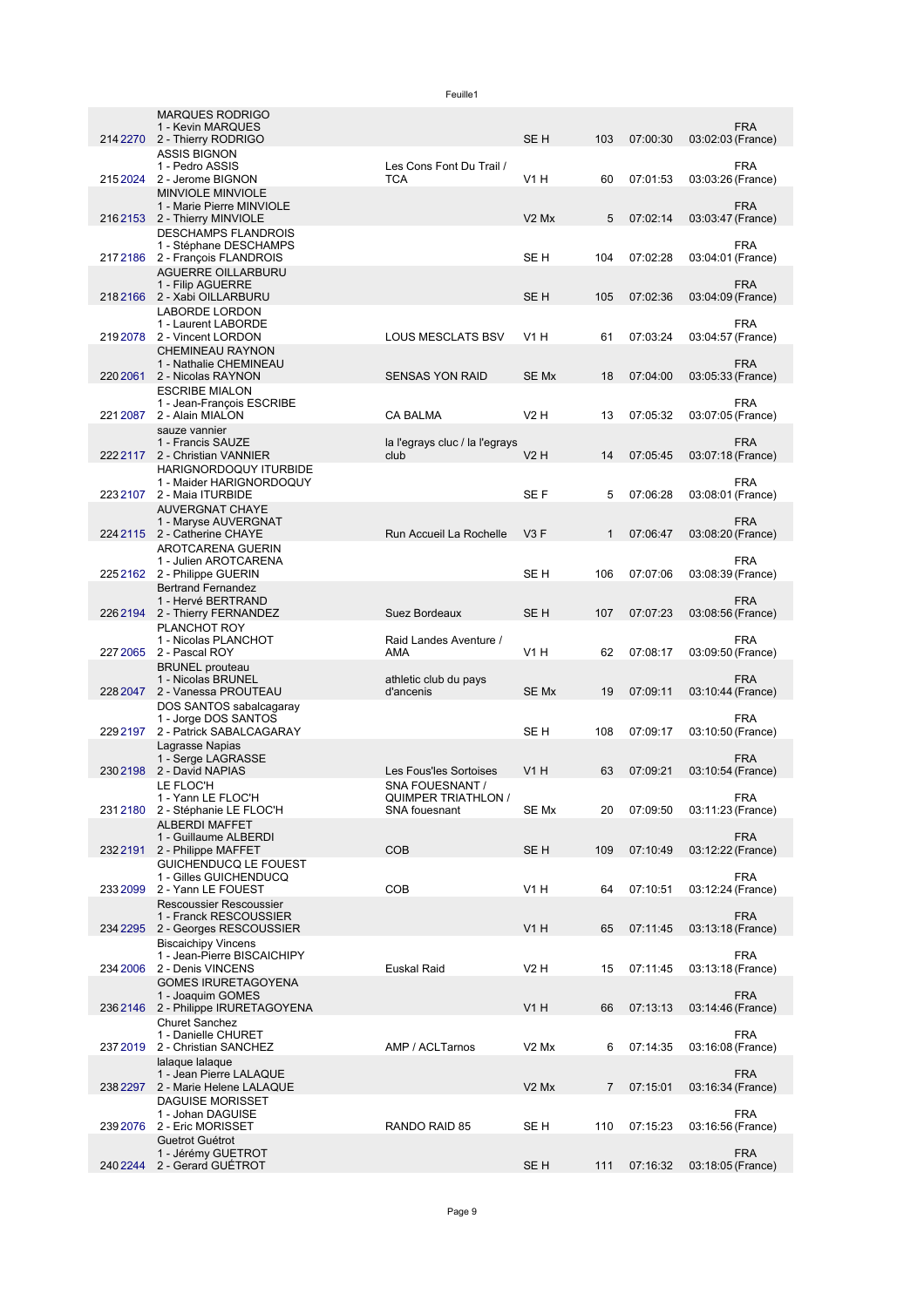|          | <b>MARQUES RODRIGO</b><br>1 - Kevin MARQUES               |                                    |                               |                |          | <b>FRA</b>                      |
|----------|-----------------------------------------------------------|------------------------------------|-------------------------------|----------------|----------|---------------------------------|
| 214 2270 | 2 - Thierry RODRIGO                                       |                                    | SE H                          | 103            | 07:00:30 | 03:02:03 (France)               |
|          | <b>ASSIS BIGNON</b><br>1 - Pedro ASSIS                    | Les Cons Font Du Trail /           |                               |                |          | FRA                             |
| 2152024  | 2 - Jerome BIGNON                                         | <b>TCA</b>                         | V <sub>1</sub> H              | 60             | 07:01:53 | 03:03:26 (France)               |
|          | <b>MINVIOLE MINVIOLE</b>                                  |                                    |                               |                |          |                                 |
|          | 1 - Marie Pierre MINVIOLE<br>2162153 2 - Thierry MINVIOLE |                                    | V <sub>2</sub> M <sub>x</sub> | 5              | 07:02:14 | <b>FRA</b><br>03:03:47 (France) |
|          | <b>DESCHAMPS FLANDROIS</b>                                |                                    |                               |                |          |                                 |
|          | 1 - Stéphane DESCHAMPS<br>217 2186 2 - François FLANDROIS |                                    | SE <sub>H</sub>               | 104            | 07:02:28 | <b>FRA</b><br>03:04:01 (France) |
|          | <b>AGUERRE OILLARBURU</b>                                 |                                    |                               |                |          |                                 |
|          | 1 - Filip AGUERRE<br>2182166 2 - Xabi OILLARBURU          |                                    | SE <sub>H</sub>               | 105            | 07:02:36 | <b>FRA</b><br>03:04:09 (France) |
|          | <b>LABORDE LORDON</b>                                     |                                    |                               |                |          |                                 |
|          | 1 - Laurent LABORDE                                       |                                    | V1H                           |                |          | FRA                             |
| 2192078  | 2 - Vincent LORDON<br><b>CHEMINEAU RAYNON</b>             | <b>LOUS MESCLATS BSV</b>           |                               | 61             | 07:03:24 | 03:04:57 (France)               |
|          | 1 - Nathalie CHEMINEAU                                    |                                    |                               |                |          | <b>FRA</b>                      |
| 220 2061 | 2 - Nicolas RAYNON<br><b>ESCRIBE MIALON</b>               | <b>SENSAS YON RAID</b>             | SE Mx                         | 18             | 07:04:00 | 03:05:33 (France)               |
|          | 1 - Jean-François ESCRIBE                                 |                                    |                               |                |          | <b>FRA</b>                      |
| 221 2087 | 2 - Alain MIALON<br>sauze vannier                         | <b>CA BALMA</b>                    | V2H                           | 13             | 07:05:32 | 03:07:05 (France)               |
|          | 1 - Francis SAUZE                                         | la l'egrays cluc / la l'egrays     |                               |                |          | <b>FRA</b>                      |
| 222 2117 | 2 - Christian VANNIER                                     | club                               | V2H                           | 14             | 07:05:45 | 03:07:18 (France)               |
|          | HARIGNORDOQUY ITURBIDE<br>1 - Maider HARIGNORDOQUY        |                                    |                               |                |          | <b>FRA</b>                      |
|          | 223 2107 2 - Maia ITURBIDE                                |                                    | SE F                          | 5              | 07:06:28 | 03:08:01 (France)               |
|          | <b>AUVERGNAT CHAYE</b><br>1 - Maryse AUVERGNAT            |                                    |                               |                |          | <b>FRA</b>                      |
|          | 224 2115 2 - Catherine CHAYE                              | Run Accueil La Rochelle            | V3F                           | $\mathbf{1}$   | 07:06:47 | 03:08:20 (France)               |
|          | AROTCARENA GUERIN<br>1 - Julien AROTCARENA                |                                    |                               |                |          | <b>FRA</b>                      |
|          | 225 2162 2 - Philippe GUERIN                              |                                    | SE H                          | 106            | 07:07:06 | 03:08:39 (France)               |
|          | <b>Bertrand Fernandez</b>                                 |                                    |                               |                |          |                                 |
|          | 1 - Hervé BERTRAND<br>226 2194 2 - Thierry FERNANDEZ      | Suez Bordeaux                      | SE <sub>H</sub>               | 107            | 07:07:23 | <b>FRA</b><br>03:08:56 (France) |
|          | PLANCHOT ROY                                              |                                    |                               |                |          |                                 |
| 227 2065 | 1 - Nicolas PLANCHOT<br>2 - Pascal ROY                    | Raid Landes Aventure /<br>AMA      | V <sub>1</sub> H              | 62             | 07:08:17 | FRA<br>03:09:50 (France)        |
|          | <b>BRUNEL</b> prouteau                                    |                                    |                               |                |          |                                 |
| 228 2047 | 1 - Nicolas BRUNEL<br>2 - Vanessa PROUTEAU                | athletic club du pays<br>d'ancenis | SE Mx                         | 19             | 07:09:11 | <b>FRA</b><br>03:10:44 (France) |
|          | DOS SANTOS sabalcagaray                                   |                                    |                               |                |          |                                 |
| 2292197  | 1 - Jorge DOS SANTOS<br>2 - Patrick SABALCAGARAY          |                                    | SE H                          | 108            | 07:09:17 | <b>FRA</b><br>03:10:50 (France) |
|          | Lagrasse Napias                                           |                                    |                               |                |          |                                 |
| 2302198  | 1 - Serge LAGRASSE<br>2 - David NAPIAS                    | Les Fous'les Sortoises             | V1H                           | 63             | 07:09:21 | <b>FRA</b><br>03:10:54 (France) |
|          | LE FLOC'H                                                 | SNA FOUESNANT /                    |                               |                |          |                                 |
|          | 1 - Yann LE FLOC'H                                        | <b>QUIMPER TRIATHLON /</b>         |                               |                |          | <b>FRA</b>                      |
|          | 231 2180 2 - Stéphanie LE FLOC'H<br><b>ALBERDI MAFFET</b> | SNA fouesnant                      | SE Mx                         | 20             | 07:09:50 | 03:11:23 (France)               |
|          | 1 - Guillaume ALBERDI                                     |                                    |                               |                |          | <b>FRA</b>                      |
| 2322191  | 2 - Philippe MAFFET<br>GUICHENDUCQ LE FOUEST              | <b>COB</b>                         | SE <sub>H</sub>               | 109            | 07:10:49 | 03:12:22 (France)               |
|          | 1 - Gilles GUICHENDUCQ                                    |                                    |                               |                |          | <b>FRA</b>                      |
| 233 2099 | 2 - Yann LE FOUEST<br><b>Rescoussier Rescoussier</b>      | COB                                | V <sub>1</sub> H              | 64             | 07:10:51 | 03:12:24 (France)               |
|          | 1 - Franck RESCOUSSIER                                    |                                    |                               |                |          | <b>FRA</b>                      |
| 234 2295 | 2 - Georges RESCOUSSIER<br><b>Biscaichipy Vincens</b>     |                                    | <b>V1 H</b>                   | 65             | 07:11:45 | 03:13:18 (France)               |
|          | 1 - Jean-Pierre BISCAICHIPY                               |                                    |                               |                |          | <b>FRA</b>                      |
| 234 2006 | 2 - Denis VINCENS                                         | Euskal Raid                        | V2 H                          | 15             | 07:11:45 | 03:13:18 (France)               |
|          | <b>GOMES IRURETAGOYENA</b><br>1 - Joaquim GOMES           |                                    |                               |                |          | <b>FRA</b>                      |
| 2362146  | 2 - Philippe IRURETAGOYENA                                |                                    | <b>V1 H</b>                   | 66             | 07:13:13 | 03:14:46 (France)               |
|          | <b>Churet Sanchez</b><br>1 - Danielle CHURET              |                                    |                               |                |          | <b>FRA</b>                      |
| 2372019  | 2 - Christian SANCHEZ                                     | AMP / ACLTarnos                    | V <sub>2</sub> M <sub>x</sub> | 6              | 07:14:35 | 03:16:08 (France)               |
|          | lalaque lalaque<br>1 - Jean Pierre LALAQUE                |                                    |                               |                |          | <b>FRA</b>                      |
|          | 238 2297 2 - Marie Helene LALAQUE                         |                                    | V <sub>2</sub> M <sub>x</sub> | $\overline{7}$ | 07:15:01 | 03:16:34 (France)               |
|          | <b>DAGUISE MORISSET</b><br>1 - Johan DAGUISE              |                                    |                               |                |          | <b>FRA</b>                      |
| 239 2076 | 2 - Eric MORISSET                                         | RANDO RAID 85                      | SE H                          | 110            | 07:15:23 | 03:16:56 (France)               |
|          | Guetrot Guétrot                                           |                                    |                               |                |          |                                 |
| 240 2244 | 1 - Jérémy GUETROT<br>2 - Gerard GUETROT                  |                                    | SE H                          | 111            | 07:16:32 | <b>FRA</b><br>03:18:05 (France) |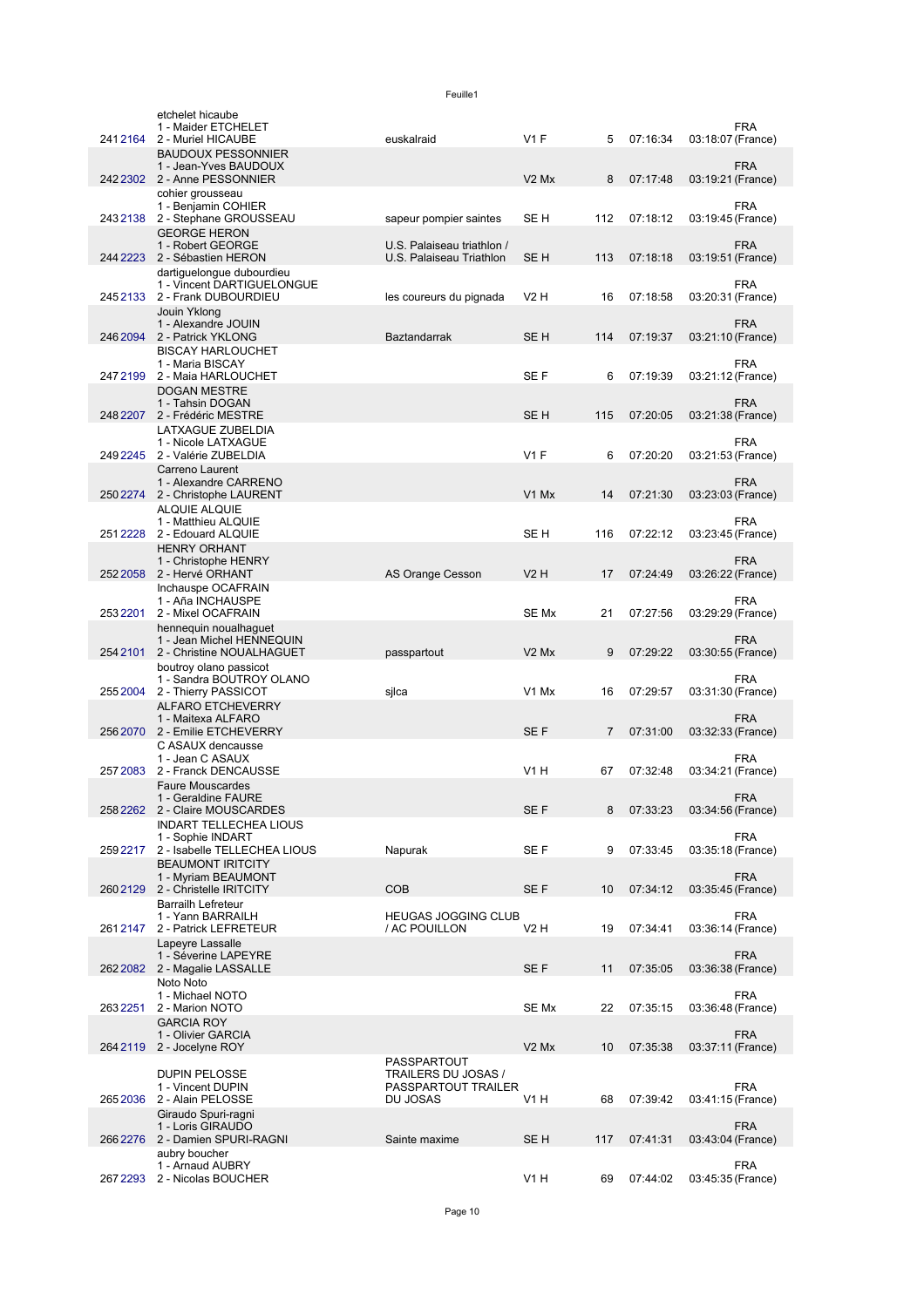|          | etchelet hicaube<br>1 - Maider ETCHELET                                            |                                                           |                               |     |          | <b>FRA</b>                      |
|----------|------------------------------------------------------------------------------------|-----------------------------------------------------------|-------------------------------|-----|----------|---------------------------------|
|          | 241 2164 2 - Muriel HICAUBE                                                        | euskalraid                                                | $V1$ F                        | 5   | 07:16:34 | 03:18:07 (France)               |
|          | <b>BAUDOUX PESSONNIER</b><br>1 - Jean-Yves BAUDOUX                                 |                                                           |                               |     |          | <b>FRA</b>                      |
|          | 242 2302 2 - Anne PESSONNIER<br>cohier grousseau                                   |                                                           | V <sub>2</sub> M <sub>x</sub> | 8   | 07:17:48 | 03:19:21 (France)               |
|          | 1 - Benjamin COHIER<br>243 2138 2 - Stephane GROUSSEAU                             | sapeur pompier saintes                                    | SE H                          | 112 | 07:18:12 | <b>FRA</b><br>03:19:45 (France) |
|          | <b>GEORGE HERON</b><br>1 - Robert GEORGE<br>244 2223 2 - Sébastien HERON           | U.S. Palaiseau triathlon /<br>U.S. Palaiseau Triathlon    | SE H                          | 113 | 07:18:18 | <b>FRA</b><br>03:19:51 (France) |
|          | dartiguelongue dubourdieu<br>1 - Vincent DARTIGUELONGUE                            |                                                           |                               |     |          | <b>FRA</b>                      |
|          | 2452133 2 - Frank DUBOURDIEU<br>Jouin Yklong                                       | les coureurs du pignada                                   | <b>V2 H</b>                   | 16  | 07:18:58 | 03:20:31 (France)               |
| 246 2094 | 1 - Alexandre JOUIN<br>2 - Patrick YKLONG                                          | Baztandarrak                                              | SE <sub>H</sub>               | 114 | 07:19:37 | <b>FRA</b><br>03:21:10 (France) |
| 2472199  | <b>BISCAY HARLOUCHET</b><br>1 - Maria BISCAY<br>2 - Maia HARLOUCHET                |                                                           | SE F                          | 6   | 07:19:39 | <b>FRA</b><br>03:21:12 (France) |
|          | <b>DOGAN MESTRE</b><br>1 - Tahsin DOGAN<br>248 2207 2 - Frédéric MESTRE            |                                                           | SE <sub>H</sub>               | 115 | 07:20:05 | <b>FRA</b><br>03:21:38 (France) |
|          | LATXAGUE ZUBELDIA<br>1 - Nicole LATXAGUE                                           |                                                           |                               |     |          | <b>FRA</b>                      |
|          | 249 2245 2 - Valérie ZUBELDIA                                                      |                                                           | $V1$ F                        | 6   | 07:20:20 | 03:21:53 (France)               |
|          | Carreno Laurent<br>1 - Alexandre CARRENO<br>250 2274 2 - Christophe LAURENT        |                                                           | V <sub>1</sub> M <sub>x</sub> | 14  | 07:21:30 | <b>FRA</b><br>03:23:03 (France) |
|          | <b>ALQUIE ALQUIE</b><br>1 - Matthieu ALQUIE                                        |                                                           |                               |     |          | <b>FRA</b>                      |
| 2512228  | 2 - Edouard ALQUIE<br><b>HENRY ORHANT</b>                                          |                                                           | SE <sub>H</sub>               | 116 | 07:22:12 | 03:23:45 (France)               |
|          | 1 - Christophe HENRY<br>252 2058 2 - Hervé ORHANT                                  | AS Orange Cesson                                          | V2H                           | 17  | 07:24:49 | <b>FRA</b><br>03:26:22 (France) |
|          | Inchauspe OCAFRAIN<br>1 - Aña INCHAUSPE                                            |                                                           |                               |     |          | <b>FRA</b>                      |
| 2532201  | 2 - Mixel OCAFRAIN<br>hennequin noualhaguet                                        |                                                           | SE Mx                         | 21  | 07:27:56 | 03:29:29 (France)               |
| 254 2101 | 1 - Jean Michel HENNEQUIN<br>2 - Christine NOUALHAGUET                             | passpartout                                               | V <sub>2</sub> M <sub>x</sub> | 9   | 07:29:22 | <b>FRA</b><br>03:30:55 (France) |
| 2552004  | boutroy olano passicot<br>1 - Sandra BOUTROY OLANO<br>2 - Thierry PASSICOT         | sjlca                                                     | V <sub>1</sub> M <sub>x</sub> | 16  | 07:29:57 | <b>FRA</b><br>03:31:30 (France) |
|          | <b>ALFARO ETCHEVERRY</b><br>1 - Maitexa ALFARO<br>256 2070 2 - Emilie ETCHEVERRY   |                                                           | SE F                          | 7   | 07:31:00 | <b>FRA</b><br>03:32:33 (France) |
|          | C ASAUX dencausse<br>1 - Jean C ASAUX                                              |                                                           |                               |     |          | <b>FRA</b>                      |
| 2572083  | 2 - Franck DENCAUSSE<br><b>Faure Mouscardes</b>                                    |                                                           | V1H                           | 67  | 07:32:48 | 03:34:21 (France)               |
|          | 1 - Geraldine FAURE<br>258 2262 2 - Claire MOUSCARDES                              |                                                           | SE F                          | 8   | 07:33:23 | <b>FRA</b><br>03:34:56 (France) |
| 259 2217 | <b>INDART TELLECHEA LIOUS</b><br>1 - Sophie INDART<br>2 - Isabelle TELLECHEA LIOUS |                                                           | SE F                          | 9   | 07:33:45 | <b>FRA</b><br>03:35:18 (France) |
|          | <b>BEAUMONT IRITCITY</b><br>1 - Myriam BEAUMONT                                    | Napurak                                                   |                               |     |          | <b>FRA</b>                      |
|          | 260 2129 2 - Christelle IRITCITY<br><b>Barrailh Lefreteur</b>                      | <b>COB</b>                                                | SE <sub>F</sub>               | 10  | 07:34:12 | 03:35:45 (France)               |
| 2612147  | 1 - Yann BARRAILH<br>2 - Patrick LEFRETEUR                                         | <b>HEUGAS JOGGING CLUB</b><br>/ AC POUILLON               | V2 H                          | 19  | 07:34:41 | <b>FRA</b><br>03:36:14 (France) |
|          | Lapeyre Lassalle<br>1 - Séverine LAPEYRE                                           |                                                           |                               |     |          | <b>FRA</b>                      |
|          | 262 2082 2 - Magalie LASSALLE<br>Noto Noto                                         |                                                           | SE <sub>F</sub>               | 11  | 07:35:05 | 03:36:38 (France)               |
| 2632251  | 1 - Michael NOTO<br>2 - Marion NOTO                                                |                                                           | SE Mx                         | 22  | 07:35:15 | <b>FRA</b><br>03:36:48 (France) |
|          | <b>GARCIA ROY</b><br>1 - Olivier GARCIA<br>264 2119 2 - Jocelyne ROY               |                                                           | V <sub>2</sub> M <sub>x</sub> | 10  | 07:35:38 | <b>FRA</b><br>03:37:11 (France) |
|          | <b>DUPIN PELOSSE</b><br>1 - Vincent DUPIN                                          | PASSPARTOUT<br>TRAILERS DU JOSAS /<br>PASSPARTOUT TRAILER |                               |     |          | <b>FRA</b>                      |
| 2652036  | 2 - Alain PELOSSE<br>Giraudo Spuri-ragni                                           | DU JOSAS                                                  | <b>V1 H</b>                   | 68  | 07:39:42 | 03:41:15 (France)               |
|          | 1 - Loris GIRAUDO<br>266 2276 2 - Damien SPURI-RAGNI                               | Sainte maxime                                             | SE <sub>H</sub>               | 117 | 07:41:31 | <b>FRA</b><br>03:43:04 (France) |
| 267 2293 | aubry boucher<br>1 - Arnaud AUBRY<br>2 - Nicolas BOUCHER                           |                                                           | <b>V1 H</b>                   | 69  | 07:44:02 | <b>FRA</b><br>03:45:35 (France) |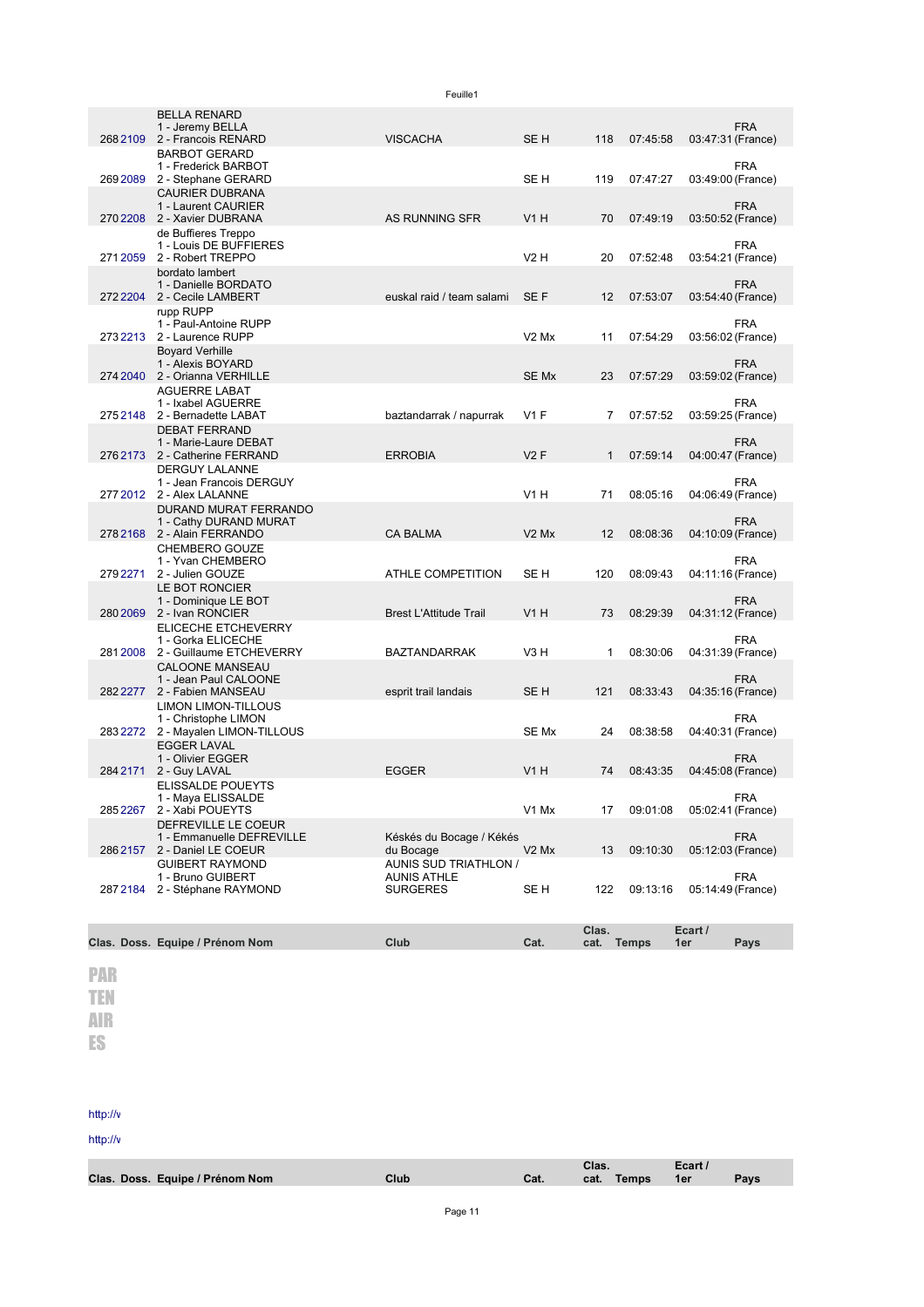|          |                                                                                                          | Feuille1                                                       |                               |              |          |         |                                 |
|----------|----------------------------------------------------------------------------------------------------------|----------------------------------------------------------------|-------------------------------|--------------|----------|---------|---------------------------------|
|          | <b>BELLA RENARD</b><br>1 - Jeremy BELLA<br>268 2109 2 - Francois RENARD                                  | <b>VISCACHA</b>                                                | SE <sub>H</sub>               | 118          | 07:45:58 |         | <b>FRA</b><br>03:47:31 (France) |
| 2692089  | <b>BARBOT GERARD</b><br>1 - Frederick BARBOT                                                             |                                                                | SE H                          | 119          | 07:47:27 |         | <b>FRA</b>                      |
|          | 2 - Stephane GERARD<br><b>CAURIER DUBRANA</b><br>1 - Laurent CAURIER                                     |                                                                |                               |              |          |         | 03:49:00 (France)<br><b>FRA</b> |
|          | 270 2208 2 - Xavier DUBRANA<br>de Buffieres Treppo<br>1 - Louis DE BUFFIERES                             | AS RUNNING SFR                                                 | <b>V1 H</b>                   | 70           | 07:49:19 |         | 03:50:52 (France)<br><b>FRA</b> |
|          | 271 2059 2 - Robert TREPPO<br>bordato lambert<br>1 - Danielle BORDATO                                    |                                                                | V2H                           | 20           | 07:52:48 |         | 03:54:21 (France)<br><b>FRA</b> |
|          | 272 2204 2 - Cecile LAMBERT<br>rupp RUPP                                                                 | euskal raid / team salami                                      | SE F                          | 12           | 07:53:07 |         | 03:54:40 (France)               |
|          | 1 - Paul-Antoine RUPP<br>273 2213 2 - Laurence RUPP<br><b>Boyard Verhille</b>                            |                                                                | $V2$ Mx                       | 11           | 07:54:29 |         | <b>FRA</b><br>03:56:02 (France) |
|          | 1 - Alexis BOYARD<br>274 2040 2 - Orianna VERHILLE<br><b>AGUERRE LABAT</b>                               |                                                                | SE Mx                         | 23           | 07:57:29 |         | <b>FRA</b><br>03:59:02 (France) |
| 275 2148 | 1 - Ixabel AGUERRE<br>2 - Bernadette LABAT                                                               | baztandarrak / napurrak                                        | $V1$ F                        | 7            | 07:57:52 |         | FRA<br>03:59:25 (France)        |
|          | <b>DEBAT FERRAND</b><br>1 - Marie-Laure DEBAT<br>276 2173 2 - Catherine FERRAND<br><b>DERGUY LALANNE</b> | <b>ERROBIA</b>                                                 | V2F                           | $\mathbf{1}$ | 07:59:14 |         | <b>FRA</b><br>04:00:47 (France) |
|          | 1 - Jean Francois DERGUY<br>277 2012 2 - Alex LALANNE                                                    |                                                                | V1 H                          | 71           | 08:05:16 |         | <b>FRA</b><br>04:06:49 (France) |
|          | DURAND MURAT FERRANDO<br>1 - Cathy DURAND MURAT<br>278 2168 2 - Alain FERRANDO                           | <b>CA BALMA</b>                                                | V <sub>2</sub> M <sub>x</sub> | 12           | 08:08:36 |         | <b>FRA</b><br>04:10:09 (France) |
| 279 2271 | CHEMBERO GOUZE<br>1 - Yvan CHEMBERO<br>2 - Julien GOUZE                                                  | ATHLE COMPETITION                                              | SE H                          | 120          | 08:09:43 |         | <b>FRA</b><br>04:11:16 (France) |
|          | LE BOT RONCIER<br>1 - Dominique LE BOT<br>280 2069 2 - Ivan RONCIER                                      | <b>Brest L'Attitude Trail</b>                                  | <b>V1 H</b>                   | 73           | 08:29:39 |         | <b>FRA</b><br>04:31:12 (France) |
|          | <b>ELICECHE ETCHEVERRY</b><br>1 - Gorka ELICECHE                                                         |                                                                |                               |              |          |         | <b>FRA</b>                      |
|          | 281 2008 2 - Guillaume ETCHEVERRY<br><b>CALOONE MANSEAU</b><br>1 - Jean Paul CALOONE                     | <b>BAZTANDARRAK</b>                                            | V3 H                          | 1            | 08:30:06 |         | 04:31:39 (France)<br><b>FRA</b> |
|          | 282 2277 2 - Fabien MANSEAU<br>LIMON LIMON-TILLOUS                                                       | esprit trail landais                                           | SE H                          | 121          | 08:33:43 |         | 04:35:16 (France)               |
|          | 1 - Christophe LIMON<br>283 2272 2 - Mayalen LIMON-TILLOUS<br><b>EGGER LAVAL</b>                         |                                                                | SE Mx                         | 24           | 08:38:58 |         | <b>FRA</b><br>04:40:31 (France) |
| 284 2171 | 1 - Olivier EGGER<br>2 - Guy LAVAL                                                                       | <b>EGGER</b>                                                   | V1H                           | 74           | 08:43:35 |         | <b>FRA</b><br>04:45:08 (France) |
| 285 2267 | ELISSALDE POUEYTS<br>1 - Maya ELISSALDE<br>2 - Xabi POUEYTS                                              |                                                                | V1 Mx                         | 17           | 09:01:08 |         | FRA<br>05:02:41 (France)        |
|          | DEFREVILLE LE COEUR<br>1 - Emmanuelle DEFREVILLE<br>286 2157 2 - Daniel LE COEUR                         | Késkés du Bocage / Kékés<br>du Bocage                          | V <sub>2</sub> M <sub>x</sub> | 13           | 09:10:30 |         | <b>FRA</b><br>05:12:03 (France) |
| 287 2184 | <b>GUIBERT RAYMOND</b><br>1 - Bruno GUIBERT<br>2 - Stéphane RAYMOND                                      | AUNIS SUD TRIATHLON /<br><b>AUNIS ATHLE</b><br><b>SURGERES</b> | SE H                          | 122          | 09:13:16 |         | <b>FRA</b><br>05:14:49 (France) |
|          |                                                                                                          |                                                                |                               | Clas.        |          | Ecart / |                                 |
|          | Clas. Doss. Equipe / Prénom Nom                                                                          | Club                                                           | Cat.                          | cat. Temps   |          | 1er     | Pays                            |
| PAR      |                                                                                                          |                                                                |                               |              |          |         |                                 |
| TEN      |                                                                                                          |                                                                |                               |              |          |         |                                 |
| AIR      |                                                                                                          |                                                                |                               |              |          |         |                                 |
| ES       |                                                                                                          |                                                                |                               |              |          |         |                                 |
|          |                                                                                                          |                                                                |                               |              |          |         |                                 |

## http://v

http://v

|                                 |      |      | Clas. |                 | Ecart / |      |
|---------------------------------|------|------|-------|-----------------|---------|------|
| Clas. Doss. Equipe / Prénom Nom | Club | Cat. |       | cat. Temps  1er |         | Pays |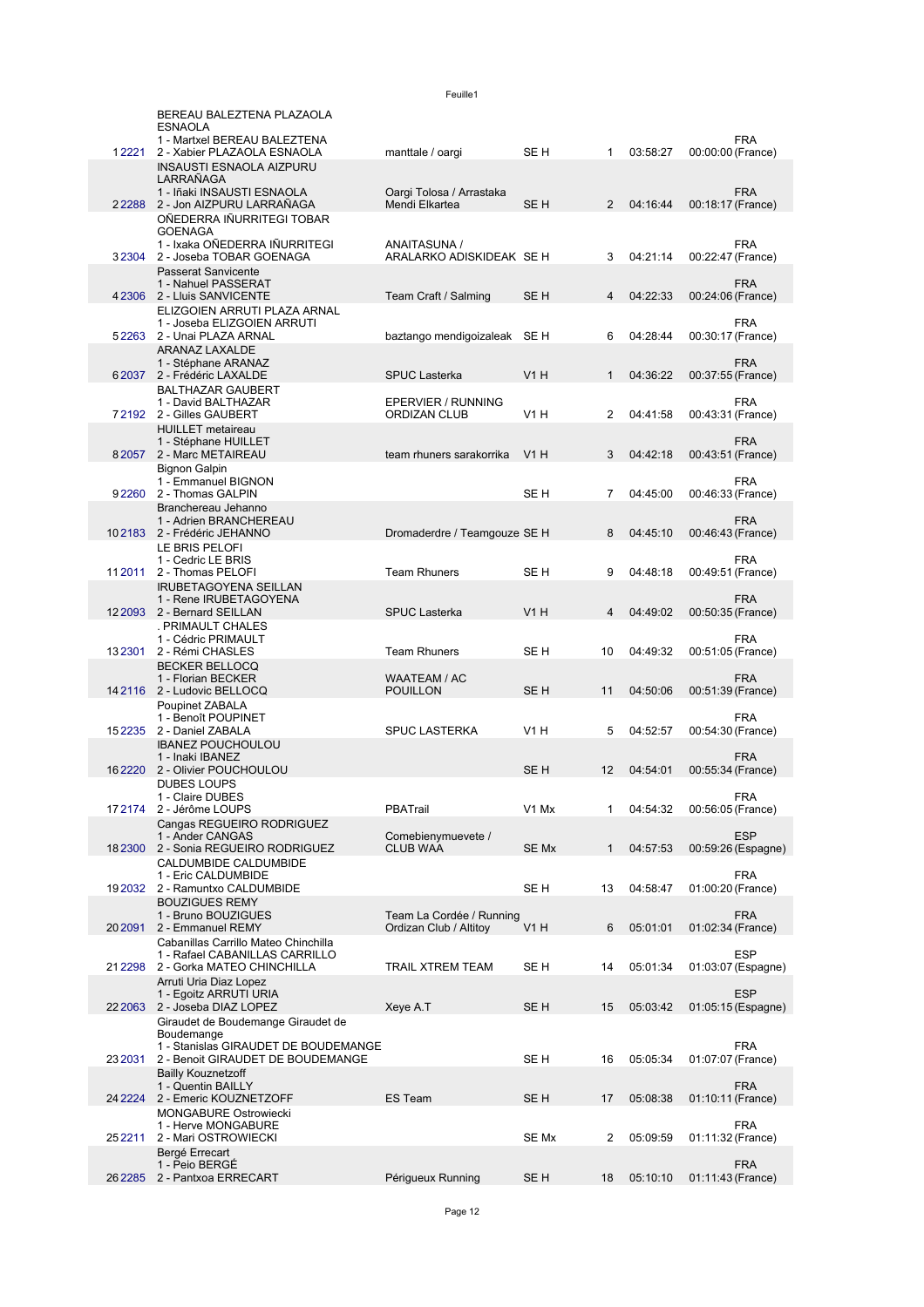|            | BEREAU BALEZTENA PLAZAOLA<br><b>ESNAOLA</b>                               |                              |                 |                |          |                   |                    |
|------------|---------------------------------------------------------------------------|------------------------------|-----------------|----------------|----------|-------------------|--------------------|
| 12221      | 1 - Martxel BEREAU BALEZTENA                                              |                              | SE H            | 1              | 03:58:27 |                   | <b>FRA</b>         |
|            | 2 - Xabier PLAZAOLA ESNAOLA<br><b>INSAUSTI ESNAOLA AIZPURU</b>            | manttale / oargi             |                 |                |          | 00:00:00 (France) |                    |
|            | LARRAÑAGA<br>1 - Iñaki INSAUSTI ESNAOLA                                   | Oargi Tolosa / Arrastaka     |                 |                |          |                   | <b>FRA</b>         |
|            | 22288 2 - Jon AIZPURU LARRAÑAGA                                           | Mendi Elkartea               | SE H            | 2              | 04:16:44 | 00:18:17 (France) |                    |
|            | OÑEDERRA IÑURRITEGI TOBAR<br><b>GOENAGA</b>                               |                              |                 |                |          |                   |                    |
|            | 1 - Ixaka OÑEDERRA IÑURRITEGI                                             | ANAITASUNA /                 |                 |                |          |                   | <b>FRA</b>         |
| 32304      | 2 - Joseba TOBAR GOENAGA<br><b>Passerat Sanvicente</b>                    | ARALARKO ADISKIDEAK SE H     |                 | 3              | 04:21:14 | 00:22:47 (France) |                    |
|            | 1 - Nahuel PASSERAT                                                       |                              |                 |                |          |                   | <b>FRA</b>         |
|            | 4 2306 2 - Lluis SANVICENTE<br>ELIZGOIEN ARRUTI PLAZA ARNAL               | Team Craft / Salming         | SE <sub>H</sub> | 4              | 04:22:33 | 00:24:06 (France) |                    |
|            | 1 - Joseba ELIZGOIEN ARRUTI                                               |                              |                 |                |          |                   | <b>FRA</b>         |
|            | 52263 2 - Unai PLAZA ARNAL<br>ARANAZ LAXALDE                              | baztango mendigoizaleak SE H |                 | 6              | 04:28:44 | 00:30:17 (France) |                    |
|            | 1 - Stéphane ARANAZ                                                       |                              |                 |                |          |                   | <b>FRA</b>         |
|            | 62037 2 - Frédéric LAXALDE<br><b>BALTHAZAR GAUBERT</b>                    | <b>SPUC Lasterka</b>         | V1H             | $\mathbf{1}$   | 04:36:22 | 00:37:55 (France) |                    |
|            | 1 - David BALTHAZAR                                                       | EPERVIER / RUNNING           |                 |                |          |                   | <b>FRA</b>         |
|            | 72192 2 - Gilles GAUBERT<br><b>HUILLET</b> metaireau                      | <b>ORDIZAN CLUB</b>          | <b>V1 H</b>     | 2              | 04:41:58 | 00:43:31 (France) |                    |
|            | 1 - Stéphane HUILLET                                                      |                              |                 |                |          |                   | <b>FRA</b>         |
|            | 82057 2 - Marc METAIREAU<br><b>Bignon Galpin</b>                          | team rhuners sarakorrika     | V1H             | 3              | 04:42:18 | 00:43:51 (France) |                    |
|            | 1 - Emmanuel BIGNON                                                       |                              |                 |                |          |                   | <b>FRA</b>         |
| 92260      | 2 - Thomas GALPIN<br>Branchereau Jehanno                                  |                              | SE H            | $\overline{7}$ | 04:45:00 | 00:46:33 (France) |                    |
|            | 1 - Adrien BRANCHEREAU                                                    |                              |                 |                |          |                   | <b>FRA</b>         |
|            | 102183 2 - Frédéric JEHANNO<br>LE BRIS PELOFI                             | Dromaderdre / Teamgouze SE H |                 | 8              | 04:45:10 | 00:46:43 (France) |                    |
|            | 1 - Cedric LE BRIS                                                        |                              |                 |                |          |                   | <b>FRA</b>         |
| 11 2011    | 2 - Thomas PELOFI<br><b>IRUBETAGOYENA SEILLAN</b>                         | <b>Team Rhuners</b>          | SE H            | 9              | 04:48:18 | 00:49:51 (France) |                    |
|            | 1 - Rene IRUBETAGOYENA                                                    |                              |                 |                |          |                   | <b>FRA</b>         |
|            | 12 2093 2 - Bernard SEILLAN<br>. PRIMAULT CHALES                          | <b>SPUC Lasterka</b>         | V1H             | 4              | 04:49:02 | 00:50:35 (France) |                    |
|            | 1 - Cédric PRIMAULT                                                       |                              |                 |                |          |                   | <b>FRA</b>         |
| 132301     | 2 - Rémi CHASLES<br><b>BECKER BELLOCQ</b>                                 | <b>Team Rhuners</b>          | SE H            | 10             | 04:49:32 | 00:51:05 (France) |                    |
|            | 1 - Florian BECKER                                                        | WAATEAM / AC                 |                 |                |          |                   | <b>FRA</b>         |
|            | 14 2116 2 - Ludovic BELLOCQ<br>Poupinet ZABALA                            | <b>POUILLON</b>              | SE <sub>H</sub> | 11             | 04:50:06 | 00:51:39 (France) |                    |
|            | 1 - Benoît POUPINET                                                       |                              |                 |                |          |                   | <b>FRA</b>         |
| 15 2 2 3 5 | 2 - Daniel ZABALA<br><b>IBANEZ POUCHOULOU</b>                             | <b>SPUC LASTERKA</b>         | V1H             | 5              | 04:52:57 | 00:54:30 (France) |                    |
|            | 1 - Inaki IBANEZ                                                          |                              |                 |                |          |                   | <b>FRA</b>         |
| 162220     | 2 - Olivier POUCHOULOU<br><b>DUBES LOUPS</b>                              |                              | SE <sub>H</sub> | 12             | 04:54:01 | 00:55:34 (France) |                    |
|            | 1 - Claire DUBES                                                          |                              |                 |                |          |                   | <b>FRA</b>         |
|            | 17 2174 2 - Jérôme LOUPS<br>Cangas REGUEIRO RODRIGUEZ                     | PBATrail                     | V1 Mx           | 1              | 04:54:32 | 00:56:05 (France) |                    |
|            | 1 - Ander CANGAS                                                          | Comebienymuevete /           |                 |                |          |                   | <b>ESP</b>         |
| 182300     | 2 - Sonia REGUEIRO RODRIGUEZ<br>CALDUMBIDE CALDUMBIDE                     | <b>CLUB WAA</b>              | SE Mx           | $\mathbf{1}$   | 04:57:53 |                   | 00:59:26 (Espagne) |
|            | 1 - Eric CALDUMBIDE                                                       |                              |                 |                |          |                   | FRA                |
|            | 19 2032 2 - Ramuntxo CALDUMBIDE<br><b>BOUZIGUES REMY</b>                  |                              | SE H            | 13             | 04:58:47 | 01:00:20 (France) |                    |
|            | 1 - Bruno BOUZIGUES                                                       | Team La Cordée / Running     |                 |                |          |                   | <b>FRA</b>         |
| 20 20 91   | 2 - Emmanuel REMY<br>Cabanillas Carrillo Mateo Chinchilla                 | Ordizan Club / Altitoy       | V1H             | 6              | 05:01:01 | 01:02:34 (France) |                    |
|            | 1 - Rafael CABANILLAS CARRILLO                                            |                              |                 |                |          |                   | <b>ESP</b>         |
| 21 2298    | 2 - Gorka MATEO CHINCHILLA<br>Arruti Uria Diaz Lopez                      | <b>TRAIL XTREM TEAM</b>      | SE H            | 14             | 05:01:34 |                   | 01:03:07 (Espagne) |
|            | 1 - Egoitz ARRUTI URIA                                                    |                              |                 |                |          |                   | <b>ESP</b>         |
| 22 2063    | 2 - Joseba DIAZ LOPEZ<br>Giraudet de Boudemange Giraudet de               | Xeye A.T                     | SE <sub>H</sub> | 15             | 05:03:42 |                   | 01:05:15 (Espagne) |
|            | Boudemange                                                                |                              |                 |                |          |                   |                    |
| 23 2031    | 1 - Stanislas GIRAUDET DE BOUDEMANGE<br>2 - Benoit GIRAUDET DE BOUDEMANGE |                              | SE H            | 16             | 05:05:34 | 01:07:07 (France) | <b>FRA</b>         |
|            | <b>Bailly Kouznetzoff</b>                                                 |                              |                 |                |          |                   |                    |
| 24 2224    | 1 - Quentin BAILLY<br>2 - Emeric KOUZNETZOFF                              | <b>ES Team</b>               | SE <sub>H</sub> | 17             | 05:08:38 | 01:10:11 (France) | <b>FRA</b>         |
|            | <b>MONGABURE Ostrowiecki</b>                                              |                              |                 |                |          |                   |                    |
| 25 22 11   | 1 - Herve MONGABURE<br>2 - Mari OSTROWIECKI                               |                              | SE Mx           | 2              | 05:09:59 | 01:11:32 (France) | <b>FRA</b>         |
|            | Bergé Errecart                                                            |                              |                 |                |          |                   |                    |
| 26 2285    | 1 - Peio BERGÉ<br>2 - Pantxoa ERRECART                                    | Périgueux Running            | SE <sub>H</sub> | 18             | 05:10:10 | 01:11:43 (France) | <b>FRA</b>         |
|            |                                                                           |                              |                 |                |          |                   |                    |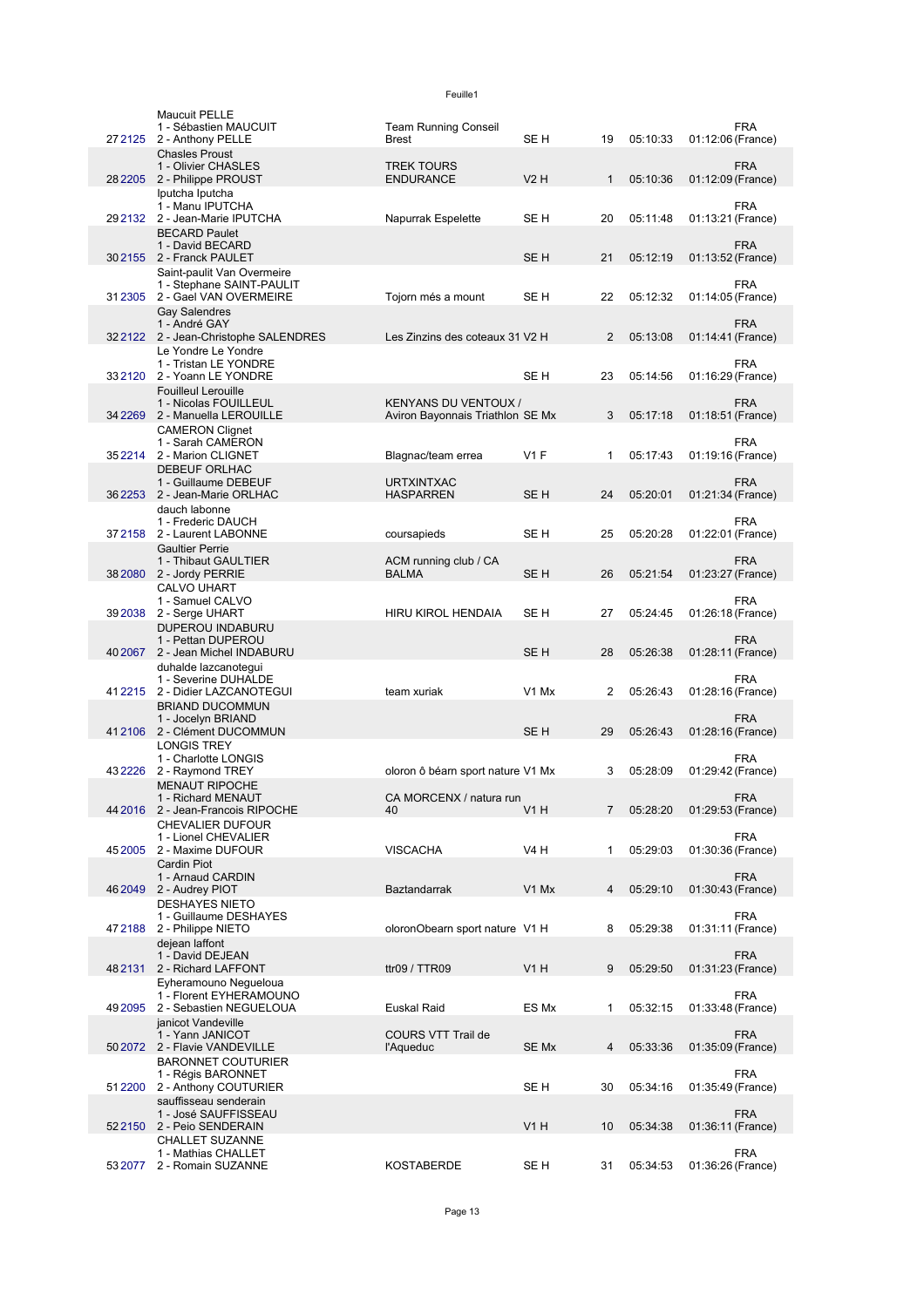|          | <b>Maucuit PELLE</b><br>1 - Sébastien MAUCUIT              | <b>Team Running Conseil</b>                                     |                  |              |          |                   | <b>FRA</b> |
|----------|------------------------------------------------------------|-----------------------------------------------------------------|------------------|--------------|----------|-------------------|------------|
| 27 21 25 | 2 - Anthony PELLE                                          | <b>Brest</b>                                                    | SE H             | 19           | 05:10:33 | 01:12:06 (France) |            |
|          | <b>Chasles Proust</b><br>1 - Olivier CHASLES               | <b>TREK TOURS</b>                                               |                  |              |          |                   | <b>FRA</b> |
|          | 28 2205 2 - Philippe PROUST                                | <b>ENDURANCE</b>                                                | <b>V2 H</b>      | $\mathbf{1}$ | 05:10:36 | 01:12:09 (France) |            |
|          | Iputcha Iputcha                                            |                                                                 |                  |              |          |                   |            |
|          | 1 - Manu IPUTCHA<br>29 2132 2 - Jean-Marie IPUTCHA         | Napurrak Espelette                                              | SE H             | 20           | 05:11:48 | 01:13:21 (France) | <b>FRA</b> |
|          | <b>BECARD Paulet</b>                                       |                                                                 |                  |              |          |                   |            |
|          | 1 - David BECARD<br>30 2155 2 - Franck PAULET              |                                                                 | SE <sub>H</sub>  | 21           | 05:12:19 | 01:13:52 (France) | <b>FRA</b> |
|          | Saint-paulit Van Overmeire                                 |                                                                 |                  |              |          |                   |            |
|          | 1 - Stephane SAINT-PAULIT                                  |                                                                 |                  |              |          |                   | <b>FRA</b> |
|          | 31 2305 2 - Gael VAN OVERMEIRE                             | Tojorn més a mount                                              | SE H             | 22           | 05:12:32 | 01:14:05 (France) |            |
|          | Gay Salendres<br>1 - André GAY                             |                                                                 |                  |              |          |                   | <b>FRA</b> |
|          | 322122 2 - Jean-Christophe SALENDRES                       | Les Zinzins des coteaux 31 V2 H                                 |                  | 2            | 05:13:08 | 01:14:41 (France) |            |
|          | Le Yondre Le Yondre<br>1 - Tristan LE YONDRE               |                                                                 |                  |              |          |                   | <b>FRA</b> |
|          | 332120 2 - Yoann LE YONDRE                                 |                                                                 | SE H             | 23           | 05:14:56 | 01:16:29 (France) |            |
|          | <b>Fouilleul Lerouille</b>                                 |                                                                 |                  |              |          |                   |            |
| 34 2269  | 1 - Nicolas FOUILLEUL<br>2 - Manuella LEROUILLE            | <b>KENYANS DU VENTOUX /</b><br>Aviron Bayonnais Triathlon SE Mx |                  | 3            | 05:17:18 | 01:18:51 (France) | <b>FRA</b> |
|          | <b>CAMERON Clignet</b>                                     |                                                                 |                  |              |          |                   |            |
|          | 1 - Sarah CAMERON                                          |                                                                 |                  |              |          |                   | <b>FRA</b> |
| 352214   | 2 - Marion CLIGNET<br><b>DEBEUF ORLHAC</b>                 | Blagnac/team errea                                              | $V1$ F           | 1            | 05:17:43 | 01:19:16 (France) |            |
|          | 1 - Guillaume DEBEUF                                       | <b>URTXINTXAC</b>                                               |                  |              |          |                   | <b>FRA</b> |
| 362253   | 2 - Jean-Marie ORLHAC                                      | <b>HASPARREN</b>                                                | SE <sub>H</sub>  | 24           | 05:20:01 | 01:21:34 (France) |            |
|          | dauch labonne<br>1 - Frederic DAUCH                        |                                                                 |                  |              |          |                   | <b>FRA</b> |
|          | 37 2158 2 - Laurent LABONNE                                | coursapieds                                                     | SE H             | 25           | 05:20:28 | 01:22:01 (France) |            |
|          | <b>Gaultier Perrie</b><br>1 - Thibaut GAULTIER             | ACM running club / CA                                           |                  |              |          |                   | <b>FRA</b> |
| 38 2080  | 2 - Jordy PERRIE                                           | <b>BALMA</b>                                                    | SE <sub>H</sub>  | 26           | 05:21:54 | 01:23:27 (France) |            |
|          | <b>CALVO UHART</b>                                         |                                                                 |                  |              |          |                   |            |
| 392038   | 1 - Samuel CALVO<br>2 - Serge UHART                        | <b>HIRU KIROL HENDAIA</b>                                       | SE H             | 27           | 05:24:45 | 01:26:18 (France) | <b>FRA</b> |
|          | DUPEROU INDABURU                                           |                                                                 |                  |              |          |                   |            |
|          | 1 - Pettan DUPEROU                                         |                                                                 |                  |              |          |                   | <b>FRA</b> |
| 40 20 67 | 2 - Jean Michel INDABURU<br>duhalde lazcanotegui           |                                                                 | SE <sub>H</sub>  | 28           | 05:26:38 | 01:28:11 (France) |            |
|          | 1 - Severine DUHALDE                                       |                                                                 |                  |              |          |                   | <b>FRA</b> |
|          | 41 2215 2 - Didier LAZCANOTEGUI                            | team xuriak                                                     | V1 Mx            | 2            | 05:26:43 | 01:28:16 (France) |            |
|          | <b>BRIAND DUCOMMUN</b><br>1 - Jocelyn BRIAND               |                                                                 |                  |              |          |                   | <b>FRA</b> |
| 412106   | 2 - Clément DUCOMMUN                                       |                                                                 | SE <sub>H</sub>  | 29           | 05:26:43 | 01:28:16 (France) |            |
|          | <b>LONGIS TREY</b><br>1 - Charlotte LONGIS                 |                                                                 |                  |              |          |                   | <b>FRA</b> |
| 432226   | 2 - Raymond TREY                                           | oloron ô béarn sport nature V1 Mx                               |                  | 3            | 05:28:09 | 01:29:42 (France) |            |
|          | <b>MENAUT RIPOCHE</b>                                      |                                                                 |                  |              |          |                   |            |
|          | 1 - Richard MENAUT<br>44 2016 2 - Jean-Francois RIPOCHE    | CA MORCENX / natura run<br>40                                   | <b>V1 H</b>      | 7            | 05:28:20 | 01:29:53 (France) | <b>FRA</b> |
|          | <b>CHEVALIER DUFOUR</b>                                    |                                                                 |                  |              |          |                   |            |
|          | 1 - Lionel CHEVALIER                                       |                                                                 |                  |              |          |                   | <b>FRA</b> |
| 452005   | 2 - Maxime DUFOUR<br><b>Cardin Piot</b>                    | <b>VISCACHA</b>                                                 | <b>V4 H</b>      | 1            | 05:29:03 | 01:30:36 (France) |            |
|          | 1 - Arnaud CARDIN                                          |                                                                 |                  |              |          |                   | <b>FRA</b> |
| 462049   | 2 - Audrey PIOT<br><b>DESHAYES NIETO</b>                   | <b>Baztandarrak</b>                                             | V1 Mx            | 4            | 05:29:10 | 01:30:43 (France) |            |
|          | 1 - Guillaume DESHAYES                                     |                                                                 |                  |              |          |                   | <b>FRA</b> |
| 472188   | 2 - Philippe NIETO                                         | oloronObearn sport nature V1 H                                  |                  | 8            | 05:29:38 | 01:31:11 (France) |            |
|          | dejean laffont<br>1 - David DEJEAN                         |                                                                 |                  |              |          |                   | <b>FRA</b> |
| 482131   | 2 - Richard LAFFONT                                        | ttr09 / TTR09                                                   | <b>V1 H</b>      | 9            | 05:29:50 | 01:31:23 (France) |            |
|          | Eyheramouno Negueloua                                      |                                                                 |                  |              |          |                   |            |
| 49 20 95 | 1 - Florent EYHERAMOUNO<br>2 - Sebastien NEGUELOUA         | Euskal Raid                                                     | ES Mx            | 1            | 05:32:15 | 01:33:48 (France) | <b>FRA</b> |
|          | janicot Vandeville                                         |                                                                 |                  |              |          |                   |            |
|          | 1 - Yann JANICOT                                           | COURS VTT Trail de                                              |                  |              |          |                   | <b>FRA</b> |
|          | 50 2072 2 - Flavie VANDEVILLE<br><b>BARONNET COUTURIER</b> | l'Aqueduc                                                       | SE Mx            | 4            | 05:33:36 | 01:35:09 (France) |            |
|          | 1 - Régis BARONNET                                         |                                                                 |                  |              |          |                   | <b>FRA</b> |
|          | 51 2200 2 - Anthony COUTURIER                              |                                                                 | SE H             | 30           | 05:34:16 | 01:35:49 (France) |            |
|          | sauffisseau senderain<br>1 - José SAUFFISSEAU              |                                                                 |                  |              |          |                   | <b>FRA</b> |
| 522150   | 2 - Peio SENDERAIN                                         |                                                                 | V <sub>1</sub> H | 10           | 05:34:38 | 01:36:11 (France) |            |
|          | <b>CHALLET SUZANNE</b><br>1 - Mathias CHALLET              |                                                                 |                  |              |          |                   | <b>FRA</b> |
| 53 2077  | 2 - Romain SUZANNE                                         | KOSTABERDE                                                      | SE H             | 31           | 05:34:53 | 01:36:26 (France) |            |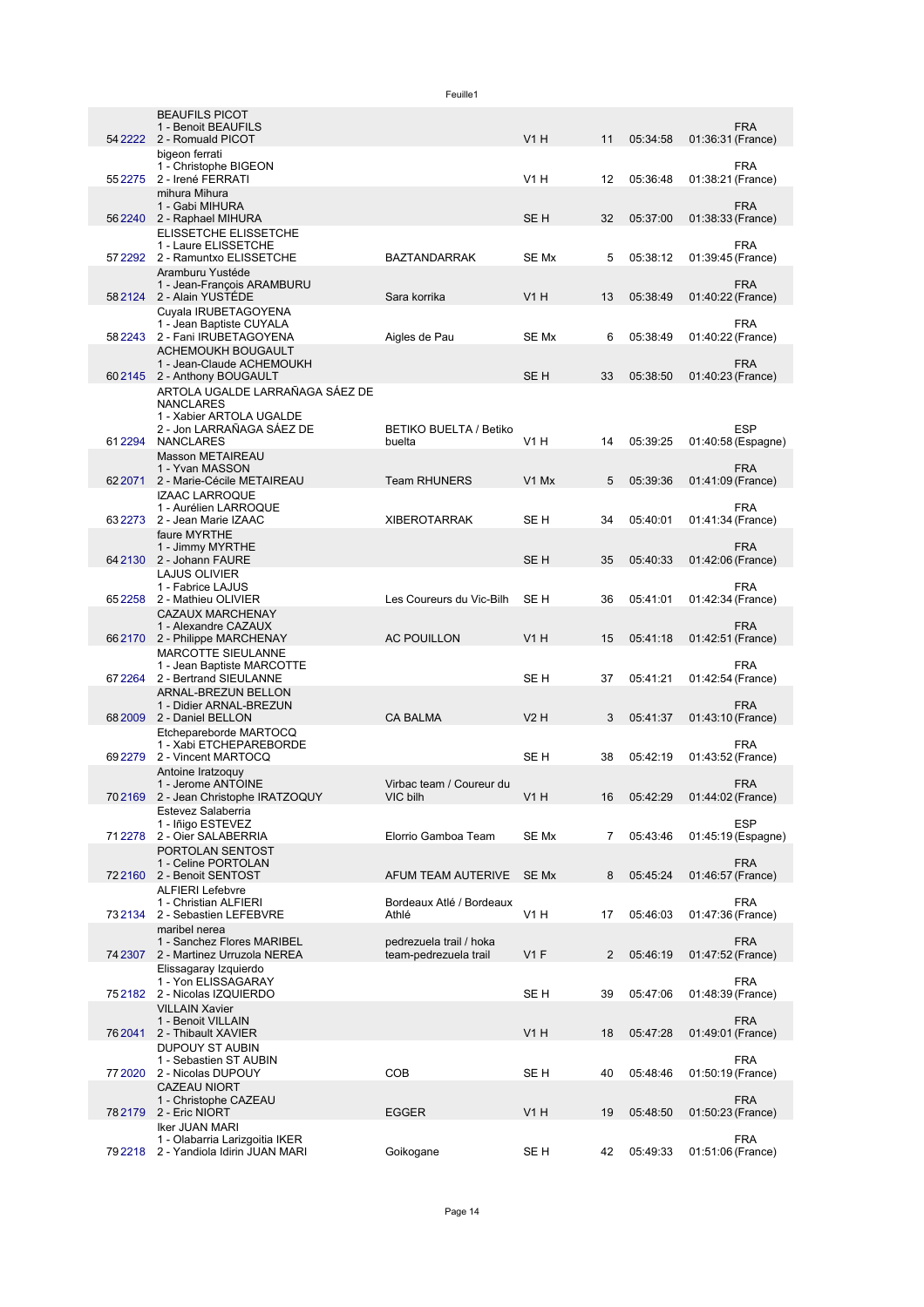|          |                                                                                                              | Feuille1                                         |                               |    |          |                                  |
|----------|--------------------------------------------------------------------------------------------------------------|--------------------------------------------------|-------------------------------|----|----------|----------------------------------|
|          | <b>BEAUFILS PICOT</b><br>1 - Benoit BEAUFILS<br>54 2222 2 - Romuald PICOT                                    |                                                  | V1H                           | 11 | 05:34:58 | <b>FRA</b><br>01:36:31 (France)  |
|          | bigeon ferrati<br>1 - Christophe BIGEON<br>55 2275 2 - Irené FERRATI                                         |                                                  | V1H                           | 12 | 05:36:48 | <b>FRA</b><br>01:38:21 (France)  |
|          | mihura Mihura<br>1 - Gabi MIHURA                                                                             |                                                  |                               |    |          | <b>FRA</b>                       |
|          | 56 2240 2 - Raphael MIHURA<br>ELISSETCHE ELISSETCHE<br>1 - Laure ELISSETCHE                                  |                                                  | SE <sub>H</sub>               | 32 | 05:37:00 | 01:38:33 (France)<br><b>FRA</b>  |
|          | 57 2292 2 - Ramuntxo ELISSETCHE<br>Aramburu Yustéde<br>1 - Jean-François ARAMBURU                            | <b>BAZTANDARRAK</b>                              | SE Mx                         | 5  | 05:38:12 | 01:39:45 (France)<br><b>FRA</b>  |
|          | 58 2124 2 - Alain YUSTÉDE<br>Cuvala IRUBETAGOYENA                                                            | Sara korrika                                     | V1H                           | 13 | 05:38:49 | 01:40:22 (France)                |
|          | 1 - Jean Baptiste CUYALA<br>58 2243 2 - Fani IRUBETAGOYENA<br>ACHEMOUKH BOUGAULT                             | Aigles de Pau                                    | SE Mx                         | 6  | 05:38:49 | <b>FRA</b><br>01:40:22 (France)  |
|          | 1 - Jean-Claude ACHEMOUKH<br>602145 2 - Anthony BOUGAULT                                                     |                                                  | SE H                          | 33 | 05:38:50 | <b>FRA</b><br>01:40:23 (France)  |
|          | ARTOLA UGALDE LARRAÑAGA SÁEZ DE<br><b>NANCLARES</b><br>1 - Xabier ARTOLA UGALDE<br>2 - Jon LARRAÑAGA SÁEZ DE | <b>BETIKO BUELTA / Betiko</b>                    |                               |    |          | <b>ESP</b>                       |
| 612294   | <b>NANCLARES</b><br>Masson METAIREAU                                                                         | buelta                                           | <b>V1 H</b>                   | 14 | 05:39:25 | 01:40:58 (Espagne)               |
| 62 20 71 | 1 - Yvan MASSON<br>2 - Marie-Cécile METAIREAU<br><b>IZAAC LARROQUE</b>                                       | <b>Team RHUNERS</b>                              | V <sub>1</sub> M <sub>x</sub> | 5  | 05:39:36 | <b>FRA</b><br>01:41:09 (France)  |
| 63 2273  | 1 - Aurélien LARROQUE<br>2 - Jean Marie IZAAC                                                                | <b>XIBEROTARRAK</b>                              | SE H                          | 34 | 05:40:01 | <b>FRA</b><br>01:41:34 (France)  |
|          | faure MYRTHE<br>1 - Jimmy MYRTHE<br>64 2130 2 - Johann FAURE                                                 |                                                  | SE <sub>H</sub>               | 35 | 05:40:33 | <b>FRA</b><br>01:42:06 (France)  |
|          | LAJUS OLIVIER<br>1 - Fabrice LAJUS<br>65 2258 2 - Mathieu OLIVIER                                            | Les Coureurs du Vic-Bilh                         | SE H                          | 36 | 05:41:01 | <b>FRA</b><br>01:42:34 (France)  |
|          | <b>CAZAUX MARCHENAY</b><br>1 - Alexandre CAZAUX                                                              |                                                  | V1H                           |    |          | <b>FRA</b>                       |
|          | 662170 2 - Philippe MARCHENAY<br><b>MARCOTTE SIEULANNE</b><br>1 - Jean Baptiste MARCOTTE                     | <b>AC POUILLON</b>                               |                               | 15 | 05:41:18 | 01:42:51 (France)<br><b>FRA</b>  |
|          | 67 2264 2 - Bertrand SIEULANNE<br>ARNAL-BREZUN BELLON<br>1 - Didier ARNAL-BREZUN                             |                                                  | SE H                          | 37 | 05:41:21 | 01:42:54 (France)<br><b>FRA</b>  |
|          | 68 2009 2 - Daniel BELLON<br>Etchepareborde MARTOCQ                                                          | <b>CA BALMA</b>                                  | V2H                           | 3  | 05:41:37 | 01:43:10 (France)                |
| 69 2279  | 1 - Xabi ETCHEPAREBORDE<br>2 - Vincent MARTOCQ<br>Antoine Iratzoguy                                          |                                                  | SE H                          | 38 | 05:42:19 | <b>FRA</b><br>01:43:52 (France)  |
| 702169   | 1 - Jerome ANTOINE<br>2 - Jean Christophe IRATZOQUY<br>Estevez Salaberria                                    | Virbac team / Coureur du<br>VIC bilh             | V1H                           | 16 | 05:42:29 | <b>FRA</b><br>01:44:02 (France)  |
| 71 2278  | 1 - Iñigo ESTEVEZ<br>2 - Oier SALABERRIA                                                                     | Elorrio Gamboa Team                              | SE Mx                         | 7  | 05:43:46 | <b>ESP</b><br>01:45:19 (Espagne) |
|          | PORTOLAN SENTOST<br>1 - Celine PORTOLAN<br>722160 2 - Benoit SENTOST                                         | AFUM TEAM AUTERIVE                               | SE Mx                         | 8  | 05:45:24 | <b>FRA</b><br>01:46:57 (France)  |
| 73 21 34 | <b>ALFIERI Lefebvre</b><br>1 - Christian ALFIERI<br>2 - Sebastien LEFEBVRE                                   | Bordeaux Atlé / Bordeaux<br>Athlé                | <b>V1 H</b>                   | 17 | 05:46:03 | <b>FRA</b><br>01:47:36 (France)  |
|          | maribel nerea<br>1 - Sanchez Flores MARIBEL<br>74 2307 2 - Martinez Urruzola NEREA                           | pedrezuela trail / hoka<br>team-pedrezuela trail | V1F                           | 2  |          | <b>FRA</b>                       |
|          | Elissagaray Izquierdo<br>1 - Yon ELISSAGARAY                                                                 |                                                  |                               |    | 05:46:19 | 01:47:52 (France)<br><b>FRA</b>  |
| 752182   | 2 - Nicolas IZQUIERDO<br><b>VILLAIN Xavier</b><br>1 - Benoit VILLAIN                                         |                                                  | SE H                          | 39 | 05:47:06 | 01:48:39 (France)<br><b>FRA</b>  |
| 76 2041  | 2 - Thibault XAVIER<br><b>DUPOUY ST AUBIN</b>                                                                |                                                  | V1H                           | 18 | 05:47:28 | 01:49:01 (France)                |
| 77 2020  | 1 - Sebastien ST AUBIN<br>2 - Nicolas DUPOUY<br><b>CAZEAU NIORT</b>                                          | <b>COB</b>                                       | SE H                          | 40 | 05:48:46 | <b>FRA</b><br>01:50:19 (France)  |
| 782179   | 1 - Christophe CAZEAU<br>2 - Eric NIORT<br><b>Iker JUAN MARI</b>                                             | <b>EGGER</b>                                     | V1H                           | 19 | 05:48:50 | <b>FRA</b><br>01:50:23 (France)  |
| 79 2218  | 1 - Olabarria Larizgoitia IKER<br>2 - Yandiola Idirin JUAN MARI                                              | Goikogane                                        | SE H                          | 42 | 05:49:33 | <b>FRA</b><br>01:51:06 (France)  |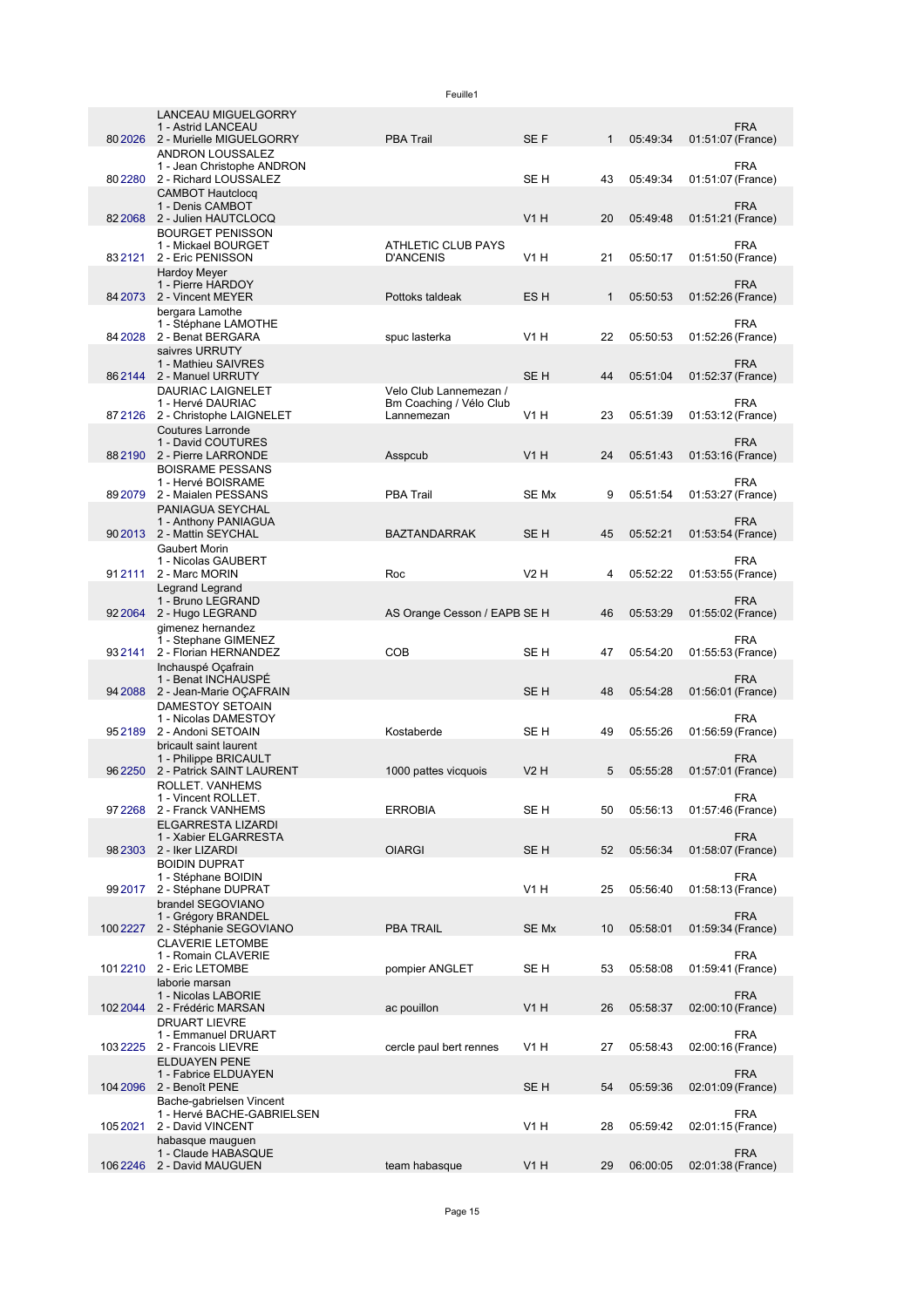|          | <b>LANCEAU MIGUELGORRY</b><br>1 - Astrid LANCEAU     |                                                   |                 |              |          | <b>FRA</b>                               |
|----------|------------------------------------------------------|---------------------------------------------------|-----------------|--------------|----------|------------------------------------------|
| 80 20 26 | 2 - Murielle MIGUELGORRY                             | <b>PBA Trail</b>                                  | SE F            | $\mathbf{1}$ | 05:49:34 | 01:51:07 (France)                        |
|          | ANDRON LOUSSALEZ<br>1 - Jean Christophe ANDRON       |                                                   |                 |              |          | <b>FRA</b>                               |
| 802280   | 2 - Richard LOUSSALEZ                                |                                                   | SE H            | 43           | 05:49:34 | 01:51:07 (France)                        |
|          | <b>CAMBOT Hautclocg</b><br>1 - Denis CAMBOT          |                                                   |                 |              |          | <b>FRA</b>                               |
| 82 2068  | 2 - Julien HAUTCLOCQ                                 |                                                   | <b>V1 H</b>     | 20           | 05:49:48 | 01:51:21 (France)                        |
|          | <b>BOURGET PENISSON</b><br>1 - Mickael BOURGET       | ATHLETIC CLUB PAYS                                |                 |              |          | <b>FRA</b>                               |
| 832121   | 2 - Eric PENISSON                                    | <b>D'ANCENIS</b>                                  | V1 H            | 21           | 05:50:17 | 01:51:50 (France)                        |
|          | <b>Hardoy Meyer</b><br>1 - Pierre HARDOY             |                                                   |                 |              |          | <b>FRA</b>                               |
| 84 2073  | 2 - Vincent MEYER                                    | Pottoks taldeak                                   | ES H            | $\mathbf{1}$ | 05:50:53 | 01:52:26 (France)                        |
|          | bergara Lamothe<br>1 - Stéphane LAMOTHE              |                                                   |                 |              |          | <b>FRA</b>                               |
| 84 20 28 | 2 - Benat BERGARA                                    | spuc lasterka                                     | <b>V1 H</b>     | 22           | 05:50:53 | 01:52:26 (France)                        |
|          | saivres URRUTY<br>1 - Mathieu SAIVRES                |                                                   |                 |              |          | <b>FRA</b>                               |
|          | 862144 2 - Manuel URRUTY                             |                                                   | SE <sub>H</sub> | 44           | 05:51:04 | 01:52:37 (France)                        |
|          | DAURIAC LAIGNELET<br>1 - Hervé DAURIAC               | Velo Club Lannemezan /<br>Bm Coaching / Vélo Club |                 |              |          | <b>FRA</b>                               |
|          | 87 2126 2 - Christophe LAIGNELET                     | Lannemezan                                        | V1 H            | 23           | 05:51:39 | 01:53:12 (France)                        |
|          | <b>Coutures Larronde</b><br>1 - David COUTURES       |                                                   |                 |              |          | <b>FRA</b>                               |
| 882190   | 2 - Pierre LARRONDE                                  | Asspcub                                           | <b>V1 H</b>     | 24           | 05:51:43 | 01:53:16 (France)                        |
|          | <b>BOISRAME PESSANS</b>                              |                                                   |                 |              |          |                                          |
| 892079   | 1 - Hervé BOISRAME<br>2 - Maialen PESSANS            | <b>PBA Trail</b>                                  | SE Mx           | 9            | 05:51:54 | <b>FRA</b><br>01:53:27 (France)          |
|          | PANIAGUA SEYCHAL                                     |                                                   |                 |              |          |                                          |
|          | 1 - Anthony PANIAGUA<br>90 2013 2 - Mattin SEYCHAL   | <b>BAZTANDARRAK</b>                               | SE <sub>H</sub> | 45           | 05:52:21 | <b>FRA</b><br>01:53:54 (France)          |
|          | <b>Gaubert Morin</b>                                 |                                                   |                 |              |          |                                          |
| 912111   | 1 - Nicolas GAUBERT<br>2 - Marc MORIN                | Roc                                               | V2H             | 4            | 05:52:22 | <b>FRA</b><br>01:53:55 (France)          |
|          | Legrand Legrand                                      |                                                   |                 |              |          |                                          |
| 92 20 64 | 1 - Bruno LEGRAND<br>2 - Hugo LEGRAND                | AS Orange Cesson / EAPB SE H                      |                 | 46           | 05:53:29 | <b>FRA</b><br>01:55:02 (France)          |
|          | gimenez hernandez                                    |                                                   |                 |              |          |                                          |
| 932141   | 1 - Stephane GIMENEZ<br>2 - Florian HERNANDEZ        | COB                                               | SE H            | 47           | 05:54:20 | FRA<br>01:55:53 (France)                 |
|          | Inchauspé Oçafrain                                   |                                                   |                 |              |          |                                          |
| 94 2088  | 1 - Benat INCHAUSPE<br>2 - Jean-Marie OÇAFRAIN       |                                                   | SE <sub>H</sub> | 48           | 05:54:28 | <b>FRA</b><br>01:56:01 (France)          |
|          | DAMESTOY SETOAIN                                     |                                                   |                 |              |          |                                          |
| 952189   | 1 - Nicolas DAMESTOY<br>2 - Andoni SETOAIN           | Kostaberde                                        | SE H            | 49           | 05:55:26 | <b>FRA</b><br>01:56:59 (France)          |
|          | bricault saint laurent                               |                                                   |                 |              |          |                                          |
| 962250   | 1 - Philippe BRICAULT<br>2 - Patrick SAINT LAURENT   | 1000 pattes vicquois                              | <b>V2 H</b>     | 5            | 05:55:28 | <b>FRA</b><br>01:57:01 (France)          |
|          | ROLLET. VANHEMS                                      |                                                   |                 |              |          |                                          |
|          | 1 - Vincent ROLLET.<br>97 2268 2 - Franck VANHEMS    | <b>ERROBIA</b>                                    | SE H            | 50           | 05:56:13 | <b>FRA</b><br>01:57:46 (France)          |
|          | ELGARRESTA LIZARDI                                   |                                                   |                 |              |          |                                          |
| 982303   | 1 - Xabier ELGARRESTA<br>2 - Iker LIZARDI            | <b>OIARGI</b>                                     | SE H            | 52           | 05:56:34 | <b>FRA</b><br>01:58:07 (France)          |
|          | <b>BOIDIN DUPRAT</b>                                 |                                                   |                 |              |          |                                          |
| 99 2017  | 1 - Stéphane BOIDIN<br>2 - Stéphane DUPRAT           |                                                   | V1 H            | 25           | 05:56:40 | FRA<br>01:58:13 (France)                 |
|          | brandel SEGOVIANO                                    |                                                   |                 |              |          |                                          |
| 100 2227 | 1 - Grégory BRANDEL<br>2 - Stéphanie SEGOVIANO       | PBA TRAIL                                         | SE Mx           | 10           | 05:58:01 | FRA<br>01:59:34 (France)                 |
|          | <b>CLAVERIE LETOMBE</b>                              |                                                   |                 |              |          |                                          |
| 1012210  | 1 - Romain CLAVERIE<br>2 - Eric LETOMBE              | pompier ANGLET                                    | SE H            | 53           | 05:58:08 | FRA<br>01:59:41 (France)                 |
|          | laborie marsan                                       |                                                   |                 |              |          |                                          |
| 102 2044 | 1 - Nicolas LABORIE<br>2 - Frédéric MARSAN           | ac pouillon                                       | <b>V1 H</b>     | 26           | 05:58:37 | FRA                                      |
|          | <b>DRUART LIEVRE</b>                                 |                                                   |                 |              |          | 02:00:10 (France)                        |
| 1032225  | 1 - Emmanuel DRUART                                  |                                                   | V1 H            | 27           | 05:58:43 | FRA                                      |
|          | 2 - Francois LIEVRE<br><b>ELDUAYEN PENE</b>          | cercle paul bert rennes                           |                 |              |          | 02:00:16 (France)                        |
|          | 1 - Fabrice ELDUAYEN                                 |                                                   |                 |              |          | FRA                                      |
|          | 104 2096 2 - Benoît PENE<br>Bache-gabrielsen Vincent |                                                   | SE H            | 54           | 05:59:36 | 02:01:09 (France)                        |
|          | 1 - Hervé BACHE-GABRIELSEN                           |                                                   |                 |              |          | <b>FRA</b>                               |
| 1052021  | 2 - David VINCENT<br>habasque mauguen                |                                                   | V1H             | 28           | 05:59:42 | 02:01:15 (France)                        |
|          | 1 - Claude HABASQUE<br>106 2246 2 - David MAUGUEN    | team habasque                                     | V1H             | 29           |          | <b>FRA</b><br>06:00:05 02:01:38 (France) |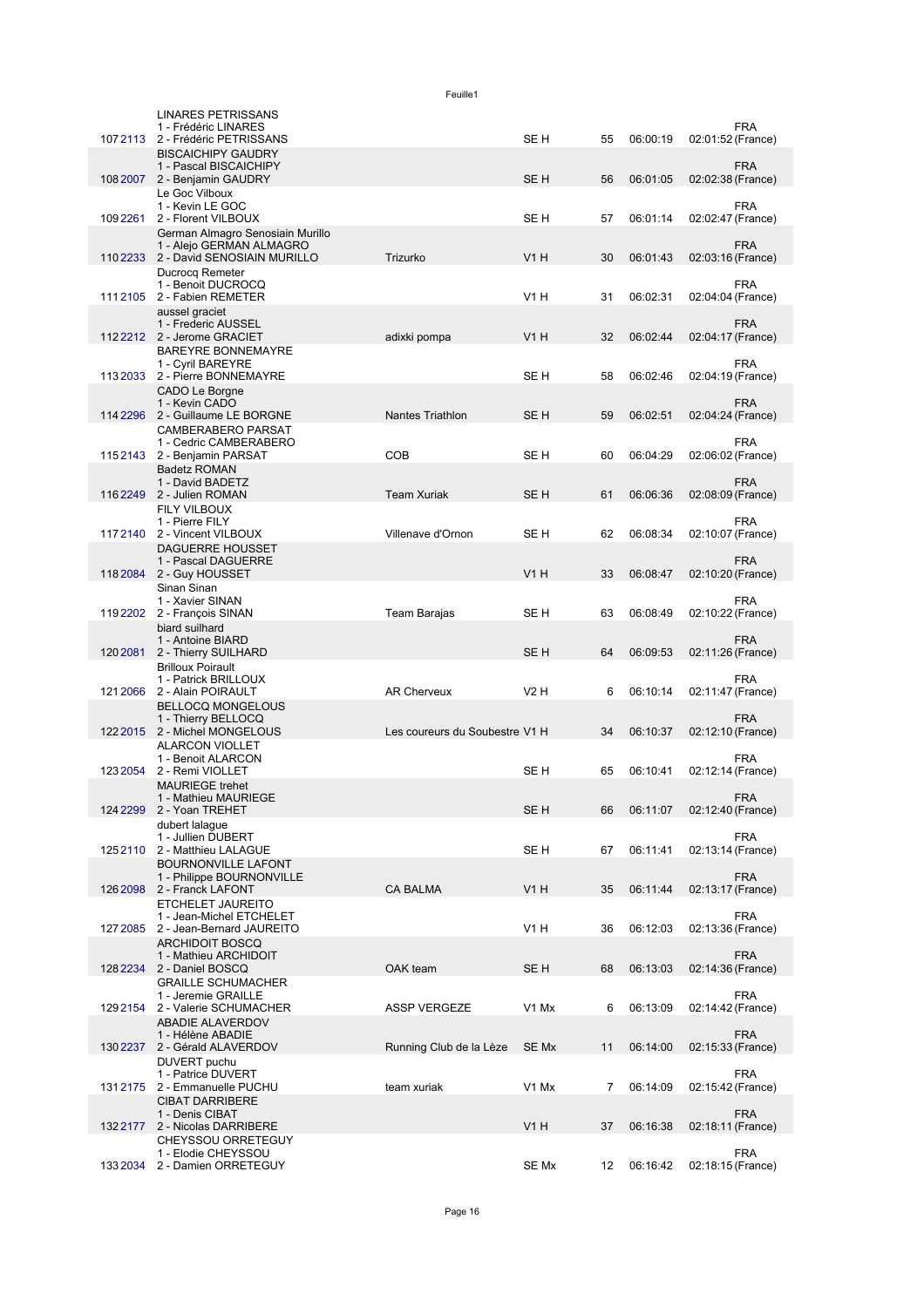|           | <b>LINARES PETRISSANS</b><br>1 - Frédéric LINARES                                     |                                |                  |    |          |                   | <b>FRA</b>                      |
|-----------|---------------------------------------------------------------------------------------|--------------------------------|------------------|----|----------|-------------------|---------------------------------|
| 1072113   | 2 - Frédéric PETRISSANS<br><b>BISCAICHIPY GAUDRY</b>                                  |                                | SE H             | 55 | 06:00:19 | 02:01:52 (France) |                                 |
|           | 1 - Pascal BISCAICHIPY<br>108 2007 2 - Benjamin GAUDRY                                |                                | SE <sub>H</sub>  | 56 | 06:01:05 | 02:02:38 (France) | <b>FRA</b>                      |
|           | Le Goc Vilboux<br>1 - Kevin LE GOC                                                    |                                |                  |    |          |                   | <b>FRA</b>                      |
| 1092261   | 2 - Florent VILBOUX<br>German Almagro Senosiain Murillo                               |                                | SE H             | 57 | 06:01:14 | 02:02:47 (France) |                                 |
|           | 1 - Alejo GERMAN ALMAGRO<br>110 2233 2 - David SENOSIAIN MURILLO                      | Trizurko                       | <b>V1 H</b>      | 30 | 06:01:43 | 02:03:16 (France) | <b>FRA</b>                      |
|           | Ducrocq Remeter<br>1 - Benoit DUCROCQ<br>1112105 2 - Fabien REMETER<br>aussel graciet |                                | V <sub>1</sub> H | 31 | 06:02:31 |                   | <b>FRA</b><br>02:04:04 (France) |
|           | 1 - Frederic AUSSEL<br>1122212 2 - Jerome GRACIET                                     | adixki pompa                   | <b>V1 H</b>      | 32 | 06:02:44 | 02:04:17 (France) | <b>FRA</b>                      |
|           | <b>BAREYRE BONNEMAYRE</b><br>1 - Cyril BAREYRE                                        |                                |                  |    |          |                   | <b>FRA</b>                      |
| 113 2033  | 2 - Pierre BONNEMAYRE                                                                 |                                | SE H             | 58 | 06:02:46 | 02:04:19 (France) |                                 |
|           | CADO Le Borgne<br>1 - Kevin CADO<br>114 2296 2 - Guillaume LE BORGNE                  | <b>Nantes Triathlon</b>        | SE H             | 59 | 06:02:51 | 02:04:24 (France) | <b>FRA</b>                      |
|           | <b>CAMBERABERO PARSAT</b><br>1 - Cedric CAMBERABERO<br>1152143 2 - Benjamin PARSAT    | <b>COB</b>                     | SE H             | 60 | 06:04:29 | 02:06:02 (France) | <b>FRA</b>                      |
|           | <b>Badetz ROMAN</b><br>1 - David BADETZ                                               |                                |                  |    |          |                   | <b>FRA</b>                      |
|           | 116 2249 2 - Julien ROMAN<br><b>FILY VILBOUX</b>                                      | <b>Team Xuriak</b>             | SE <sub>H</sub>  | 61 | 06:06:36 | 02:08:09 (France) |                                 |
|           | 1 - Pierre FILY                                                                       | Villenave d'Ornon              |                  |    | 06:08:34 |                   | <b>FRA</b>                      |
|           | 1172140 2 - Vincent VILBOUX<br><b>DAGUERRE HOUSSET</b>                                |                                | SE H             | 62 |          |                   | 02:10:07 (France)               |
|           | 1 - Pascal DAGUERRE<br>118 2084 2 - Guy HOUSSET                                       |                                | <b>V1 H</b>      | 33 | 06:08:47 | 02:10:20 (France) | <b>FRA</b>                      |
|           | Sinan Sinan<br>1 - Xavier SINAN<br>119 2202 2 - François SINAN                        | Team Barajas                   | SE H             | 63 | 06:08:49 | 02:10:22 (France) | FRA                             |
|           | biard suilhard<br>1 - Antoine BIARD                                                   |                                |                  |    |          |                   | <b>FRA</b>                      |
|           | 120 2081 2 - Thierry SUILHARD<br><b>Brilloux Poirault</b>                             |                                | SE <sub>H</sub>  | 64 | 06:09:53 | 02:11:26 (France) |                                 |
|           | 1 - Patrick BRILLOUX<br>121 2066 2 - Alain POIRAULT                                   | <b>AR Cherveux</b>             | V2H              | 6  | 06:10:14 | 02:11:47 (France) | FRA                             |
|           | <b>BELLOCQ MONGELOUS</b><br>1 - Thierry BELLOCQ<br>122 2015 2 - Michel MONGELOUS      | Les coureurs du Soubestre V1 H |                  | 34 | 06:10:37 | 02:12:10 (France) | <b>FRA</b>                      |
| 123 2054  | <b>ALARCON VIOLLET</b><br>1 - Benoit ALARCON                                          |                                | SE H             | 65 | 06:10:41 | 02:12:14 (France) | FRA                             |
|           | 2 - Remi VIOLLET<br><b>MAURIEGE trehet</b><br>1 - Mathieu MAURIEGE                    |                                |                  |    |          |                   | <b>FRA</b>                      |
|           | 124 2299 2 - Yoan TREHET<br>dubert lalaque                                            |                                | SE <sub>H</sub>  | 66 | 06:11:07 | 02:12:40 (France) |                                 |
| 1252110   | 1 - Jullien DUBERT<br>2 - Matthieu LALAGUE                                            |                                | SE H             | 67 | 06:11:41 | 02:13:14 (France) | <b>FRA</b>                      |
|           | <b>BOURNONVILLE LAFONT</b><br>1 - Philippe BOURNONVILLE                               |                                |                  |    |          |                   | <b>FRA</b>                      |
| 126 2098  | 2 - Franck LAFONT<br>ETCHELET JAUREITO                                                | <b>CA BALMA</b>                | <b>V1 H</b>      | 35 | 06:11:44 | 02:13:17 (France) |                                 |
| 127 2085  | 1 - Jean-Michel ETCHELET<br>2 - Jean-Bernard JAUREITO                                 |                                | V1 H             | 36 | 06:12:03 |                   | <b>FRA</b><br>02:13:36 (France) |
|           | <b>ARCHIDOIT BOSCQ</b><br>1 - Mathieu ARCHIDOIT                                       |                                |                  |    |          |                   | <b>FRA</b>                      |
| 128 2 234 | 2 - Daniel BOSCQ<br><b>GRAILLE SCHUMACHER</b>                                         | OAK team                       | SE <sub>H</sub>  | 68 | 06:13:03 | 02:14:36 (France) |                                 |
|           | 1 - Jeremie GRAILLE                                                                   |                                |                  |    |          |                   | <b>FRA</b>                      |
|           | 129 2154 2 - Valerie SCHUMACHER<br><b>ABADIE ALAVERDOV</b>                            | <b>ASSP VERGEZE</b>            | V1 Mx            | 6  | 06:13:09 | 02:14:42 (France) |                                 |
|           | 1 - Hélène ABADIE<br>130 2237 2 - Gérald ALAVERDOV                                    | Running Club de la Lèze        | SE Mx            | 11 | 06:14:00 | 02:15:33 (France) | <b>FRA</b>                      |
|           | DUVERT puchu<br>1 - Patrice DUVERT<br>131 2175 2 - Emmanuelle PUCHU                   | team xuriak                    | V1 Mx            | 7  | 06:14:09 |                   | <b>FRA</b><br>02:15:42 (France) |
|           | <b>CIBAT DARRIBERE</b><br>1 - Denis CIBAT<br>1322177 2 - Nicolas DARRIBERE            |                                | V1H              | 37 | 06:16:38 |                   | <b>FRA</b><br>02:18:11 (France) |
|           | CHEYSSOU ORRETEGUY                                                                    |                                |                  |    |          |                   | <b>FRA</b>                      |
|           | 1 - Elodie CHEYSSOU<br>133 2034 2 - Damien ORRETEGUY                                  |                                | SE Mx            | 12 | 06:16:42 | 02:18:15 (France) |                                 |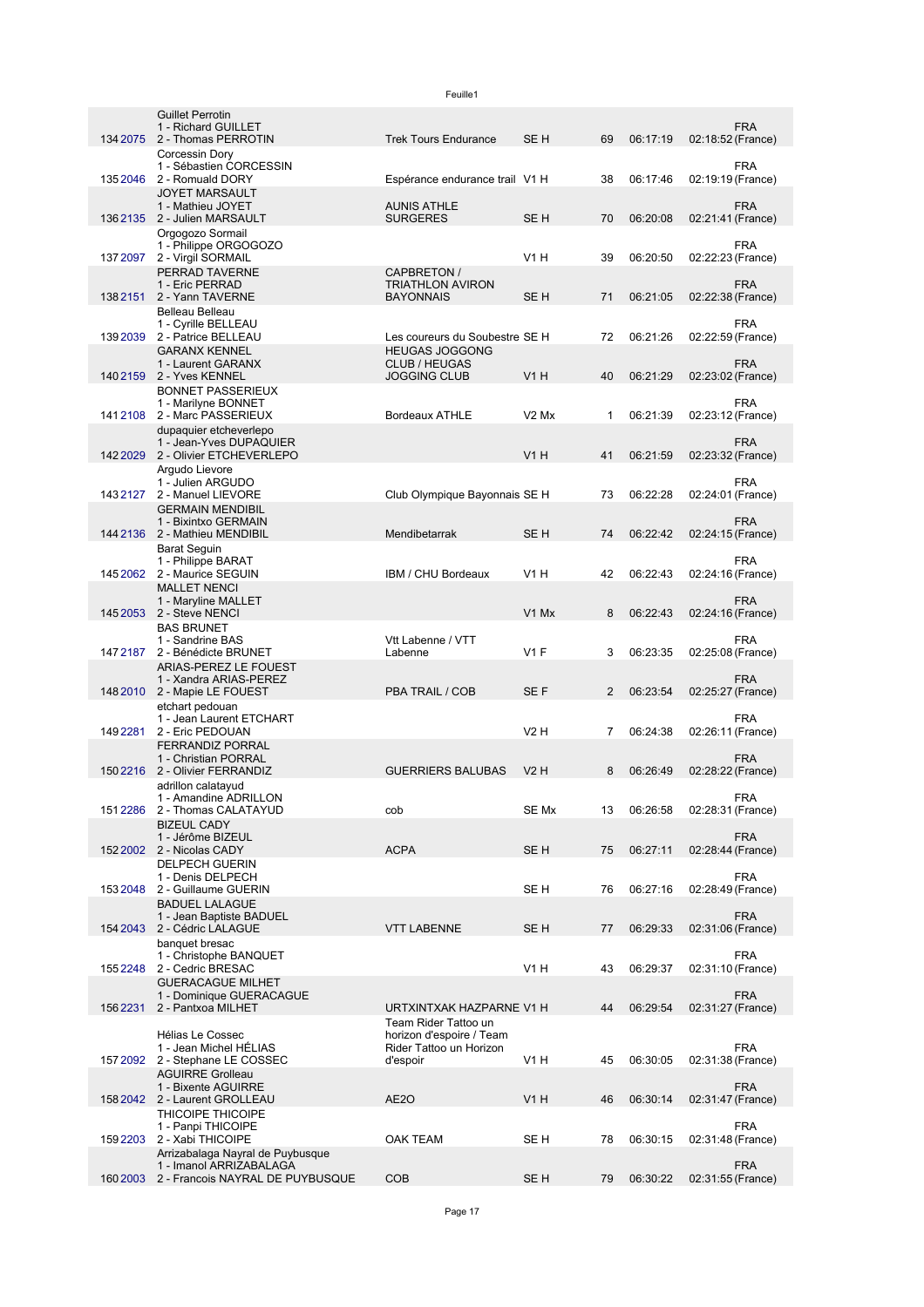|          | <b>Guillet Perrotin</b><br>1 - Richard GUILLET              |                                                     |                  |                |          |                   | <b>FRA</b> |
|----------|-------------------------------------------------------------|-----------------------------------------------------|------------------|----------------|----------|-------------------|------------|
|          | 134 2075 2 - Thomas PERROTIN                                | <b>Trek Tours Endurance</b>                         | SE <sub>H</sub>  | 69             | 06:17:19 | 02:18:52 (France) |            |
|          | Corcessin Dory<br>1 - Sébastien CORCESSIN                   |                                                     |                  |                |          |                   | <b>FRA</b> |
| 1352046  | 2 - Romuald DORY                                            | Espérance endurance trail V1 H                      |                  | 38             | 06:17:46 | 02:19:19 (France) |            |
|          | <b>JOYET MARSAULT</b><br>1 - Mathieu JOYET                  | <b>AUNIS ATHLE</b>                                  |                  |                |          |                   | <b>FRA</b> |
|          | 136 2135 2 - Julien MARSAULT                                | <b>SURGERES</b>                                     | SE <sub>H</sub>  | 70             | 06:20:08 | 02:21:41 (France) |            |
|          | Orgogozo Sormail<br>1 - Philippe ORGOGOZO                   |                                                     |                  |                |          |                   | <b>FRA</b> |
|          | 137 2097 2 - Virgil SORMAIL                                 |                                                     | V1H              | 39             | 06:20:50 | 02:22:23 (France) |            |
|          | PERRAD TAVERNE<br>1 - Eric PERRAD                           | CAPBRETON /<br><b>TRIATHLON AVIRON</b>              |                  |                |          |                   | <b>FRA</b> |
|          | 138 2151 2 - Yann TAVERNE                                   | <b>BAYONNAIS</b>                                    | SE <sub>H</sub>  | 71             | 06:21:05 | 02:22:38 (France) |            |
|          | Belleau Belleau<br>1 - Cyrille BELLEAU                      |                                                     |                  |                |          |                   | <b>FRA</b> |
|          | 139 2039 2 - Patrice BELLEAU                                | Les coureurs du Soubestre SE H                      |                  | 72             | 06:21:26 | 02:22:59 (France) |            |
|          | <b>GARANX KENNEL</b><br>1 - Laurent GARANX                  | <b>HEUGAS JOGGONG</b><br><b>CLUB / HEUGAS</b>       |                  |                |          |                   | <b>FRA</b> |
|          | 140 2159 2 - Yves KENNEL                                    | <b>JOGGING CLUB</b>                                 | V1H              | 40             | 06:21:29 | 02:23:02 (France) |            |
|          | <b>BONNET PASSERIEUX</b><br>1 - Marilyne BONNET             |                                                     |                  |                |          |                   | <b>FRA</b> |
|          | 141 2108 2 - Marc PASSERIEUX                                | <b>Bordeaux ATHLE</b>                               | $V2$ Mx          | $\mathbf{1}$   | 06:21:39 | 02:23:12 (France) |            |
|          | dupaquier etcheverlepo<br>1 - Jean-Yves DUPAQUIER           |                                                     |                  |                |          |                   | FRA        |
|          | 142 2029 2 - Olivier ETCHEVERLEPO                           |                                                     | <b>V1 H</b>      | 41             | 06:21:59 | 02:23:32 (France) |            |
|          | Argudo Lievore<br>1 - Julien ARGUDO                         |                                                     |                  |                |          |                   | FRA        |
| 1432127  | 2 - Manuel LIEVORE                                          | Club Olympique Bayonnais SE H                       |                  | 73             | 06:22:28 | 02:24:01 (France) |            |
|          | <b>GERMAIN MENDIBIL</b><br>1 - Bixintxo GERMAIN             |                                                     |                  |                |          |                   | FRA        |
|          | 144 2136 2 - Mathieu MENDIBIL                               | Mendibetarrak                                       | SE <sub>H</sub>  | 74             | 06:22:42 | 02:24:15 (France) |            |
|          | <b>Barat Seguin</b><br>1 - Philippe BARAT                   |                                                     |                  |                |          |                   | <b>FRA</b> |
|          | 145 2062 2 - Maurice SEGUIN                                 | IBM / CHU Bordeaux                                  | V <sub>1</sub> H | 42             | 06:22:43 | 02:24:16 (France) |            |
|          | <b>MALLET NENCI</b><br>1 - Maryline MALLET                  |                                                     |                  |                |          |                   | FRA        |
|          | 145 2053 2 - Steve NENCI                                    |                                                     | V1 Mx            | 8              | 06:22:43 | 02:24:16 (France) |            |
|          | <b>BAS BRUNET</b><br>1 - Sandrine BAS                       | Vtt Labenne / VTT                                   |                  |                |          |                   | FRA        |
| 147 2187 | 2 - Bénédicte BRUNET<br>ARIAS-PEREZ LE FOUEST               | Labenne                                             | $V1$ F           | 3              | 06:23:35 | 02:25:08 (France) |            |
|          | 1 - Xandra ARIAS-PEREZ                                      |                                                     |                  |                |          |                   | FRA        |
|          | 148 2010 2 - Mapie LE FOUEST<br>etchart pedouan             | PBA TRAIL / COB                                     | SE F             | 2              | 06:23:54 | 02:25:27 (France) |            |
|          | 1 - Jean Laurent ETCHART                                    |                                                     |                  |                |          |                   | <b>FRA</b> |
| 149 2281 | 2 - Eric PEDOUAN<br><b>FERRANDIZ PORRAL</b>                 |                                                     | <b>V2 H</b>      | $\overline{7}$ | 06:24:38 | 02:26:11 (France) |            |
|          | 1 - Christian PORRAL                                        |                                                     |                  |                |          |                   | <b>FRA</b> |
|          | 150 2216 2 - Olivier FERRANDIZ<br>adrillon calatayud        | <b>GUERRIERS BALUBAS</b>                            | $V2$ H           | 8              | 06:26:49 | 02:28:22 (France) |            |
|          | 1 - Amandine ADRILLON                                       |                                                     |                  |                |          |                   | FRA        |
|          | 151 2286 2 - Thomas CALATAYUD<br><b>BIZEUL CADY</b>         | cob                                                 | SE Mx            | 13             | 06:26:58 | 02:28:31 (France) |            |
|          | 1 - Jérôme BIZEUL                                           |                                                     |                  |                |          |                   | <b>FRA</b> |
|          | 152 2002 2 - Nicolas CADY<br><b>DELPECH GUERIN</b>          | <b>ACPA</b>                                         | SE <sub>H</sub>  | 75             | 06:27:11 | 02:28:44 (France) |            |
| 1532048  | 1 - Denis DELPECH<br>2 - Guillaume GUERIN                   |                                                     | SE H             | 76             | 06:27:16 | 02:28:49 (France) | <b>FRA</b> |
|          | <b>BADUEL LALAGUE</b>                                       |                                                     |                  |                |          |                   |            |
| 154 2043 | 1 - Jean Baptiste BADUEL<br>2 - Cédric LALAGUE              | <b>VTT LABENNE</b>                                  | SE <sub>H</sub>  | 77             | 06:29:33 | 02:31:06 (France) | <b>FRA</b> |
|          | banquet bresac                                              |                                                     |                  |                |          |                   |            |
| 1552248  | 1 - Christophe BANQUET<br>2 - Cedric BRESAC                 |                                                     | V1H              | 43             | 06:29:37 | 02:31:10 (France) | <b>FRA</b> |
|          | <b>GUERACAGUE MILHET</b>                                    |                                                     |                  |                |          |                   |            |
|          | 1 - Dominique GUERACAGUE<br>156 2231 2 - Pantxoa MILHET     | URTXINTXAK HAZPARNE V1 H                            |                  | 44             | 06:29:54 | 02:31:27 (France) | <b>FRA</b> |
|          |                                                             | Team Rider Tattoo un                                |                  |                |          |                   |            |
|          | <b>Hélias Le Cossec</b><br>1 - Jean Michel HÉLIAS           | horizon d'espoire / Team<br>Rider Tattoo un Horizon |                  |                |          |                   | <b>FRA</b> |
|          | 157 2092 2 - Stephane LE COSSEC                             | d'espoir                                            | V1 H             | 45             | 06:30:05 | 02:31:38 (France) |            |
|          | <b>AGUIRRE Grolleau</b><br>1 - Bixente AGUIRRE              |                                                     |                  |                |          |                   | FRA        |
|          | 158 2042 2 - Laurent GROLLEAU                               | AE2O                                                | V1H              | 46             | 06:30:14 | 02:31:47 (France) |            |
|          | THICOIPE THICOIPE<br>1 - Panpi THICOIPE                     |                                                     |                  |                |          |                   | FRA        |
| 1592203  | 2 - Xabi THICOIPE                                           | OAK TEAM                                            | SE H             | 78             | 06:30:15 | 02:31:48 (France) |            |
|          | Arrizabalaga Nayral de Puybusque<br>1 - Imanol ARRIZABALAGA |                                                     |                  |                |          |                   | <b>FRA</b> |
|          | 160 2003 2 - Francois NAYRAL DE PUYBUSQUE                   | <b>COB</b>                                          | SE <sub>H</sub>  | 79             | 06:30:22 | 02:31:55 (France) |            |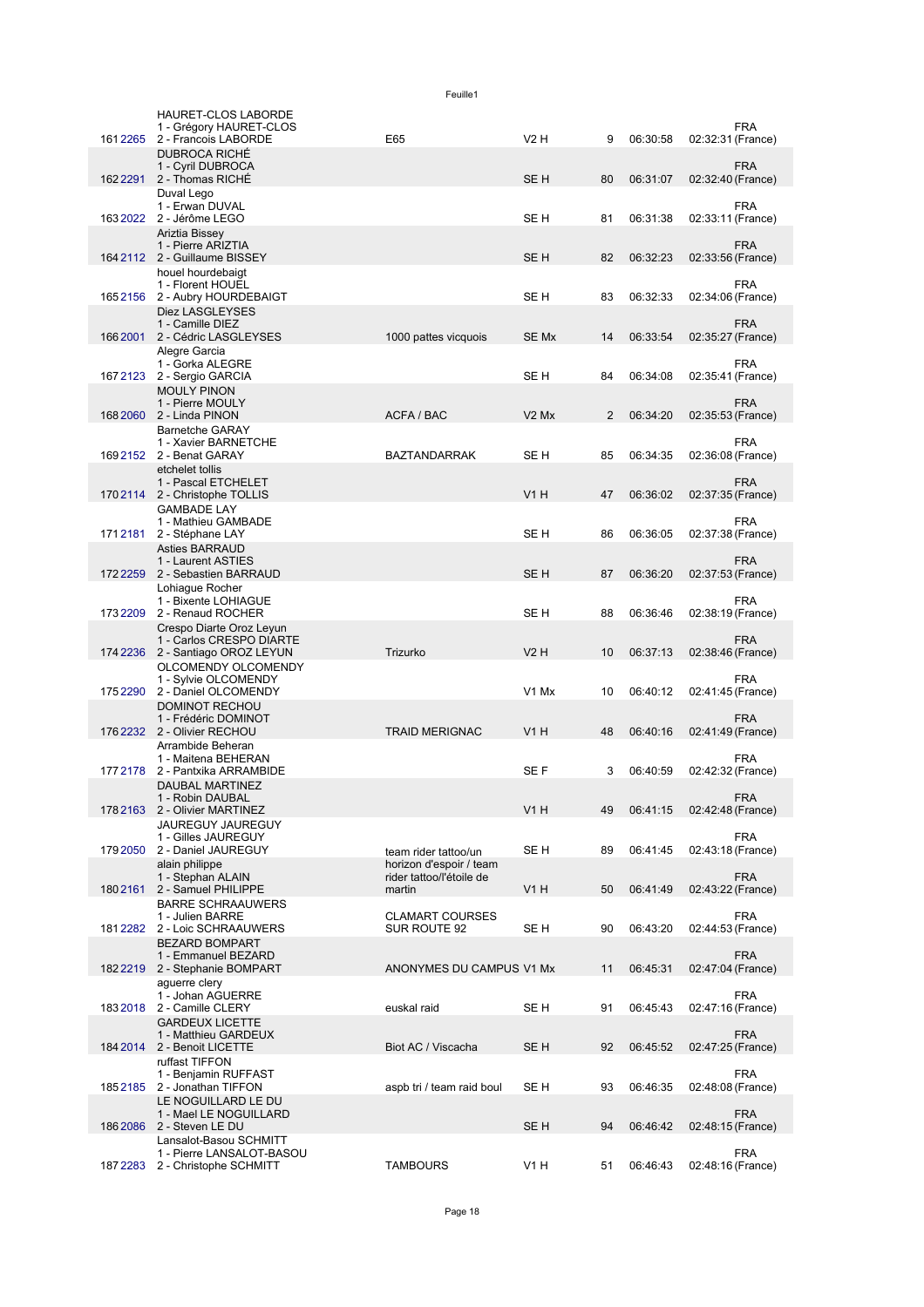|          | HAURET-CLOS LABORDE                                          |                                                     |                               |    |          |                   |            |
|----------|--------------------------------------------------------------|-----------------------------------------------------|-------------------------------|----|----------|-------------------|------------|
| 1612265  | 1 - Grégory HAURET-CLOS                                      | E65                                                 | V2H                           | 9  |          |                   | <b>FRA</b> |
|          | 2 - Francois LABORDE<br><b>DUBROCA RICHÉ</b>                 |                                                     |                               |    | 06:30:58 | 02:32:31 (France) |            |
|          | 1 - Cyril DUBROCA<br>162 2291 2 - Thomas RICHÉ               |                                                     | SE <sub>H</sub>               | 80 | 06:31:07 | 02:32:40 (France) | <b>FRA</b> |
|          | Duval Lego                                                   |                                                     |                               |    |          |                   |            |
|          | 1 - Erwan DUVAL<br>163 2022 2 - Jérôme LEGO                  |                                                     | SE H                          | 81 | 06:31:38 | 02:33:11 (France) | <b>FRA</b> |
|          | Ariztia Bissey                                               |                                                     |                               |    |          |                   |            |
|          | 1 - Pierre ARIZTIA<br>164 2112 2 - Guillaume BISSEY          |                                                     | SE <sub>H</sub>               | 82 | 06:32:23 | 02:33:56 (France) | <b>FRA</b> |
|          | houel hourdebaigt                                            |                                                     |                               |    |          |                   |            |
|          | 1 - Florent HOUEL<br>1652156 2 - Aubry HOURDEBAIGT           |                                                     | SE H                          | 83 | 06:32:33 | 02:34:06 (France) | <b>FRA</b> |
|          | Diez LASGLEYSES                                              |                                                     |                               |    |          |                   |            |
|          | 1 - Camille DIEZ<br>166 2001 2 - Cédric LASGLEYSES           | 1000 pattes vicquois                                | SE Mx                         | 14 | 06:33:54 | 02:35:27 (France) | <b>FRA</b> |
|          | Alegre Garcia                                                |                                                     |                               |    |          |                   |            |
| 1672123  | 1 - Gorka ALEGRE<br>2 - Sergio GARCIA                        |                                                     | SE H                          | 84 | 06:34:08 | 02:35:41 (France) | <b>FRA</b> |
|          | <b>MOULY PINON</b>                                           |                                                     |                               |    |          |                   | <b>FRA</b> |
|          | 1 - Pierre MOULY<br>168 2060 2 - Linda PINON                 | ACFA / BAC                                          | V <sub>2</sub> M <sub>x</sub> | 2  | 06:34:20 | 02:35:53 (France) |            |
|          | <b>Barnetche GARAY</b><br>1 - Xavier BARNETCHE               |                                                     |                               |    |          |                   | <b>FRA</b> |
|          | 169 2152 2 - Benat GARAY                                     | <b>BAZTANDARRAK</b>                                 | SE H                          | 85 | 06:34:35 | 02:36:08 (France) |            |
|          | etchelet tollis<br>1 - Pascal ETCHELET                       |                                                     |                               |    |          |                   | <b>FRA</b> |
|          | 170 2114 2 - Christophe TOLLIS                               |                                                     | V1H                           | 47 | 06:36:02 | 02:37:35 (France) |            |
|          | <b>GAMBADE LAY</b><br>1 - Mathieu GAMBADE                    |                                                     |                               |    |          |                   | <b>FRA</b> |
| 1712181  | 2 - Stéphane LAY                                             |                                                     | SE H                          | 86 | 06:36:05 | 02:37:38 (France) |            |
|          | <b>Asties BARRAUD</b><br>1 - Laurent ASTIES                  |                                                     |                               |    |          |                   | <b>FRA</b> |
|          | 172 2259 2 - Sebastien BARRAUD                               |                                                     | SE <sub>H</sub>               | 87 | 06:36:20 | 02:37:53 (France) |            |
|          | Lohiague Rocher<br>1 - Bixente LOHIAGUE                      |                                                     |                               |    |          |                   | <b>FRA</b> |
|          | 173 2209 2 - Renaud ROCHER<br>Crespo Diarte Oroz Leyun       |                                                     | SE H                          | 88 | 06:36:46 | 02:38:19 (France) |            |
|          | 1 - Carlos CRESPO DIARTE                                     |                                                     |                               |    |          |                   | <b>FRA</b> |
|          | 174 2236 2 - Santiago OROZ LEYUN<br>OLCOMENDY OLCOMENDY      | Trizurko                                            | <b>V2 H</b>                   | 10 | 06:37:13 | 02:38:46 (France) |            |
|          | 1 - Sylvie OLCOMENDY                                         |                                                     |                               |    |          |                   | <b>FRA</b> |
| 1752290  | 2 - Daniel OLCOMENDY<br><b>DOMINOT RECHOU</b>                |                                                     | V <sub>1</sub> M <sub>x</sub> | 10 | 06:40:12 | 02:41:45 (France) |            |
|          | 1 - Frédéric DOMINOT<br>176 2232 2 - Olivier RECHOU          | <b>TRAID MERIGNAC</b>                               | V1H                           | 48 | 06:40:16 |                   | <b>FRA</b> |
|          | Arrambide Beheran                                            |                                                     |                               |    |          | 02:41:49 (France) |            |
| 177 2178 | 1 - Maitena BEHERAN<br>2 - Pantxika ARRAMBIDE                |                                                     | SE F                          | 3  | 06:40:59 | 02:42:32 (France) | <b>FRA</b> |
|          | <b>DAUBAL MARTINEZ</b>                                       |                                                     |                               |    |          |                   |            |
|          | 1 - Robin DAUBAL<br>178 2163 2 - Olivier MARTINEZ            |                                                     | V <sub>1</sub> H              | 49 | 06:41:15 | 02:42:48 (France) | <b>FRA</b> |
|          | JAUREGUY JAUREGUY                                            |                                                     |                               |    |          |                   |            |
| 179 2050 | 1 - Gilles JAUREGUY<br>2 - Daniel JAUREGUY                   | team rider tattoo/un                                | SE H                          | 89 | 06:41:45 | 02:43:18 (France) | <b>FRA</b> |
|          | alain philippe<br>1 - Stephan ALAIN                          | horizon d'espoir / team<br>rider tattoo/l'étoile de |                               |    |          |                   | <b>FRA</b> |
| 1802161  | 2 - Samuel PHILIPPE                                          | martin                                              | <b>V1 H</b>                   | 50 | 06:41:49 | 02:43:22 (France) |            |
|          | <b>BARRE SCHRAAUWERS</b><br>1 - Julien BARRE                 | <b>CLAMART COURSES</b>                              |                               |    |          |                   | <b>FRA</b> |
| 1812282  | 2 - Loic SCHRAAUWERS                                         | SUR ROUTE 92                                        | SE H                          | 90 | 06:43:20 | 02:44:53 (France) |            |
|          | <b>BEZARD BOMPART</b><br>1 - Emmanuel BEZARD                 |                                                     |                               |    |          |                   | <b>FRA</b> |
|          | 182 2219 2 - Stephanie BOMPART                               | ANONYMES DU CAMPUS V1 Mx                            |                               | 11 | 06:45:31 | 02:47:04 (France) |            |
|          | aguerre clery<br>1 - Johan AGUERRE                           |                                                     |                               |    |          |                   | <b>FRA</b> |
| 1832018  | 2 - Camille CLERY<br><b>GARDEUX LICETTE</b>                  | euskal raid                                         | SE H                          | 91 | 06:45:43 | 02:47:16 (France) |            |
|          | 1 - Matthieu GARDEUX                                         |                                                     |                               |    |          |                   | <b>FRA</b> |
|          | 184 2014 2 - Benoit LICETTE<br>ruffast TIFFON                | Biot AC / Viscacha                                  | SE <sub>H</sub>               | 92 | 06:45:52 | 02:47:25 (France) |            |
|          | 1 - Benjamin RUFFAST                                         |                                                     |                               |    |          |                   | <b>FRA</b> |
| 1852185  | 2 - Jonathan TIFFON<br>LE NOGUILLARD LE DU                   | aspb tri / team raid boul                           | SE H                          | 93 | 06:46:35 | 02:48:08 (France) |            |
| 1862086  | 1 - Mael LE NOGUILLARD<br>2 - Steven LE DU                   |                                                     | SE <sub>H</sub>               | 94 | 06:46:42 | 02:48:15 (France) | <b>FRA</b> |
|          | Lansalot-Basou SCHMITT                                       |                                                     |                               |    |          |                   |            |
|          | 1 - Pierre LANSALOT-BASOU<br>187 2283 2 - Christophe SCHMITT | <b>TAMBOURS</b>                                     | V1H                           | 51 | 06:46:43 | 02:48:16 (France) | <b>FRA</b> |
|          |                                                              |                                                     |                               |    |          |                   |            |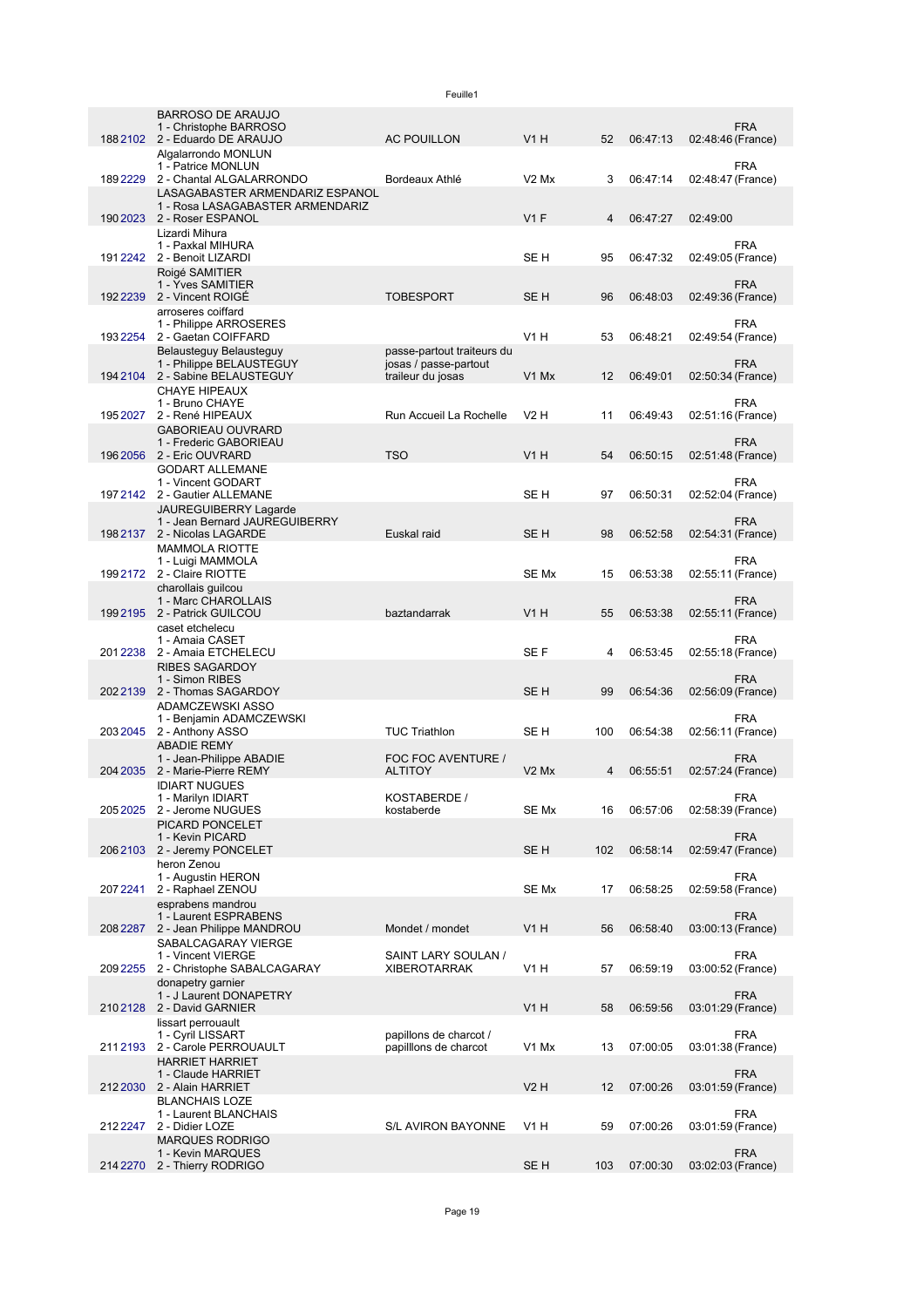|          | <b>BARROSO DE ARAUJO</b><br>1 - Christophe BARROSO<br>188 2102 2 - Eduardo DE ARAUJO | <b>AC POUILLON</b>                                  | V1H                           | 52  | 06:47:13 | <b>FRA</b><br>02:48:46 (France)              |
|----------|--------------------------------------------------------------------------------------|-----------------------------------------------------|-------------------------------|-----|----------|----------------------------------------------|
|          | Algalarrondo MONLUN<br>1 - Patrice MONLUN<br>189 2229 2 - Chantal ALGALARRONDO       | Bordeaux Athlé                                      | $V2$ Mx                       | 3   | 06:47:14 | <b>FRA</b><br>02:48:47 (France)              |
|          | LASAGABASTER ARMENDARIZ ESPANOL<br>1 - Rosa LASAGABASTER ARMENDARIZ                  |                                                     |                               |     |          |                                              |
|          | 190 2023 2 - Roser ESPANOL<br>Lizardi Mihura                                         |                                                     | $V1$ F                        | 4   | 06:47:27 | 02:49:00                                     |
|          | 1 - Paxkal MIHURA<br>191 2242 2 - Benoit LIZARDI                                     |                                                     | SE <sub>H</sub>               | 95  | 06:47:32 | <b>FRA</b><br>02:49:05 (France)              |
|          | Roigé SAMITIER<br>1 - Yves SAMITIER<br>192 2 239 2 - Vincent ROIGÉ                   | <b>TOBESPORT</b>                                    | SE <sub>H</sub>               | 96  | 06:48:03 | <b>FRA</b><br>02:49:36 (France)              |
|          | arroseres coiffard<br>1 - Philippe ARROSERES<br>193 2254 2 - Gaetan COIFFARD         |                                                     | V1H                           | 53  | 06:48:21 | <b>FRA</b><br>02:49:54 (France)              |
|          | Belausteguy Belausteguy<br>1 - Philippe BELAUSTEGUY                                  | passe-partout traiteurs du<br>josas / passe-partout |                               |     |          | <b>FRA</b>                                   |
| 194 2104 | 2 - Sabine BELAUSTEGUY<br><b>CHAYE HIPEAUX</b>                                       | traileur du josas                                   | V <sub>1</sub> M <sub>x</sub> | 12  | 06:49:01 | 02:50:34 (France)                            |
| 195 2027 | 1 - Bruno CHAYE<br>2 - René HIPEAUX                                                  | Run Accueil La Rochelle                             | V2H                           | 11  | 06:49:43 | <b>FRA</b><br>02:51:16 (France)              |
|          | <b>GABORIEAU OUVRARD</b><br>1 - Frederic GABORIEAU<br>196 2056 2 - Eric OUVRARD      | <b>TSO</b>                                          | V1H                           | 54  | 06:50:15 | <b>FRA</b><br>02:51:48 (France)              |
|          | <b>GODART ALLEMANE</b><br>1 - Vincent GODART                                         |                                                     |                               |     |          | <b>FRA</b>                                   |
|          | 197 2142 2 - Gautier ALLEMANE<br>JAUREGUIBERRY Lagarde                               |                                                     | SE <sub>H</sub>               | 97  | 06:50:31 | 02:52:04 (France)                            |
|          | 1 - Jean Bernard JAUREGUIBERRY<br>198 2137 2 - Nicolas LAGARDE                       | Euskal raid                                         | SE <sub>H</sub>               | 98  | 06:52:58 | <b>FRA</b><br>02:54:31 (France)              |
|          | <b>MAMMOLA RIOTTE</b><br>1 - Luigi MAMMOLA<br>199 2172 2 - Claire RIOTTE             |                                                     | SE Mx                         | 15  | 06:53:38 | <b>FRA</b><br>02:55:11 (France)              |
|          | charollais guilcou<br>1 - Marc CHAROLLAIS<br>1992195 2 - Patrick GUILCOU             | baztandarrak                                        | V1H                           | 55  | 06:53:38 | <b>FRA</b><br>02:55:11 (France)              |
| 2012238  | caset etchelecu<br>1 - Amaia CASET<br>2 - Amaia ETCHELECU                            |                                                     | SE F                          | 4   | 06:53:45 | <b>FRA</b><br>02:55:18 (France)              |
| 2022139  | <b>RIBES SAGARDOY</b><br>1 - Simon RIBES<br>2 - Thomas SAGARDOY                      |                                                     | SE <sub>H</sub>               | 99  | 06:54:36 | <b>FRA</b><br>02:56:09 (France)              |
|          | ADAMCZEWSKI ASSO<br>1 - Benjamin ADAMCZEWSKI                                         |                                                     |                               |     |          | FRA                                          |
|          | 203 2045 2 - Anthony ASSO<br><b>ABADIE REMY</b>                                      | <b>TUC Triathlon</b>                                | SE <sub>H</sub>               | 100 | 06:54:38 | 02:56:11 (France)                            |
| 204 2035 | 1 - Jean-Philippe ABADIE<br>2 - Marie-Pierre REMY<br><b>IDIART NUGUES</b>            | FOC FOC AVENTURE /<br><b>ALTITOY</b>                | V <sub>2</sub> M <sub>x</sub> | 4   | 06:55:51 | <b>FRA</b><br>02:57:24 (France)              |
|          | 1 - Marilyn IDIART<br>205 2025 2 - Jerome NUGUES                                     | KOSTABERDE /<br>kostaberde                          | SE Mx                         | 16  | 06:57:06 | <b>FRA</b><br>02:58:39 (France)              |
| 2062103  | PICARD PONCELET<br>1 - Kevin PICARD<br>2 - Jeremy PONCELET                           |                                                     | SE <sub>H</sub>               | 102 | 06:58:14 | <b>FRA</b><br>02:59:47 (France)              |
|          | heron Zenou<br>1 - Augustin HERON                                                    |                                                     |                               |     |          | <b>FRA</b>                                   |
| 207 2241 | 2 - Raphael ZENOU<br>esprabens mandrou                                               |                                                     | SE Mx                         | 17  | 06:58:25 | 02:59:58 (France)                            |
| 208 2287 | 1 - Laurent ESPRABENS<br>2 - Jean Philippe MANDROU<br>SABALCAGARAY VIERGE            | Mondet / mondet                                     | V1 H                          | 56  | 06:58:40 | <b>FRA</b><br>03:00:13 (France)              |
| 2092255  | 1 - Vincent VIERGE<br>2 - Christophe SABALCAGARAY                                    | SAINT LARY SOULAN /<br><b>XIBEROTARRAK</b>          | <b>V1 H</b>                   | 57  | 06:59:19 | <b>FRA</b><br>03:00:52 (France)              |
| 2102128  | donapetry garnier<br>1 - J Laurent DONAPETRY<br>2 - David GARNIER                    |                                                     | <b>V1 H</b>                   | 58  | 06:59:56 | <b>FRA</b><br>03:01:29 (France)              |
|          | lissart perrouault<br>1 - Cyril LISSART                                              | papillons de charcot /                              |                               |     |          | <b>FRA</b>                                   |
|          | 2112193 2 - Carole PERROUAULT<br><b>HARRIET HARRIET</b><br>1 - Claude HARRIET        | papillons de charcot                                | V1 Mx                         | 13  | 07:00:05 | 03:01:38 (France)<br><b>FRA</b>              |
|          | 212 2030 2 - Alain HARRIET<br><b>BLANCHAIS LOZE</b>                                  |                                                     | <b>V2 H</b>                   | 12  | 07:00:26 | 03:01:59 (France)                            |
| 212 2247 | 1 - Laurent BLANCHAIS<br>2 - Didier LOZE                                             | S/L AVIRON BAYONNE                                  | V1 H                          | 59  | 07:00:26 | <b>FRA</b><br>03:01:59 (France)              |
|          | <b>MARQUES RODRIGO</b><br>1 - Kevin MARQUES<br>214 2270 2 - Thierry RODRIGO          |                                                     | SE <sub>H</sub>               |     |          | <b>FRA</b><br>103 07:00:30 03:02:03 (France) |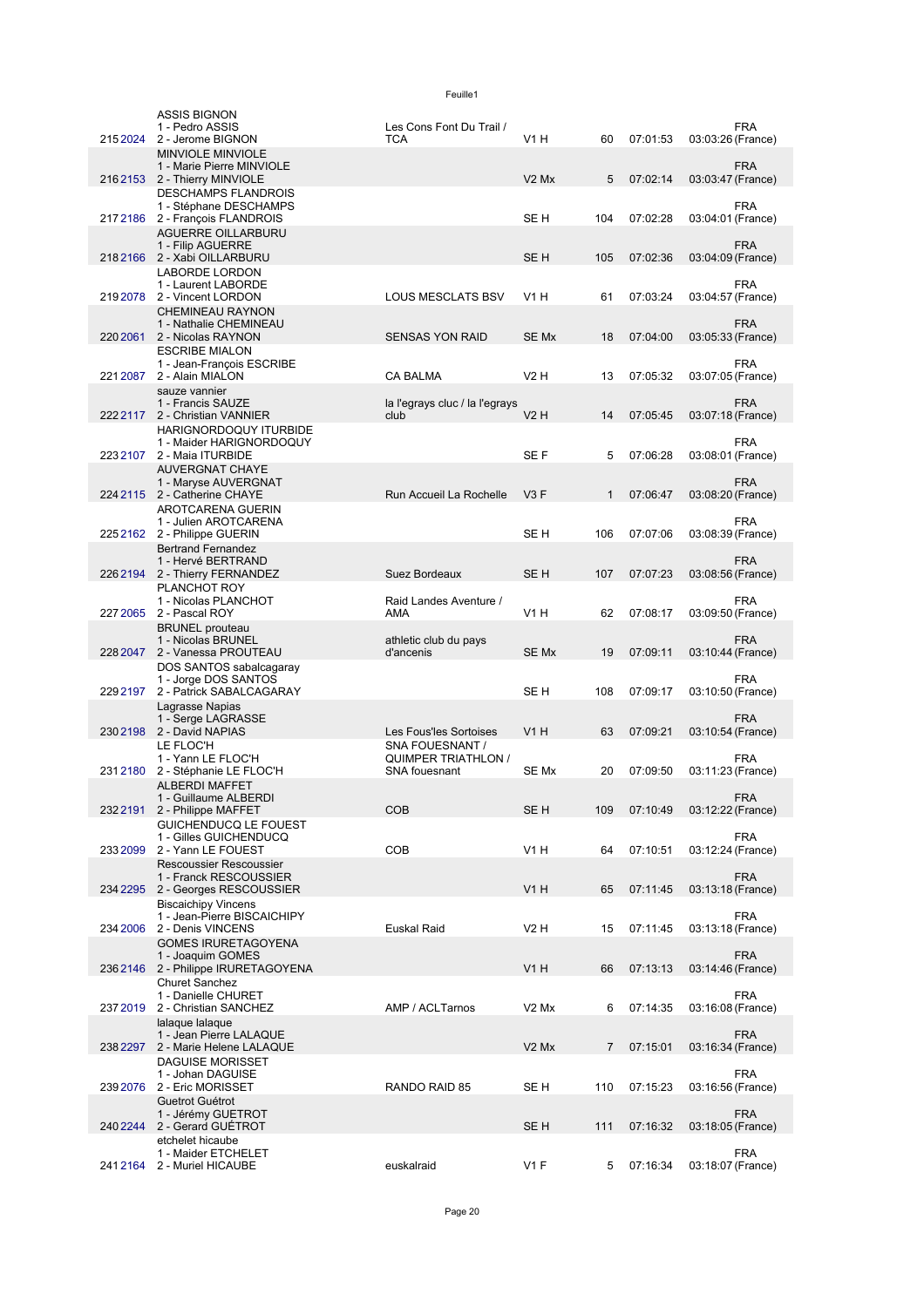|          | <b>ASSIS BIGNON</b><br>1 - Pedro ASSIS<br>215 2024 2 - Jerome BIGNON                  | Les Cons Font Du Trail /<br><b>TCA</b>      | <b>V1 H</b>                   | 60             | 07:01:53 | <b>FRA</b><br>03:03:26 (France) |
|----------|---------------------------------------------------------------------------------------|---------------------------------------------|-------------------------------|----------------|----------|---------------------------------|
|          | <b>MINVIOLE MINVIOLE</b><br>1 - Marie Pierre MINVIOLE                                 |                                             |                               |                |          | <b>FRA</b>                      |
|          | 2162153 2 - Thierry MINVIOLE<br><b>DESCHAMPS FLANDROIS</b>                            |                                             | V <sub>2</sub> M <sub>x</sub> | 5              | 07:02:14 | 03:03:47 (France)<br><b>FRA</b> |
|          | 1 - Stéphane DESCHAMPS<br>2172186 2 - François FLANDROIS<br><b>AGUERRE OILLARBURU</b> |                                             | SE H                          | 104            | 07:02:28 | 03:04:01 (France)               |
|          | 1 - Filip AGUERRE<br>2182166 2 - Xabi OILLARBURU                                      |                                             | SE <sub>H</sub>               | 105            | 07:02:36 | <b>FRA</b><br>03:04:09 (France) |
|          | <b>LABORDE LORDON</b><br>1 - Laurent LABORDE<br>2192078 2 - Vincent LORDON            | <b>LOUS MESCLATS BSV</b>                    | V1 H                          | 61             | 07:03:24 | <b>FRA</b><br>03:04:57 (France) |
| 220 2061 | <b>CHEMINEAU RAYNON</b><br>1 - Nathalie CHEMINEAU<br>2 - Nicolas RAYNON               | <b>SENSAS YON RAID</b>                      | SE Mx                         | 18             | 07:04:00 | <b>FRA</b><br>03:05:33 (France) |
|          | <b>ESCRIBE MIALON</b><br>1 - Jean-François ESCRIBE                                    |                                             |                               |                |          | FRA                             |
| 221 2087 | 2 - Alain MIALON                                                                      | CA BALMA                                    | <b>V2 H</b>                   | 13             | 07:05:32 | 03:07:05 (France)               |
|          | sauze vannier<br>1 - Francis SAUZE<br>222 2117 2 - Christian VANNIER                  | la l'egrays cluc / la l'egrays<br>club      | $V2$ H                        | 14             | 07:05:45 | <b>FRA</b><br>03:07:18 (France) |
|          | HARIGNORDOQUY ITURBIDE<br>1 - Maider HARIGNORDOQUY<br>223 2107 2 - Maia ITURBIDE      |                                             | SE F                          | 5              | 07:06:28 | <b>FRA</b><br>03:08:01 (France) |
|          | <b>AUVERGNAT CHAYE</b><br>1 - Maryse AUVERGNAT                                        |                                             |                               |                |          | <b>FRA</b>                      |
|          | 224 2115 2 - Catherine CHAYE<br>AROTCARENA GUERIN                                     | Run Accueil La Rochelle                     | V3F                           | 1              | 07:06:47 | 03:08:20 (France)               |
|          | 1 - Julien AROTCARENA<br>225 2162 2 - Philippe GUERIN                                 |                                             | SE <sub>H</sub>               | 106            | 07:07:06 | <b>FRA</b><br>03:08:39 (France) |
|          | <b>Bertrand Fernandez</b><br>1 - Hervé BERTRAND<br>226 2194 2 - Thierry FERNANDEZ     | Suez Bordeaux                               | SE <sub>H</sub>               | 107            | 07:07:23 | <b>FRA</b><br>03:08:56 (France) |
|          | PLANCHOT ROY<br>1 - Nicolas PLANCHOT                                                  | Raid Landes Aventure /                      |                               |                |          | <b>FRA</b>                      |
|          | 227 2065 2 - Pascal ROY<br><b>BRUNEL</b> prouteau                                     | AMA                                         | V1H                           | 62             | 07:08:17 | 03:09:50 (France)               |
|          | 1 - Nicolas BRUNEL<br>228 2047 2 - Vanessa PROUTEAU<br>DOS SANTOS sabalcagaray        | athletic club du pays<br>d'ancenis          | SE Mx                         | 19             | 07:09:11 | <b>FRA</b><br>03:10:44 (France) |
| 229 2197 | 1 - Jorge DOS SANTOS<br>2 - Patrick SABALCAGARAY                                      |                                             | SE <sub>H</sub>               | 108            | 07:09:17 | <b>FRA</b><br>03:10:50 (France) |
|          | Lagrasse Napias<br>1 - Serge LAGRASSE                                                 |                                             |                               |                |          | <b>FRA</b>                      |
|          | 230 2198 2 - David NAPIAS<br>LE FLOC'H                                                | Les Fous'les Sortoises<br>SNA FOUESNANT /   | V1H                           | 63             | 07:09:21 | 03:10:54 (France)               |
| 2312180  | 1 - Yann LE FLOC'H<br>2 - Stéphanie LE FLOC'H                                         | <b>QUIMPER TRIATHLON /</b><br>SNA fouesnant | SE Mx                         | 20             | 07:09:50 | <b>FRA</b><br>03:11:23 (France) |
|          | <b>ALBERDI MAFFET</b><br>1 - Guillaume ALBERDI<br>232 2191 2 - Philippe MAFFET        | <b>COB</b>                                  | SE <sub>H</sub>               | 109            | 07:10:49 | <b>FRA</b><br>03:12:22 (France) |
|          | GUICHENDUCQ LE FOUEST<br>1 - Gilles GUICHENDUCQ                                       |                                             |                               |                |          | <b>FRA</b>                      |
| 233 2099 | 2 - Yann LE FOUEST<br>Rescoussier Rescoussier                                         | <b>COB</b>                                  | <b>V1 H</b>                   | 64             | 07:10:51 | 03:12:24 (France)               |
|          | 1 - Franck RESCOUSSIER<br>234 2295 2 - Georges RESCOUSSIER                            |                                             | <b>V1 H</b>                   | 65             | 07:11:45 | <b>FRA</b><br>03:13:18 (France) |
| 234 2006 | <b>Biscaichipy Vincens</b><br>1 - Jean-Pierre BISCAICHIPY<br>2 - Denis VINCENS        | <b>Euskal Raid</b>                          | <b>V2 H</b>                   | 15             | 07:11:45 | <b>FRA</b><br>03:13:18 (France) |
|          | <b>GOMES IRURETAGOYENA</b><br>1 - Joaquim GOMES                                       |                                             |                               |                |          | <b>FRA</b>                      |
|          | 236 2146 2 - Philippe IRURETAGOYENA<br><b>Churet Sanchez</b>                          |                                             | V <sub>1</sub> H              | 66             | 07:13:13 | 03:14:46 (France)               |
| 237 2019 | 1 - Danielle CHURET<br>2 - Christian SANCHEZ                                          | AMP / ACLTarnos                             | V <sub>2</sub> M <sub>x</sub> | 6              | 07:14:35 | <b>FRA</b><br>03:16:08 (France) |
|          | lalaque lalaque<br>1 - Jean Pierre LALAQUE<br>238 2297 2 - Marie Helene LALAQUE       |                                             | V <sub>2</sub> M <sub>x</sub> | $\overline{7}$ | 07:15:01 | <b>FRA</b><br>03:16:34 (France) |
|          | <b>DAGUISE MORISSET</b><br>1 - Johan DAGUISE                                          |                                             |                               |                |          | <b>FRA</b>                      |
| 239 2076 | 2 - Eric MORISSET<br>Guetrot Guétrot                                                  | RANDO RAID 85                               | SE H                          | 110            | 07:15:23 | 03:16:56 (France)               |
|          | 1 - Jérémy GUETROT<br>240 2244 2 - Gerard GUETROT<br>etchelet hicaube                 |                                             | SE H                          | 111            | 07:16:32 | <b>FRA</b><br>03:18:05 (France) |
|          | 1 - Maider ETCHELET<br>241 2164 2 - Muriel HICAUBE                                    | euskalraid                                  | $V1$ F                        | 5              | 07:16:34 | <b>FRA</b><br>03:18:07 (France) |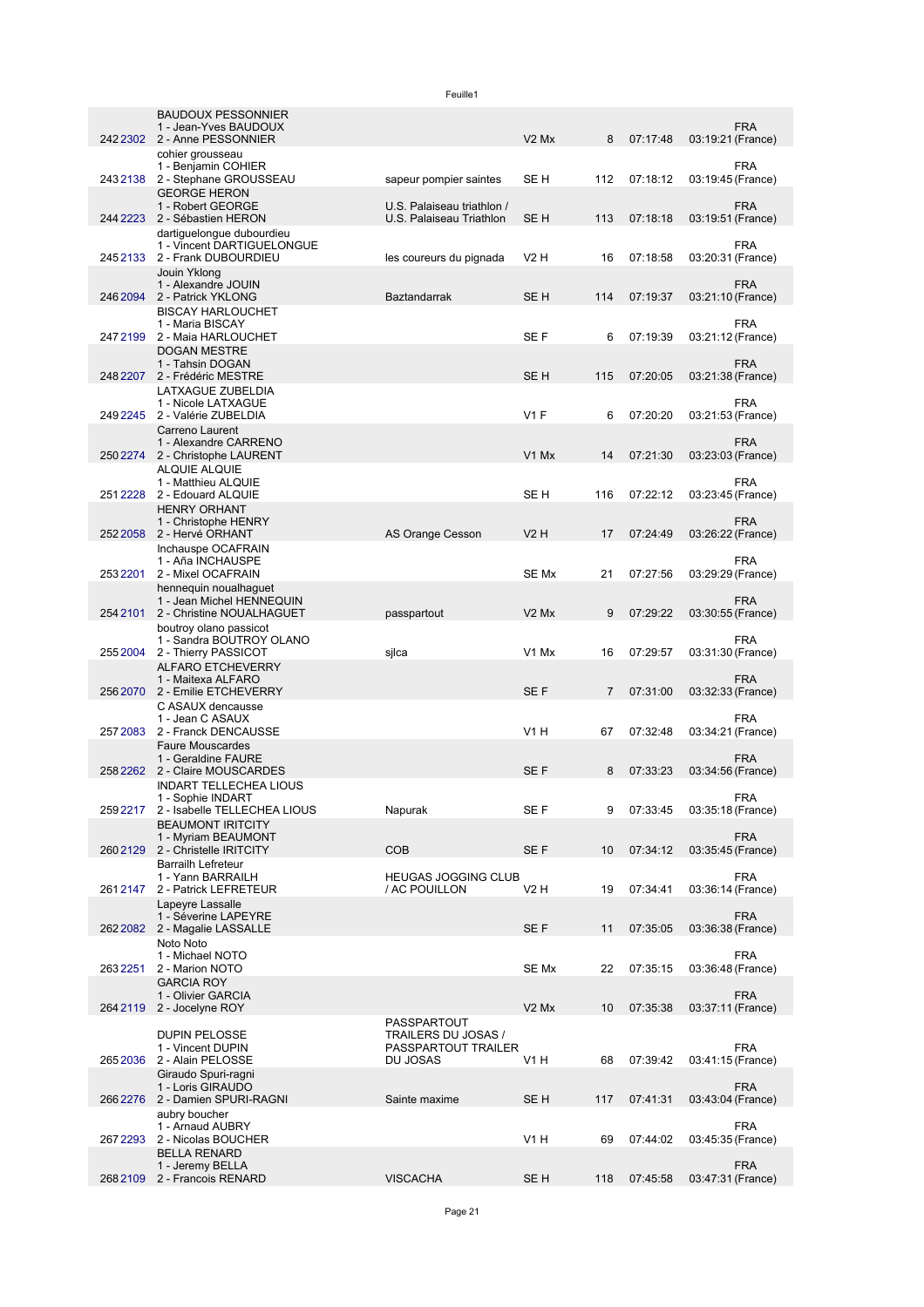|          | <b>BAUDOUX PESSONNIER</b><br>1 - Jean-Yves BAUDOUX<br>242 2302 2 - Anne PESSONNIER<br>cohier grousseau |                                                        | V <sub>2</sub> M <sub>x</sub> | 8              | 07:17:48 | <b>FRA</b><br>03:19:21 (France) |
|----------|--------------------------------------------------------------------------------------------------------|--------------------------------------------------------|-------------------------------|----------------|----------|---------------------------------|
| 2432138  | 1 - Benjamin COHIER<br>2 - Stephane GROUSSEAU                                                          | sapeur pompier saintes                                 | SE H                          | 112            | 07:18:12 | <b>FRA</b><br>03:19:45 (France) |
|          | <b>GEORGE HERON</b><br>1 - Robert GEORGE<br>244 2223 2 - Sébastien HERON                               | U.S. Palaiseau triathlon /<br>U.S. Palaiseau Triathlon | SE <sub>H</sub>               | 113            | 07:18:18 | <b>FRA</b><br>03:19:51 (France) |
|          | dartiguelongue dubourdieu<br>1 - Vincent DARTIGUELONGUE                                                |                                                        |                               |                |          | <b>FRA</b>                      |
| 2452133  | 2 - Frank DUBOURDIEU<br>Jouin Yklong<br>1 - Alexandre JOUIN                                            | les coureurs du pignada                                | V2 H                          | 16             | 07:18:58 | 03:20:31 (France)<br><b>FRA</b> |
| 246 2094 | 2 - Patrick YKLONG<br><b>BISCAY HARLOUCHET</b><br>1 - Maria BISCAY                                     | Baztandarrak                                           | SE <sub>H</sub>               | 114            | 07:19:37 | 03:21:10 (France)<br><b>FRA</b> |
| 2472199  | 2 - Maia HARLOUCHET<br><b>DOGAN MESTRE</b>                                                             |                                                        | SE F                          | 6              | 07:19:39 | 03:21:12 (France)               |
| 248 2207 | 1 - Tahsin DOGAN<br>2 - Frédéric MESTRE<br>LATXAGUE ZUBELDIA                                           |                                                        | SE H                          | 115            | 07:20:05 | <b>FRA</b><br>03:21:38 (France) |
| 2492245  | 1 - Nicole LATXAGUE<br>2 - Valérie ZUBELDIA                                                            |                                                        | <b>V1 F</b>                   | 6              | 07:20:20 | <b>FRA</b><br>03:21:53 (France) |
|          | Carreno Laurent<br>1 - Alexandre CARRENO<br>250 2274 2 - Christophe LAURENT<br><b>ALQUIE ALQUIE</b>    |                                                        | V1 Mx                         | 14             | 07:21:30 | <b>FRA</b><br>03:23:03 (France) |
|          | 1 - Matthieu ALQUIE<br>251 2228 2 - Edouard ALQUIE                                                     |                                                        | SE H                          | 116            | 07:22:12 | <b>FRA</b><br>03:23:45 (France) |
|          | <b>HENRY ORHANT</b><br>1 - Christophe HENRY<br>252 2058 2 - Hervé ORHANT                               | AS Orange Cesson                                       | V2H                           | 17             | 07:24:49 | <b>FRA</b><br>03:26:22 (France) |
| 2532201  | Inchauspe OCAFRAIN<br>1 - Aña INCHAUSPE<br>2 - Mixel OCAFRAIN                                          |                                                        | SE Mx                         | 21             | 07:27:56 | FRA<br>03:29:29 (France)        |
|          | hennequin noualhaguet<br>1 - Jean Michel HENNEQUIN                                                     |                                                        |                               |                |          | <b>FRA</b>                      |
| 254 2101 | 2 - Christine NOUALHAGUET<br>boutroy olano passicot<br>1 - Sandra BOUTROY OLANO                        | passpartout                                            | V <sub>2</sub> M <sub>x</sub> | 9              | 07:29:22 | 03:30:55 (France)<br><b>FRA</b> |
| 2552004  | 2 - Thierry PASSICOT<br><b>ALFARO ETCHEVERRY</b>                                                       | sjlca                                                  | V1 Mx                         | 16             | 07:29:57 | 03:31:30 (France)               |
| 256 2070 | 1 - Maitexa ALFARO<br>2 - Emilie ETCHEVERRY                                                            |                                                        | SE F                          | $\overline{7}$ | 07:31:00 | <b>FRA</b><br>03:32:33 (France) |
| 257 2083 | C ASAUX dencausse<br>1 - Jean C ASAUX<br>2 - Franck DENCAUSSE                                          |                                                        | V1 H                          | 67             | 07:32:48 | <b>FRA</b><br>03:34:21 (France) |
| 2582262  | <b>Faure Mouscardes</b><br>1 - Geraldine FAURE<br>2 - Claire MOUSCARDES                                |                                                        | SE <sub>F</sub>               | 8              | 07:33:23 | <b>FRA</b><br>03:34:56 (France) |
|          | <b>INDART TELLECHEA LIOUS</b><br>1 - Sophie INDART                                                     |                                                        |                               |                |          | <b>FRA</b>                      |
|          | 259 2217 2 - Isabelle TELLECHEA LIOUS<br><b>BEAUMONT IRITCITY</b><br>1 - Myriam BEAUMONT               | Napurak                                                | SE F                          | 9              | 07:33:45 | 03:35:18 (France)<br><b>FRA</b> |
| 2602129  | 2 - Christelle IRITCITY<br><b>Barrailh Lefreteur</b>                                                   | <b>COB</b>                                             | SE F                          | 10             | 07:34:12 | 03:35:45 (France)               |
| 2612147  | 1 - Yann BARRAILH<br>2 - Patrick LEFRETEUR<br>Lapeyre Lassalle                                         | <b>HEUGAS JOGGING CLUB</b><br>/ AC POUILLON            | V2 H                          | 19             | 07:34:41 | <b>FRA</b><br>03:36:14 (France) |
| 2622082  | 1 - Séverine LAPEYRE<br>2 - Magalie LASSALLE                                                           |                                                        | SE F                          | 11             | 07:35:05 | <b>FRA</b><br>03:36:38 (France) |
| 2632251  | Noto Noto<br>1 - Michael NOTO<br>2 - Marion NOTO                                                       |                                                        | SE Mx                         | 22             | 07:35:15 | <b>FRA</b><br>03:36:48 (France) |
|          | <b>GARCIA ROY</b><br>1 - Olivier GARCIA                                                                |                                                        |                               |                |          | <b>FRA</b>                      |
| 264 2119 | 2 - Jocelyne ROY<br><b>DUPIN PELOSSE</b>                                                               | PASSPARTOUT<br>TRAILERS DU JOSAS /                     | V <sub>2</sub> M <sub>x</sub> | 10             | 07:35:38 | 03:37:11 (France)               |
| 2652036  | 1 - Vincent DUPIN<br>2 - Alain PELOSSE                                                                 | PASSPARTOUT TRAILER<br>DU JOSAS                        | V1 H                          | 68             | 07:39:42 | <b>FRA</b><br>03:41:15 (France) |
|          | Giraudo Spuri-ragni<br>1 - Loris GIRAUDO<br>266 2276 2 - Damien SPURI-RAGNI                            | Sainte maxime                                          | SE <sub>H</sub>               | 117            | 07:41:31 | <b>FRA</b><br>03:43:04 (France) |
| 267 2293 | aubry boucher<br>1 - Arnaud AUBRY<br>2 - Nicolas BOUCHER                                               |                                                        | V1 H                          | 69             | 07:44:02 | <b>FRA</b><br>03:45:35 (France) |
|          | <b>BELLA RENARD</b><br>1 - Jeremy BELLA                                                                |                                                        |                               |                |          | <b>FRA</b>                      |
| 2682109  | 2 - Francois RENARD                                                                                    | <b>VISCACHA</b>                                        | SE <sub>H</sub>               | 118            | 07:45:58 | 03:47:31 (France)               |